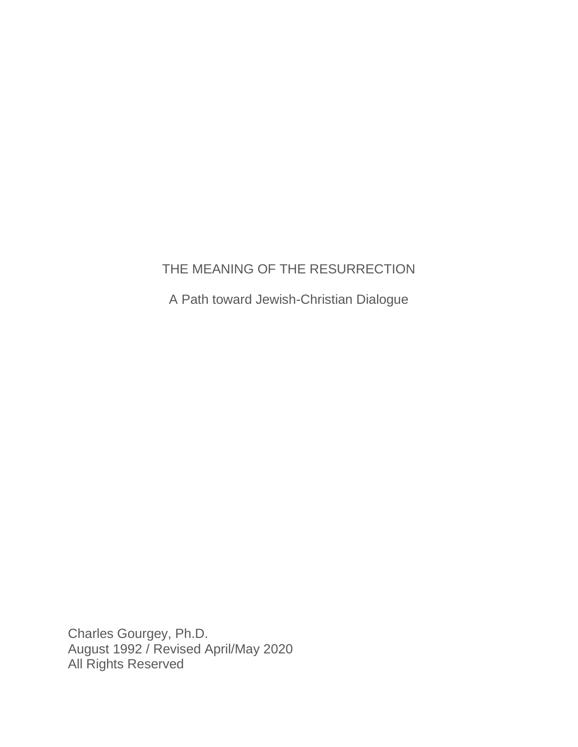# THE MEANING OF THE RESURRECTION

A Path toward Jewish-Christian Dialogue

Charles Gourgey, Ph.D. August 1992 / Revised April/May 2020 All Rights Reserved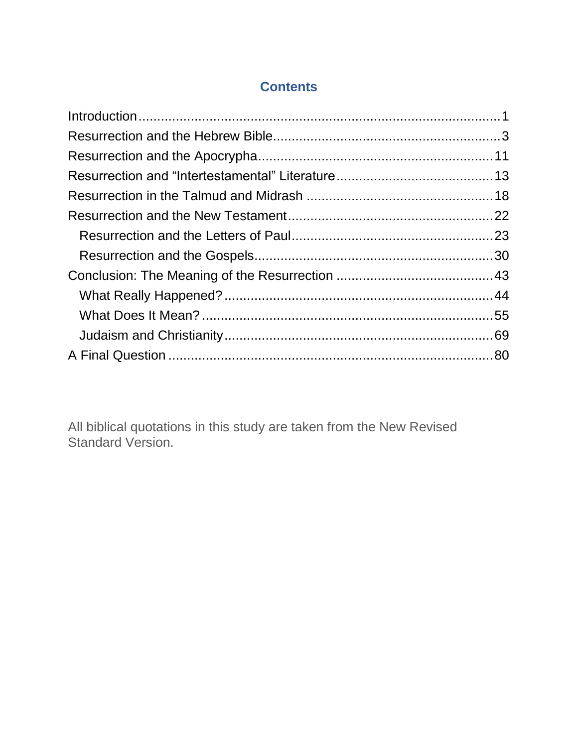# **Contents**

All biblical quotations in this study are taken from the New Revised Standard Version.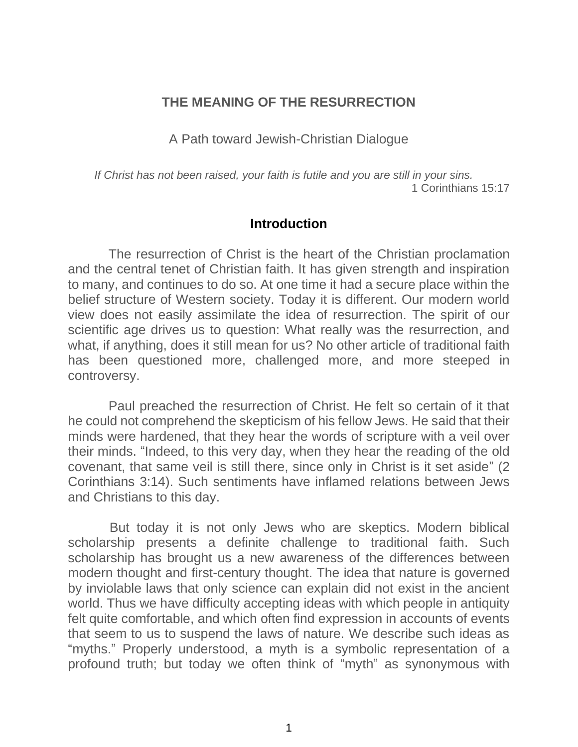## **THE MEANING OF THE RESURRECTION**

A Path toward Jewish-Christian Dialogue

*If Christ has not been raised, your faith is futile and you are still in your sins.* 1 Corinthians 15:17

#### **Introduction**

<span id="page-2-0"></span>The resurrection of Christ is the heart of the Christian proclamation and the central tenet of Christian faith. It has given strength and inspiration to many, and continues to do so. At one time it had a secure place within the belief structure of Western society. Today it is different. Our modern world view does not easily assimilate the idea of resurrection. The spirit of our scientific age drives us to question: What really was the resurrection, and what, if anything, does it still mean for us? No other article of traditional faith has been questioned more, challenged more, and more steeped in controversy.

Paul preached the resurrection of Christ. He felt so certain of it that he could not comprehend the skepticism of his fellow Jews. He said that their minds were hardened, that they hear the words of scripture with a veil over their minds. "Indeed, to this very day, when they hear the reading of the old covenant, that same veil is still there, since only in Christ is it set aside" (2 Corinthians 3:14). Such sentiments have inflamed relations between Jews and Christians to this day.

But today it is not only Jews who are skeptics. Modern biblical scholarship presents a definite challenge to traditional faith. Such scholarship has brought us a new awareness of the differences between modern thought and first-century thought. The idea that nature is governed by inviolable laws that only science can explain did not exist in the ancient world. Thus we have difficulty accepting ideas with which people in antiquity felt quite comfortable, and which often find expression in accounts of events that seem to us to suspend the laws of nature. We describe such ideas as "myths." Properly understood, a myth is a symbolic representation of a profound truth; but today we often think of "myth" as synonymous with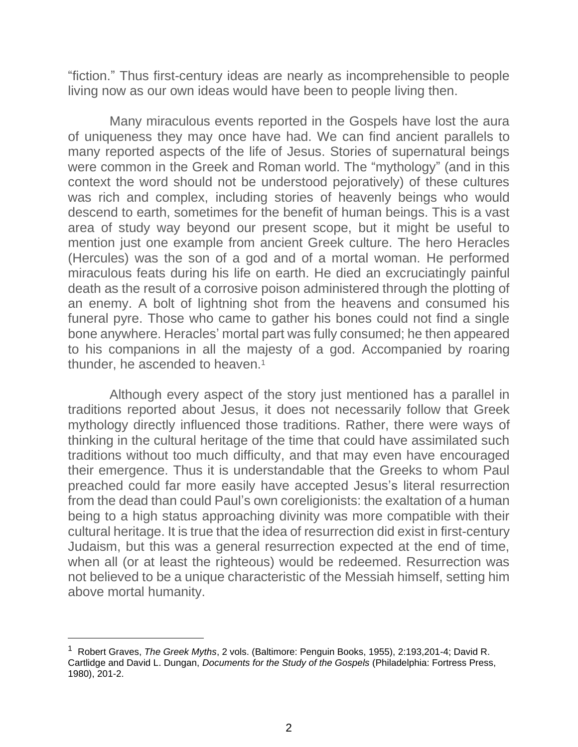"fiction." Thus first-century ideas are nearly as incomprehensible to people living now as our own ideas would have been to people living then.

Many miraculous events reported in the Gospels have lost the aura of uniqueness they may once have had. We can find ancient parallels to many reported aspects of the life of Jesus. Stories of supernatural beings were common in the Greek and Roman world. The "mythology" (and in this context the word should not be understood pejoratively) of these cultures was rich and complex, including stories of heavenly beings who would descend to earth, sometimes for the benefit of human beings. This is a vast area of study way beyond our present scope, but it might be useful to mention just one example from ancient Greek culture. The hero Heracles (Hercules) was the son of a god and of a mortal woman. He performed miraculous feats during his life on earth. He died an excruciatingly painful death as the result of a corrosive poison administered through the plotting of an enemy. A bolt of lightning shot from the heavens and consumed his funeral pyre. Those who came to gather his bones could not find a single bone anywhere. Heracles' mortal part was fully consumed; he then appeared to his companions in all the majesty of a god. Accompanied by roaring thunder, he ascended to heaven.<sup>1</sup>

Although every aspect of the story just mentioned has a parallel in traditions reported about Jesus, it does not necessarily follow that Greek mythology directly influenced those traditions. Rather, there were ways of thinking in the cultural heritage of the time that could have assimilated such traditions without too much difficulty, and that may even have encouraged their emergence. Thus it is understandable that the Greeks to whom Paul preached could far more easily have accepted Jesus's literal resurrection from the dead than could Paul's own coreligionists: the exaltation of a human being to a high status approaching divinity was more compatible with their cultural heritage. It is true that the idea of resurrection did exist in first-century Judaism, but this was a general resurrection expected at the end of time, when all (or at least the righteous) would be redeemed. Resurrection was not believed to be a unique characteristic of the Messiah himself, setting him above mortal humanity.

<sup>1</sup> Robert Graves, *The Greek Myths*, 2 vols. (Baltimore: Penguin Books, 1955), 2:193,201-4; David R. Cartlidge and David L. Dungan, *Documents for the Study of the Gospels* (Philadelphia: Fortress Press, 1980), 201-2.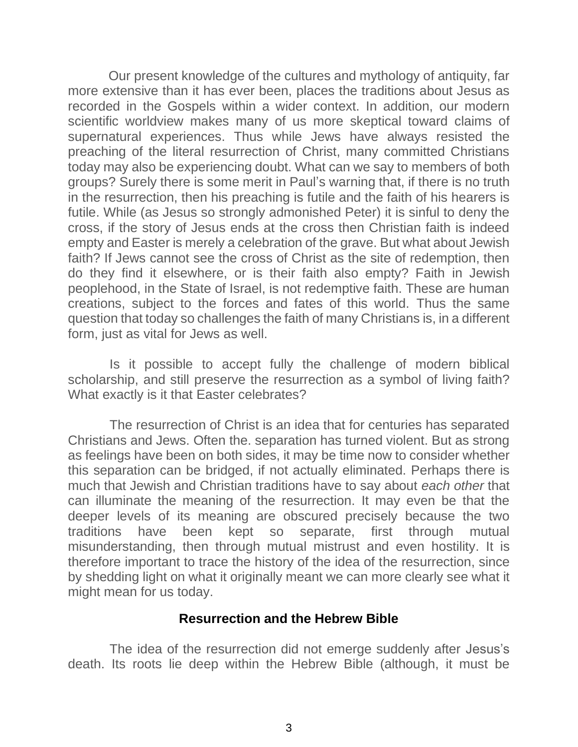Our present knowledge of the cultures and mythology of antiquity, far more extensive than it has ever been, places the traditions about Jesus as recorded in the Gospels within a wider context. In addition, our modern scientific worldview makes many of us more skeptical toward claims of supernatural experiences. Thus while Jews have always resisted the preaching of the literal resurrection of Christ, many committed Christians today may also be experiencing doubt. What can we say to members of both groups? Surely there is some merit in Paul's warning that, if there is no truth in the resurrection, then his preaching is futile and the faith of his hearers is futile. While (as Jesus so strongly admonished Peter) it is sinful to deny the cross, if the story of Jesus ends at the cross then Christian faith is indeed empty and Easter is merely a celebration of the grave. But what about Jewish faith? If Jews cannot see the cross of Christ as the site of redemption, then do they find it elsewhere, or is their faith also empty? Faith in Jewish peoplehood, in the State of Israel, is not redemptive faith. These are human creations, subject to the forces and fates of this world. Thus the same question that today so challenges the faith of many Christians is, in a different form, just as vital for Jews as well.

Is it possible to accept fully the challenge of modern biblical scholarship, and still preserve the resurrection as a symbol of living faith? What exactly is it that Easter celebrates?

The resurrection of Christ is an idea that for centuries has separated Christians and Jews. Often the. separation has turned violent. But as strong as feelings have been on both sides, it may be time now to consider whether this separation can be bridged, if not actually eliminated. Perhaps there is much that Jewish and Christian traditions have to say about *each other* that can illuminate the meaning of the resurrection. It may even be that the deeper levels of its meaning are obscured precisely because the two traditions have been kept so separate, first through mutual misunderstanding, then through mutual mistrust and even hostility. It is therefore important to trace the history of the idea of the resurrection, since by shedding light on what it originally meant we can more clearly see what it might mean for us today.

#### **Resurrection and the Hebrew Bible**

<span id="page-4-0"></span>The idea of the resurrection did not emerge suddenly after Jesus's death. Its roots lie deep within the Hebrew Bible (although, it must be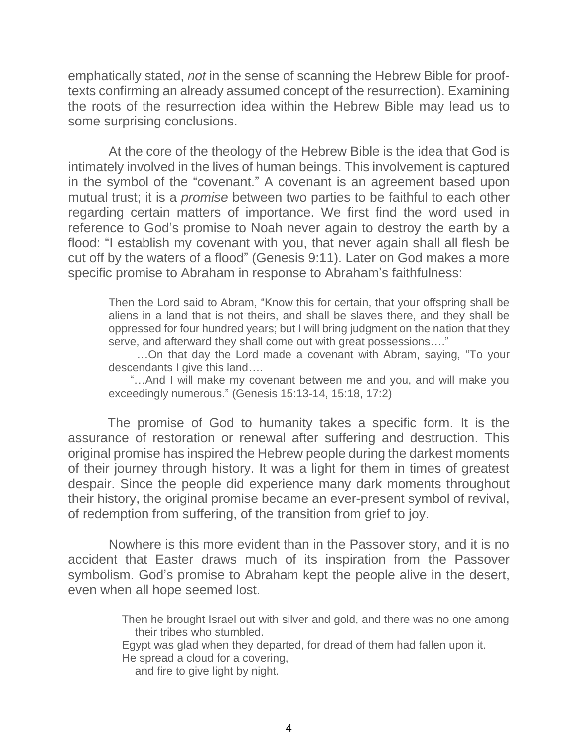emphatically stated, *not* in the sense of scanning the Hebrew Bible for prooftexts confirming an already assumed concept of the resurrection). Examining the roots of the resurrection idea within the Hebrew Bible may lead us to some surprising conclusions.

At the core of the theology of the Hebrew Bible is the idea that God is intimately involved in the lives of human beings. This involvement is captured in the symbol of the "covenant." A covenant is an agreement based upon mutual trust; it is a *promise* between two parties to be faithful to each other regarding certain matters of importance. We first find the word used in reference to God's promise to Noah never again to destroy the earth by a flood: "I establish my covenant with you, that never again shall all flesh be cut off by the waters of a flood" (Genesis 9:11). Later on God makes a more specific promise to Abraham in response to Abraham's faithfulness:

Then the Lord said to Abram, "Know this for certain, that your offspring shall be aliens in a land that is not theirs, and shall be slaves there, and they shall be oppressed for four hundred years; but I will bring judgment on the nation that they serve, and afterward they shall come out with great possessions…."

…On that day the Lord made a covenant with Abram, saying, "To your descendants I give this land….

"…And I will make my covenant between me and you, and will make you exceedingly numerous." (Genesis 15:13-14, 15:18, 17:2)

The promise of God to humanity takes a specific form. It is the assurance of restoration or renewal after suffering and destruction. This original promise has inspired the Hebrew people during the darkest moments of their journey through history. It was a light for them in times of greatest despair. Since the people did experience many dark moments throughout their history, the original promise became an ever-present symbol of revival, of redemption from suffering, of the transition from grief to joy.

Nowhere is this more evident than in the Passover story, and it is no accident that Easter draws much of its inspiration from the Passover symbolism. God's promise to Abraham kept the people alive in the desert, even when all hope seemed lost.

> Then he brought Israel out with silver and gold, and there was no one among their tribes who stumbled.

Egypt was glad when they departed, for dread of them had fallen upon it.

He spread a cloud for a covering,

and fire to give light by night.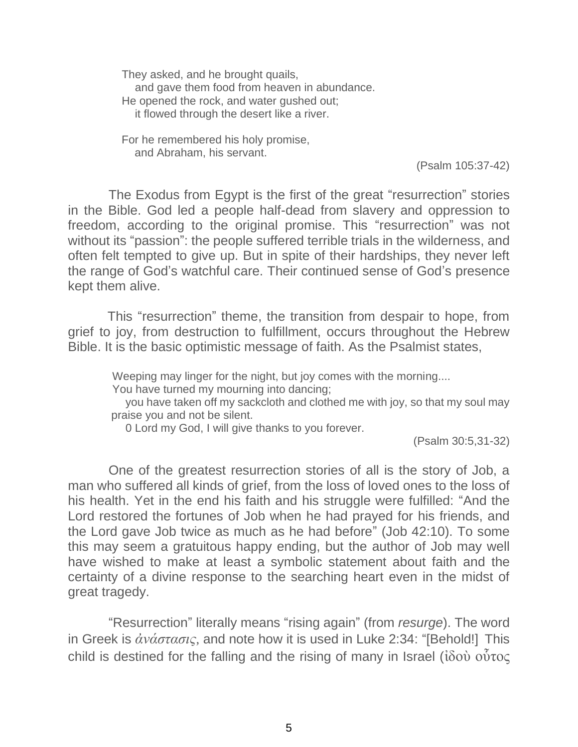They asked, and he brought quails, and gave them food from heaven in abundance. He opened the rock, and water gushed out; it flowed through the desert like a river.

For he remembered his holy promise, and Abraham, his servant.

(Psalm 105:37-42)

The Exodus from Egypt is the first of the great "resurrection" stories in the Bible. God led a people half-dead from slavery and oppression to freedom, according to the original promise. This "resurrection" was not without its "passion": the people suffered terrible trials in the wilderness, and often felt tempted to give up. But in spite of their hardships, they never left the range of God's watchful care. Their continued sense of God's presence kept them alive.

This "resurrection" theme, the transition from despair to hope, from grief to joy, from destruction to fulfillment, occurs throughout the Hebrew Bible. It is the basic optimistic message of faith. As the Psalmist states,

Weeping may linger for the night, but joy comes with the morning....

You have turned my mourning into dancing;

you have taken off my sackcloth and clothed me with joy, so that my soul may praise you and not be silent.

0 Lord my God, I will give thanks to you forever.

(Psalm 30:5,31-32)

One of the greatest resurrection stories of all is the story of Job, a man who suffered all kinds of grief, from the loss of loved ones to the loss of his health. Yet in the end his faith and his struggle were fulfilled: "And the Lord restored the fortunes of Job when he had prayed for his friends, and the Lord gave Job twice as much as he had before" (Job 42:10). To some this may seem a gratuitous happy ending, but the author of Job may well have wished to make at least a symbolic statement about faith and the certainty of a divine response to the searching heart even in the midst of great tragedy.

"Resurrection" literally means "rising again" (from *resurge*). The word in Greek is *ἀνάστασις*, and note how it is used in Luke 2:34: "[Behold!] This child is destined for the falling and the rising of many in Israel ( $iδoù oδτος$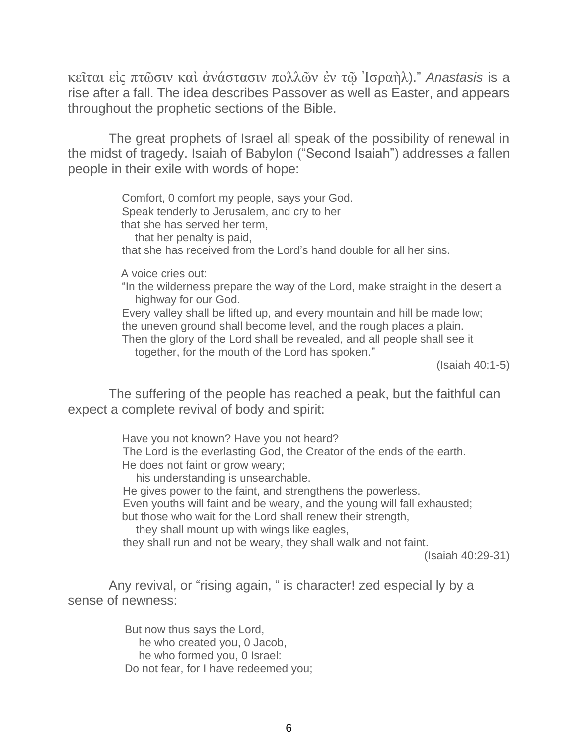κεῖται εἰς πτῶσιν καὶ ἀνάστασιν πολλῶν ἐν τῷ Ἰσραὴλ)." *Anastasis* is a rise after a fall. The idea describes Passover as well as Easter, and appears throughout the prophetic sections of the Bible.

The great prophets of Israel all speak of the possibility of renewal in the midst of tragedy. Isaiah of Babylon ("Second Isaiah") addresses *a* fallen people in their exile with words of hope:

> Comfort, 0 comfort my people, says your God. Speak tenderly to Jerusalem, and cry to her that she has served her term, that her penalty is paid, that she has received from the Lord's hand double for all her sins.

A voice cries out:

"In the wilderness prepare the way of the Lord, make straight in the desert a highway for our God.

Every valley shall be lifted up, and every mountain and hill be made low; the uneven ground shall become level, and the rough places a plain. Then the glory of the Lord shall be revealed, and all people shall see it together, for the mouth of the Lord has spoken."

(Isaiah 40:1-5)

The suffering of the people has reached a peak, but the faithful can expect a complete revival of body and spirit:

> Have you not known? Have you not heard? The Lord is the everlasting God, the Creator of the ends of the earth. He does not faint or grow weary;

his understanding is unsearchable.

He gives power to the faint, and strengthens the powerless.

Even youths will faint and be weary, and the young will fall exhausted;

but those who wait for the Lord shall renew their strength,

they shall mount up with wings like eagles,

they shall run and not be weary, they shall walk and not faint.

(Isaiah 40:29-31)

Any revival, or "rising again, " is character! zed especial ly by a sense of newness:

> But now thus says the Lord, he who created you, 0 Jacob, he who formed you, 0 Israel: Do not fear, for I have redeemed you;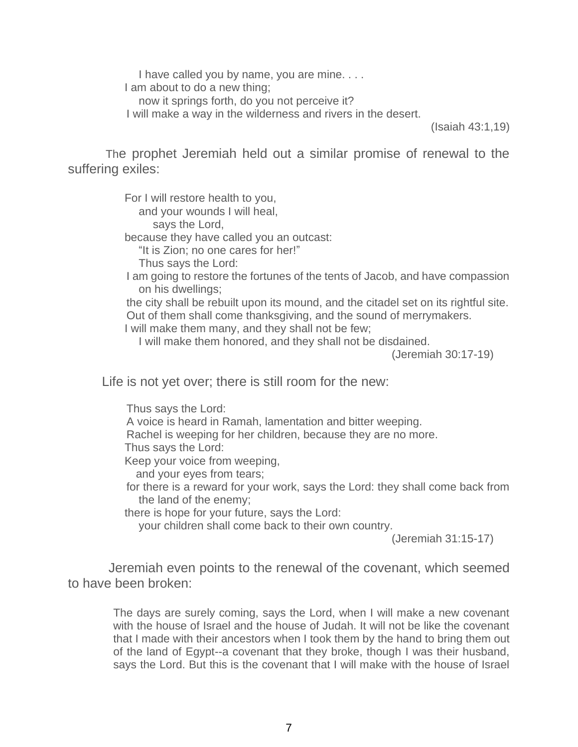I have called you by name, you are mine. . . . I am about to do a new thing; now it springs forth, do you not perceive it? I will make a way in the wilderness and rivers in the desert.

(Isaiah 43:1,19)

The prophet Jeremiah held out a similar promise of renewal to the suffering exiles:

For I will restore health to you,

and your wounds I will heal,

says the Lord,

because they have called you an outcast:

"It is Zion; no one cares for her!"

Thus says the Lord:

I am going to restore the fortunes of the tents of Jacob, and have compassion on his dwellings;

the city shall be rebuilt upon its mound, and the citadel set on its rightful site. Out of them shall come thanksgiving, and the sound of merrymakers.

I will make them many, and they shall not be few;

I will make them honored, and they shall not be disdained.

(Jeremiah 30:17-19)

Life is not yet over; there is still room for the new:

Thus says the Lord: A voice is heard in Ramah, lamentation and bitter weeping. Rachel is weeping for her children, because they are no more. Thus says the Lord: Keep your voice from weeping, and your eyes from tears; for there is a reward for your work, says the Lord: they shall come back from the land of the enemy; there is hope for your future, says the Lord:

your children shall come back to their own country.

(Jeremiah 31:15-17)

Jeremiah even points to the renewal of the covenant, which seemed to have been broken:

> The days are surely coming, says the Lord, when I will make a new covenant with the house of Israel and the house of Judah. It will not be like the covenant that I made with their ancestors when I took them by the hand to bring them out of the land of Egypt--a covenant that they broke, though I was their husband, says the Lord. But this is the covenant that I will make with the house of Israel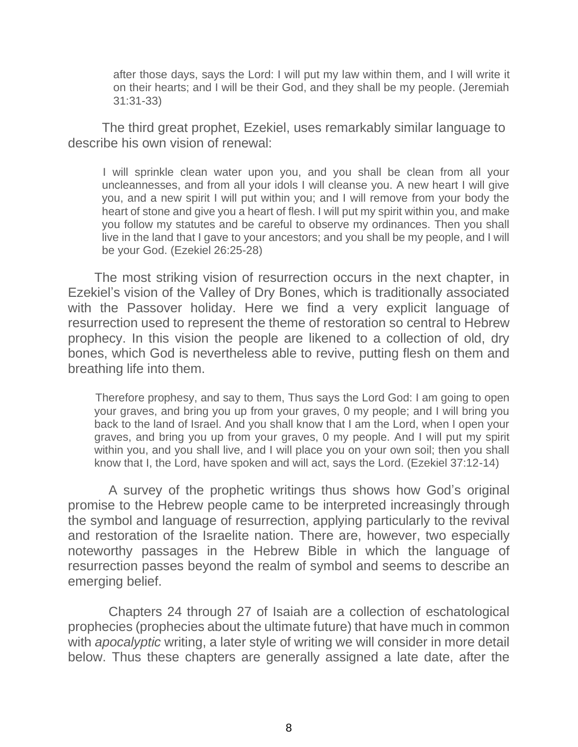after those days, says the Lord: I will put my law within them, and I will write it on their hearts; and I will be their God, and they shall be my people. (Jeremiah 31:31-33)

The third great prophet, Ezekiel, uses remarkably similar language to describe his own vision of renewal:

I will sprinkle clean water upon you, and you shall be clean from all your uncleannesses, and from all your idols I will cleanse you. A new heart I will give you, and a new spirit I will put within you; and I will remove from your body the heart of stone and give you a heart of flesh. I will put my spirit within you, and make you follow my statutes and be careful to observe my ordinances. Then you shall live in the land that I gave to your ancestors; and you shall be my people, and I will be your God. (Ezekiel 26:25-28)

The most striking vision of resurrection occurs in the next chapter, in Ezekiel's vision of the Valley of Dry Bones, which is traditionally associated with the Passover holiday. Here we find a very explicit language of resurrection used to represent the theme of restoration so central to Hebrew prophecy. In this vision the people are likened to a collection of old, dry bones, which God is nevertheless able to revive, putting flesh on them and breathing life into them.

Therefore prophesy, and say to them, Thus says the Lord God: I am going to open your graves, and bring you up from your graves, 0 my people; and I will bring you back to the land of Israel. And you shall know that I am the Lord, when I open your graves, and bring you up from your graves, 0 my people. And I will put my spirit within you, and you shall live, and I will place you on your own soil; then you shall know that I, the Lord, have spoken and will act, says the Lord. (Ezekiel 37:12-14)

A survey of the prophetic writings thus shows how God's original promise to the Hebrew people came to be interpreted increasingly through the symbol and language of resurrection, applying particularly to the revival and restoration of the Israelite nation. There are, however, two especially noteworthy passages in the Hebrew Bible in which the language of resurrection passes beyond the realm of symbol and seems to describe an emerging belief.

Chapters 24 through 27 of Isaiah are a collection of eschatological prophecies (prophecies about the ultimate future) that have much in common with *apocalyptic* writing, a later style of writing we will consider in more detail below. Thus these chapters are generally assigned a late date, after the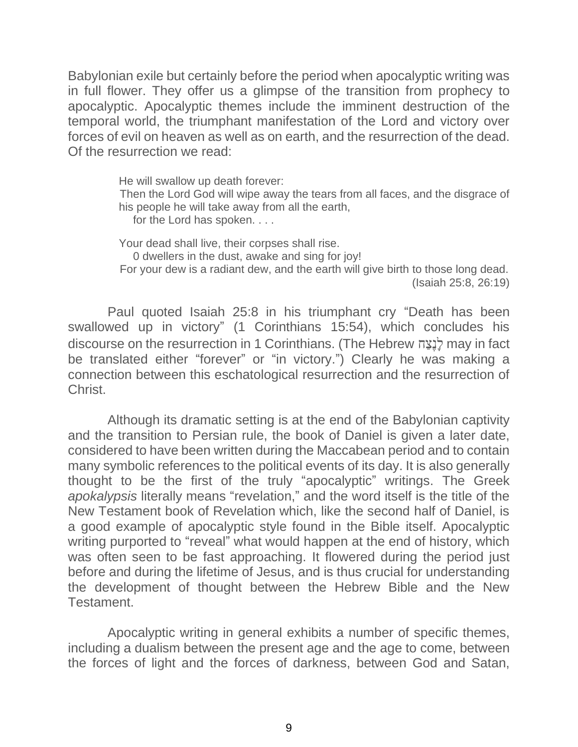Babylonian exile but certainly before the period when apocalyptic writing was in full flower. They offer us a glimpse of the transition from prophecy to apocalyptic. Apocalyptic themes include the imminent destruction of the temporal world, the triumphant manifestation of the Lord and victory over forces of evil on heaven as well as on earth, and the resurrection of the dead. Of the resurrection we read:

> He will swallow up death forever: Then the Lord God will wipe away the tears from all faces, and the disgrace of his people he will take away from all the earth, for the Lord has spoken. . . .

> Your dead shall live, their corpses shall rise. 0 dwellers in the dust, awake and sing for joy! For your dew is a radiant dew, and the earth will give birth to those long dead. (Isaiah 25:8, 26:19)

Paul quoted Isaiah 25:8 in his triumphant cry "Death has been swallowed up in victory" (1 Corinthians 15:54), which concludes his discourse on the resurrection in 1 Corinthians. (The Hebrew ח ַצֶנָל may in fact be translated either "forever" or "in victory.") Clearly he was making a connection between this eschatological resurrection and the resurrection of Christ.

Although its dramatic setting is at the end of the Babylonian captivity and the transition to Persian rule, the book of Daniel is given a later date, considered to have been written during the Maccabean period and to contain many symbolic references to the political events of its day. It is also generally thought to be the first of the truly "apocalyptic" writings. The Greek *apokalypsis* literally means "revelation," and the word itself is the title of the New Testament book of Revelation which, like the second half of Daniel, is a good example of apocalyptic style found in the Bible itself. Apocalyptic writing purported to "reveal" what would happen at the end of history, which was often seen to be fast approaching. It flowered during the period just before and during the lifetime of Jesus, and is thus crucial for understanding the development of thought between the Hebrew Bible and the New Testament.

Apocalyptic writing in general exhibits a number of specific themes, including a dualism between the present age and the age to come, between the forces of light and the forces of darkness, between God and Satan,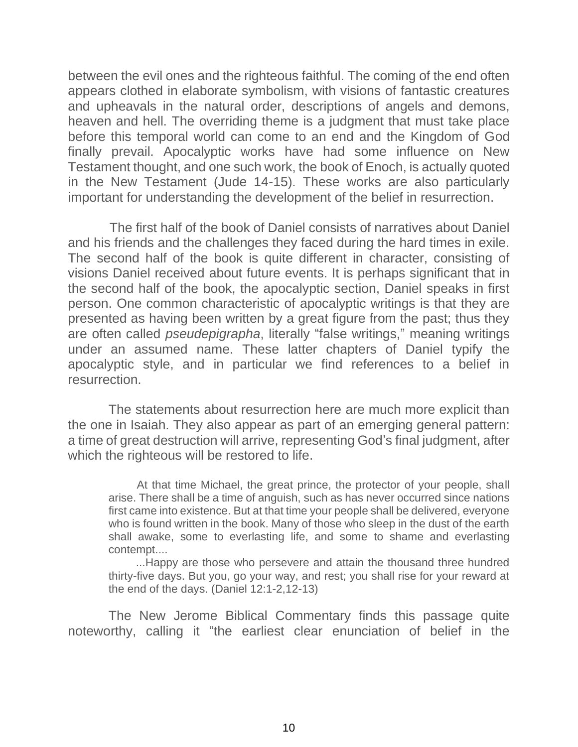between the evil ones and the righteous faithful. The coming of the end often appears clothed in elaborate symbolism, with visions of fantastic creatures and upheavals in the natural order, descriptions of angels and demons, heaven and hell. The overriding theme is a judgment that must take place before this temporal world can come to an end and the Kingdom of God finally prevail. Apocalyptic works have had some influence on New Testament thought, and one such work, the book of Enoch, is actually quoted in the New Testament (Jude 14-15). These works are also particularly important for understanding the development of the belief in resurrection.

The first half of the book of Daniel consists of narratives about Daniel and his friends and the challenges they faced during the hard times in exile. The second half of the book is quite different in character, consisting of visions Daniel received about future events. It is perhaps significant that in the second half of the book, the apocalyptic section, Daniel speaks in first person. One common characteristic of apocalyptic writings is that they are presented as having been written by a great figure from the past; thus they are often called *pseudepigrapha*, literally "false writings," meaning writings under an assumed name. These latter chapters of Daniel typify the apocalyptic style, and in particular we find references to a belief in resurrection.

The statements about resurrection here are much more explicit than the one in Isaiah. They also appear as part of an emerging general pattern: a time of great destruction will arrive, representing God's final judgment, after which the righteous will be restored to life.

At that time Michael, the great prince, the protector of your people, shall arise. There shall be a time of anguish, such as has never occurred since nations first came into existence. But at that time your people shall be delivered, everyone who is found written in the book. Many of those who sleep in the dust of the earth shall awake, some to everlasting life, and some to shame and everlasting contempt....

...Happy are those who persevere and attain the thousand three hundred thirty-five days. But you, go your way, and rest; you shall rise for your reward at the end of the days. (Daniel 12:1-2,12-13)

The New Jerome Biblical Commentary finds this passage quite noteworthy, calling it "the earliest clear enunciation of belief in the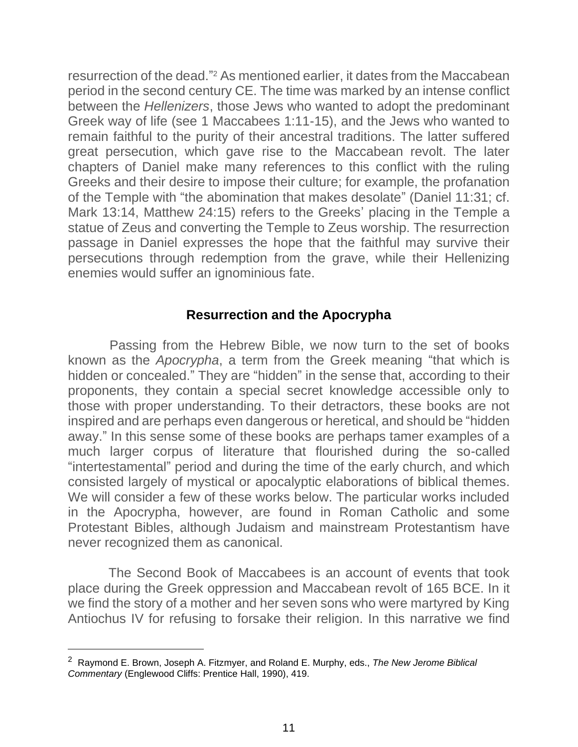resurrection of the dead." <sup>2</sup> As mentioned earlier, it dates from the Maccabean period in the second century CE. The time was marked by an intense conflict between the *Hellenizers*, those Jews who wanted to adopt the predominant Greek way of life (see 1 Maccabees 1:11-15), and the Jews who wanted to remain faithful to the purity of their ancestral traditions. The latter suffered great persecution, which gave rise to the Maccabean revolt. The later chapters of Daniel make many references to this conflict with the ruling Greeks and their desire to impose their culture; for example, the profanation of the Temple with "the abomination that makes desolate" (Daniel 11:31; cf. Mark 13:14, Matthew 24:15) refers to the Greeks' placing in the Temple a statue of Zeus and converting the Temple to Zeus worship. The resurrection passage in Daniel expresses the hope that the faithful may survive their persecutions through redemption from the grave, while their Hellenizing enemies would suffer an ignominious fate.

## **Resurrection and the Apocrypha**

<span id="page-12-0"></span>Passing from the Hebrew Bible, we now turn to the set of books known as the *Apocrypha*, a term from the Greek meaning "that which is hidden or concealed." They are "hidden" in the sense that, according to their proponents, they contain a special secret knowledge accessible only to those with proper understanding. To their detractors, these books are not inspired and are perhaps even dangerous or heretical, and should be "hidden away." In this sense some of these books are perhaps tamer examples of a much larger corpus of literature that flourished during the so-called "intertestamental" period and during the time of the early church, and which consisted largely of mystical or apocalyptic elaborations of biblical themes. We will consider a few of these works below. The particular works included in the Apocrypha, however, are found in Roman Catholic and some Protestant Bibles, although Judaism and mainstream Protestantism have never recognized them as canonical.

The Second Book of Maccabees is an account of events that took place during the Greek oppression and Maccabean revolt of 165 BCE. In it we find the story of a mother and her seven sons who were martyred by King Antiochus IV for refusing to forsake their religion. In this narrative we find

<sup>2</sup> Raymond E. Brown, Joseph A. Fitzmyer, and Roland E. Murphy, eds., *The New Jerome Biblical Commentary* (Englewood Cliffs: Prentice Hall, 1990), 419.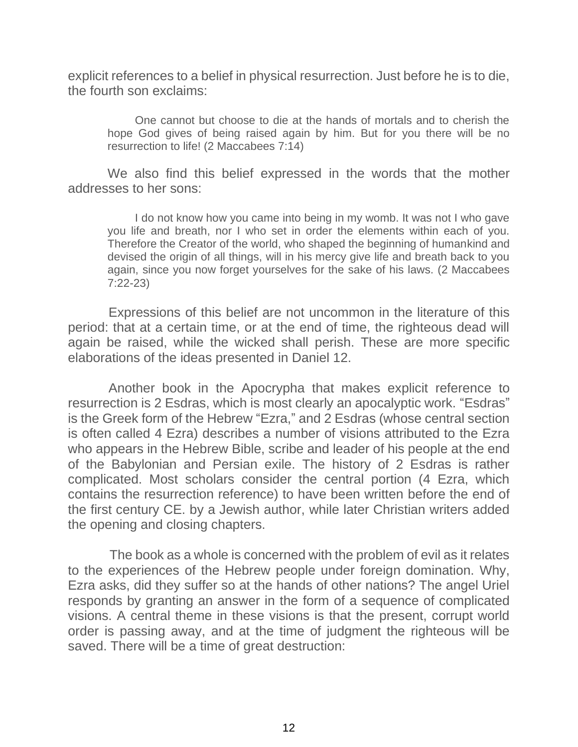explicit references to a belief in physical resurrection. Just before he is to die, the fourth son exclaims:

One cannot but choose to die at the hands of mortals and to cherish the hope God gives of being raised again by him. But for you there will be no resurrection to life! (2 Maccabees 7:14)

We also find this belief expressed in the words that the mother addresses to her sons:

I do not know how you came into being in my womb. It was not I who gave you life and breath, nor I who set in order the elements within each of you. Therefore the Creator of the world, who shaped the beginning of humankind and devised the origin of all things, will in his mercy give life and breath back to you again, since you now forget yourselves for the sake of his laws. (2 Maccabees 7:22-23)

Expressions of this belief are not uncommon in the literature of this period: that at a certain time, or at the end of time, the righteous dead will again be raised, while the wicked shall perish. These are more specific elaborations of the ideas presented in Daniel 12.

Another book in the Apocrypha that makes explicit reference to resurrection is 2 Esdras, which is most clearly an apocalyptic work. "Esdras" is the Greek form of the Hebrew "Ezra," and 2 Esdras (whose central section is often called 4 Ezra) describes a number of visions attributed to the Ezra who appears in the Hebrew Bible, scribe and leader of his people at the end of the Babylonian and Persian exile. The history of 2 Esdras is rather complicated. Most scholars consider the central portion (4 Ezra, which contains the resurrection reference) to have been written before the end of the first century CE. by a Jewish author, while later Christian writers added the opening and closing chapters.

The book as a whole is concerned with the problem of evil as it relates to the experiences of the Hebrew people under foreign domination. Why, Ezra asks, did they suffer so at the hands of other nations? The angel Uriel responds by granting an answer in the form of a sequence of complicated visions. A central theme in these visions is that the present, corrupt world order is passing away, and at the time of judgment the righteous will be saved. There will be a time of great destruction: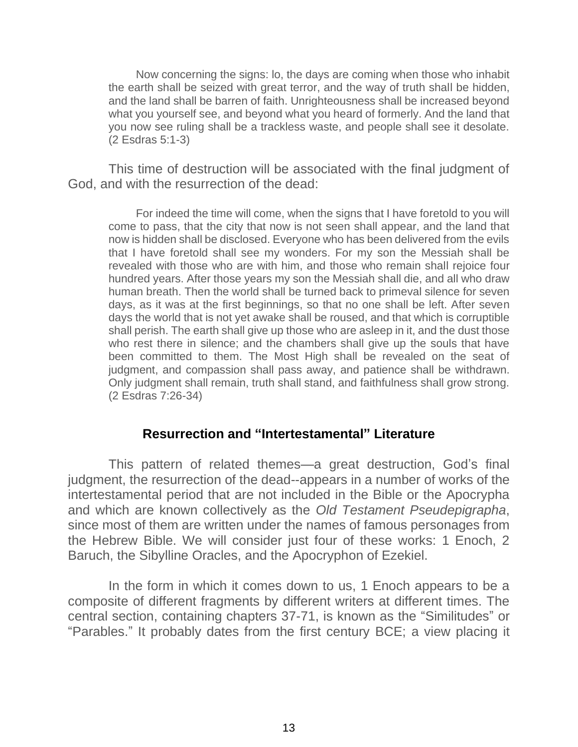Now concerning the signs: lo, the days are coming when those who inhabit the earth shall be seized with great terror, and the way of truth shall be hidden, and the land shall be barren of faith. Unrighteousness shall be increased beyond what you yourself see, and beyond what you heard of formerly. And the land that you now see ruling shall be a trackless waste, and people shall see it desolate. (2 Esdras 5:1-3)

This time of destruction will be associated with the final judgment of God, and with the resurrection of the dead:

For indeed the time will come, when the signs that I have foretold to you will come to pass, that the city that now is not seen shall appear, and the land that now is hidden shall be disclosed. Everyone who has been delivered from the evils that I have foretold shall see my wonders. For my son the Messiah shall be revealed with those who are with him, and those who remain shall rejoice four hundred years. After those years my son the Messiah shall die, and all who draw human breath. Then the world shall be turned back to primeval silence for seven days, as it was at the first beginnings, so that no one shall be left. After seven days the world that is not yet awake shall be roused, and that which is corruptible shall perish. The earth shall give up those who are asleep in it, and the dust those who rest there in silence; and the chambers shall give up the souls that have been committed to them. The Most High shall be revealed on the seat of judgment, and compassion shall pass away, and patience shall be withdrawn. Only judgment shall remain, truth shall stand, and faithfulness shall grow strong. (2 Esdras 7:26-34)

#### **Resurrection and "Intertestamental" Literature**

<span id="page-14-0"></span>This pattern of related themes—a great destruction, God's final judgment, the resurrection of the dead--appears in a number of works of the intertestamental period that are not included in the Bible or the Apocrypha and which are known collectively as the *Old Testament Pseudepigrapha*, since most of them are written under the names of famous personages from the Hebrew Bible. We will consider just four of these works: 1 Enoch, 2 Baruch, the Sibylline Oracles, and the Apocryphon of Ezekiel.

In the form in which it comes down to us, 1 Enoch appears to be a composite of different fragments by different writers at different times. The central section, containing chapters 37-71, is known as the "Similitudes" or "Parables." It probably dates from the first century BCE; a view placing it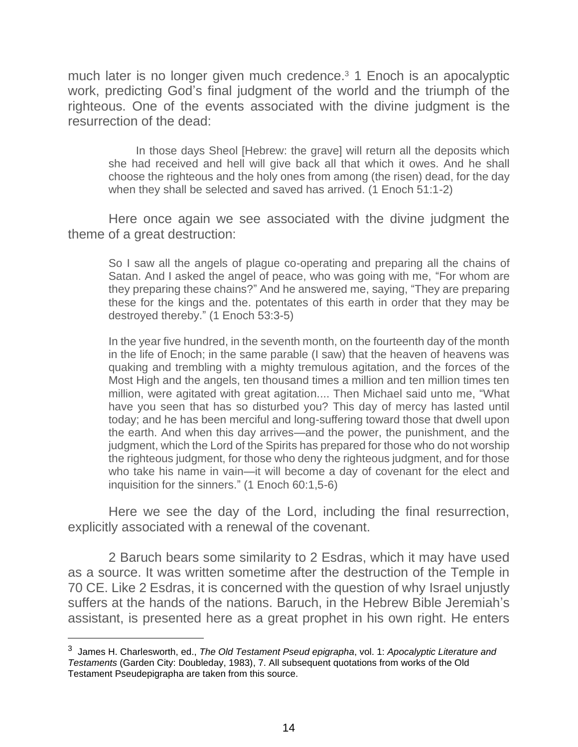much later is no longer given much credence.<sup>3</sup> 1 Enoch is an apocalyptic work, predicting God's final judgment of the world and the triumph of the righteous. One of the events associated with the divine judgment is the resurrection of the dead:

In those days Sheol [Hebrew: the grave] will return all the deposits which she had received and hell will give back all that which it owes. And he shall choose the righteous and the holy ones from among (the risen) dead, for the day when they shall be selected and saved has arrived. (1 Enoch 51:1-2)

Here once again we see associated with the divine judgment the theme of a great destruction:

So I saw all the angels of plague co-operating and preparing all the chains of Satan. And I asked the angel of peace, who was going with me, "For whom are they preparing these chains?" And he answered me, saying, "They are preparing these for the kings and the. potentates of this earth in order that they may be destroyed thereby." (1 Enoch 53:3-5)

In the year five hundred, in the seventh month, on the fourteenth day of the month in the life of Enoch; in the same parable (I saw) that the heaven of heavens was quaking and trembling with a mighty tremulous agitation, and the forces of the Most High and the angels, ten thousand times a million and ten million times ten million, were agitated with great agitation.... Then Michael said unto me, "What have you seen that has so disturbed you? This day of mercy has lasted until today; and he has been merciful and long-suffering toward those that dwell upon the earth. And when this day arrives—and the power, the punishment, and the judgment, which the Lord of the Spirits has prepared for those who do not worship the righteous judgment, for those who deny the righteous judgment, and for those who take his name in vain—it will become a day of covenant for the elect and inquisition for the sinners." (1 Enoch 60:1,5-6)

Here we see the day of the Lord, including the final resurrection, explicitly associated with a renewal of the covenant.

2 Baruch bears some similarity to 2 Esdras, which it may have used as a source. It was written sometime after the destruction of the Temple in 70 CE. Like 2 Esdras, it is concerned with the question of why Israel unjustly suffers at the hands of the nations. Baruch, in the Hebrew Bible Jeremiah's assistant, is presented here as a great prophet in his own right. He enters

<sup>3</sup> James H. Charlesworth, ed., *The Old Testament Pseud epigrapha*, vol. 1: *Apocalyptic Literature and Testaments* (Garden City: Doubleday, 1983), 7. All subsequent quotations from works of the Old Testament Pseudepigrapha are taken from this source.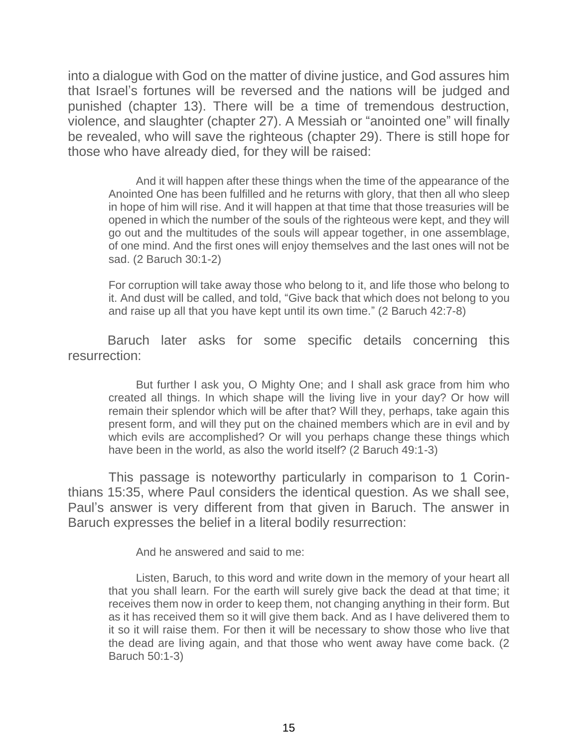into a dialogue with God on the matter of divine justice, and God assures him that Israel's fortunes will be reversed and the nations will be judged and punished (chapter 13). There will be a time of tremendous destruction, violence, and slaughter (chapter 27). A Messiah or "anointed one" will finally be revealed, who will save the righteous (chapter 29). There is still hope for those who have already died, for they will be raised:

And it will happen after these things when the time of the appearance of the Anointed One has been fulfilled and he returns with glory, that then all who sleep in hope of him will rise. And it will happen at that time that those treasuries will be opened in which the number of the souls of the righteous were kept, and they will go out and the multitudes of the souls will appear together, in one assemblage, of one mind. And the first ones will enjoy themselves and the last ones will not be sad. (2 Baruch 30:1-2)

For corruption will take away those who belong to it, and life those who belong to it. And dust will be called, and told, "Give back that which does not belong to you and raise up all that you have kept until its own time." (2 Baruch 42:7-8)

Baruch later asks for some specific details concerning this resurrection:

But further I ask you, O Mighty One; and I shall ask grace from him who created all things. In which shape will the living live in your day? Or how will remain their splendor which will be after that? Will they, perhaps, take again this present form, and will they put on the chained members which are in evil and by which evils are accomplished? Or will you perhaps change these things which have been in the world, as also the world itself? (2 Baruch 49:1-3)

This passage is noteworthy particularly in comparison to 1 Corinthians 15:35, where Paul considers the identical question. As we shall see, Paul's answer is very different from that given in Baruch. The answer in Baruch expresses the belief in a literal bodily resurrection:

And he answered and said to me:

Listen, Baruch, to this word and write down in the memory of your heart all that you shall learn. For the earth will surely give back the dead at that time; it receives them now in order to keep them, not changing anything in their form. But as it has received them so it will give them back. And as I have delivered them to it so it will raise them. For then it will be necessary to show those who live that the dead are living again, and that those who went away have come back. (2 Baruch 50:1-3)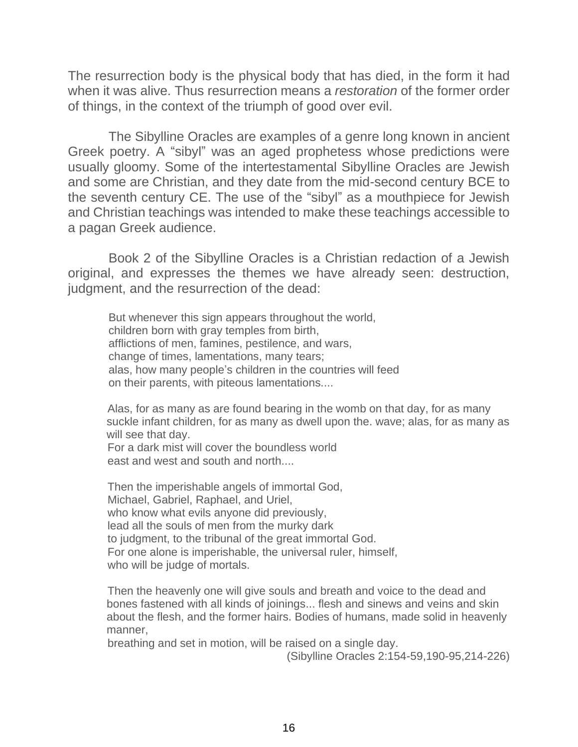The resurrection body is the physical body that has died, in the form it had when it was alive. Thus resurrection means a *restoration* of the former order of things, in the context of the triumph of good over evil.

The Sibylline Oracles are examples of a genre long known in ancient Greek poetry. A "sibyl" was an aged prophetess whose predictions were usually gloomy. Some of the intertestamental Sibylline Oracles are Jewish and some are Christian, and they date from the mid-second century BCE to the seventh century CE. The use of the "sibyl" as a mouthpiece for Jewish and Christian teachings was intended to make these teachings accessible to a pagan Greek audience.

Book 2 of the Sibylline Oracles is a Christian redaction of a Jewish original, and expresses the themes we have already seen: destruction, judgment, and the resurrection of the dead:

But whenever this sign appears throughout the world, children born with gray temples from birth, afflictions of men, famines, pestilence, and wars, change of times, lamentations, many tears; alas, how many people's children in the countries will feed on their parents, with piteous lamentations....

Alas, for as many as are found bearing in the womb on that day, for as many suckle infant children, for as many as dwell upon the. wave; alas, for as many as will see that day.

For a dark mist will cover the boundless world east and west and south and north....

Then the imperishable angels of immortal God, Michael, Gabriel, Raphael, and Uriel, who know what evils anyone did previously, lead all the souls of men from the murky dark to judgment, to the tribunal of the great immortal God. For one alone is imperishable, the universal ruler, himself, who will be judge of mortals.

Then the heavenly one will give souls and breath and voice to the dead and bones fastened with all kinds of joinings... flesh and sinews and veins and skin about the flesh, and the former hairs. Bodies of humans, made solid in heavenly manner,

breathing and set in motion, will be raised on a single day.

(Sibylline Oracles 2:154-59,190-95,214-226)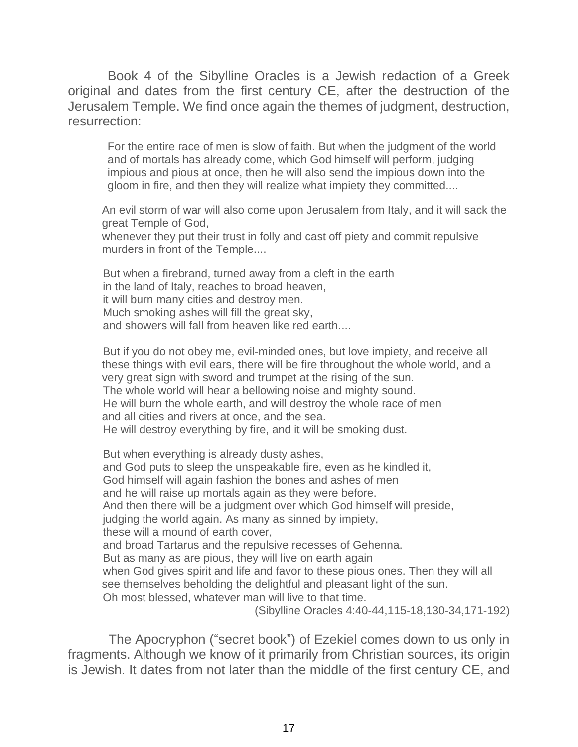Book 4 of the Sibylline Oracles is a Jewish redaction of a Greek original and dates from the first century CE, after the destruction of the Jerusalem Temple. We find once again the themes of judgment, destruction, resurrection:

For the entire race of men is slow of faith. But when the judgment of the world and of mortals has already come, which God himself will perform, judging impious and pious at once, then he will also send the impious down into the gloom in fire, and then they will realize what impiety they committed....

An evil storm of war will also come upon Jerusalem from Italy, and it will sack the great Temple of God,

whenever they put their trust in folly and cast off piety and commit repulsive murders in front of the Temple....

But when a firebrand, turned away from a cleft in the earth in the land of Italy, reaches to broad heaven, it will burn many cities and destroy men. Much smoking ashes will fill the great sky, and showers will fall from heaven like red earth....

But if you do not obey me, evil-minded ones, but love impiety, and receive all these things with evil ears, there will be fire throughout the whole world, and a very great sign with sword and trumpet at the rising of the sun. The whole world will hear a bellowing noise and mighty sound. He will burn the whole earth, and will destroy the whole race of men and all cities and rivers at once, and the sea. He will destroy everything by fire, and it will be smoking dust.

But when everything is already dusty ashes, and God puts to sleep the unspeakable fire, even as he kindled it, God himself will again fashion the bones and ashes of men and he will raise up mortals again as they were before. And then there will be a judgment over which God himself will preside, judging the world again. As many as sinned by impiety, these will a mound of earth cover, and broad Tartarus and the repulsive recesses of Gehenna. But as many as are pious, they will live on earth again when God gives spirit and life and favor to these pious ones. Then they will all see themselves beholding the delightful and pleasant light of the sun. Oh most blessed, whatever man will live to that time. (Sibylline Oracles 4:40-44,115-18,130-34,171-192)

The Apocryphon ("secret book") of Ezekiel comes down to us only in fragments. Although we know of it primarily from Christian sources, its origin is Jewish. It dates from not later than the middle of the first century CE, and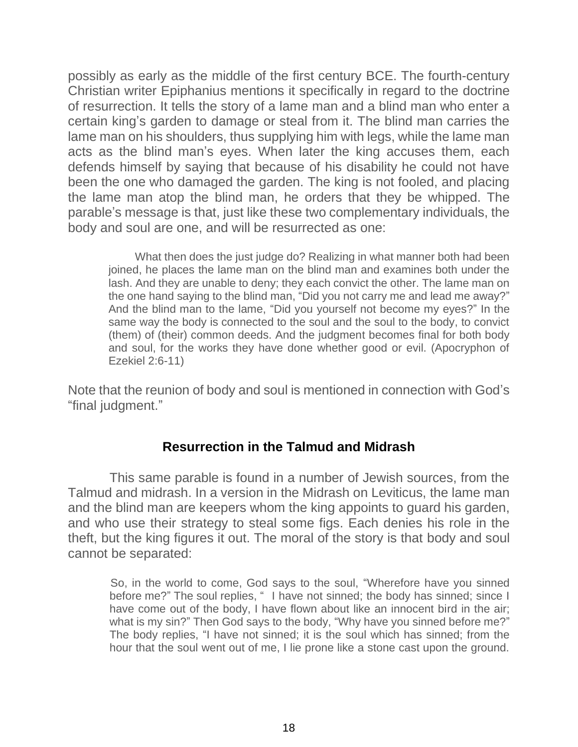possibly as early as the middle of the first century BCE. The fourth-century Christian writer Epiphanius mentions it specifically in regard to the doctrine of resurrection. It tells the story of a lame man and a blind man who enter a certain king's garden to damage or steal from it. The blind man carries the lame man on his shoulders, thus supplying him with legs, while the lame man acts as the blind man's eyes. When later the king accuses them, each defends himself by saying that because of his disability he could not have been the one who damaged the garden. The king is not fooled, and placing the lame man atop the blind man, he orders that they be whipped. The parable's message is that, just like these two complementary individuals, the body and soul are one, and will be resurrected as one:

What then does the just judge do? Realizing in what manner both had been joined, he places the lame man on the blind man and examines both under the lash. And they are unable to deny; they each convict the other. The lame man on the one hand saying to the blind man, "Did you not carry me and lead me away?" And the blind man to the lame, "Did you yourself not become my eyes?" In the same way the body is connected to the soul and the soul to the body, to convict (them) of (their) common deeds. And the judgment becomes final for both body and soul, for the works they have done whether good or evil. (Apocryphon of Ezekiel 2:6-11)

Note that the reunion of body and soul is mentioned in connection with God's "final judgment."

## **Resurrection in the Talmud and Midrash**

<span id="page-19-0"></span>This same parable is found in a number of Jewish sources, from the Talmud and midrash. In a version in the Midrash on Leviticus, the lame man and the blind man are keepers whom the king appoints to guard his garden, and who use their strategy to steal some figs. Each denies his role in the theft, but the king figures it out. The moral of the story is that body and soul cannot be separated:

So, in the world to come, God says to the soul, "Wherefore have you sinned before me?" The soul replies, " I have not sinned; the body has sinned; since I have come out of the body, I have flown about like an innocent bird in the air; what is my sin?" Then God says to the body, "Why have you sinned before me?" The body replies, "I have not sinned; it is the soul which has sinned; from the hour that the soul went out of me, I lie prone like a stone cast upon the ground.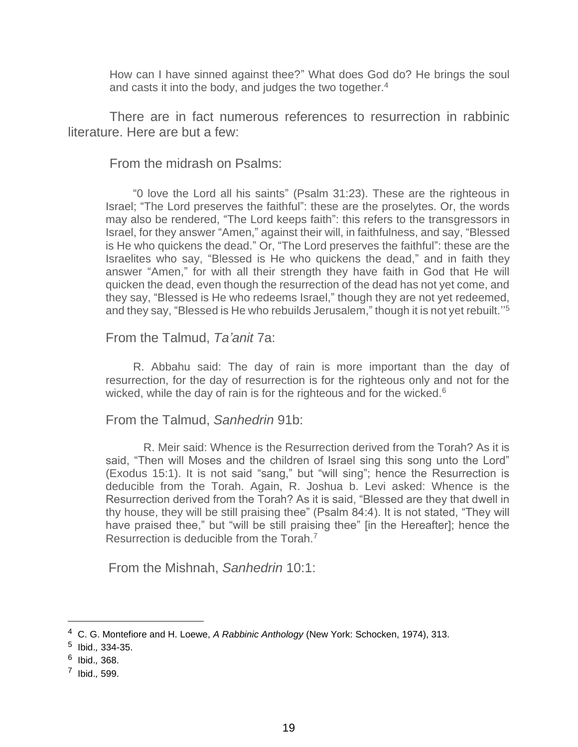How can I have sinned against thee?" What does God do? He brings the soul and casts it into the body, and judges the two together.<sup>4</sup>

There are in fact numerous references to resurrection in rabbinic literature. Here are but a few:

From the midrash on Psalms:

"0 love the Lord all his saints" (Psalm 31:23). These are the righteous in Israel; "The Lord preserves the faithful": these are the proselytes. Or, the words may also be rendered, "The Lord keeps faith": this refers to the transgressors in Israel, for they answer "Amen," against their will, in faithfulness, and say, "Blessed is He who quickens the dead." Or, "The Lord preserves the faithful": these are the Israelites who say, "Blessed is He who quickens the dead," and in faith they answer "Amen," for with all their strength they have faith in God that He will quicken the dead, even though the resurrection of the dead has not yet come, and they say, "Blessed is He who redeems Israel," though they are not yet redeemed, and they say, "Blessed is He who rebuilds Jerusalem," though it is not yet rebuilt."<sup>5</sup>

From the Talmud, *Ta'anit* 7a:

R. Abbahu said: The day of rain is more important than the day of resurrection, for the day of resurrection is for the righteous only and not for the wicked, while the day of rain is for the righteous and for the wicked.<sup>6</sup>

From the Talmud, *Sanhedrin* 91b:

R. Meir said: Whence is the Resurrection derived from the Torah? As it is said, "Then will Moses and the children of Israel sing this song unto the Lord" (Exodus 15:1). It is not said "sang," but "will sing"; hence the Resurrection is deducible from the Torah. Again, R. Joshua b. Levi asked: Whence is the Resurrection derived from the Torah? As it is said, "Blessed are they that dwell in thy house, they will be still praising thee" (Psalm 84:4). It is not stated, "They will have praised thee," but "will be still praising thee" [in the Hereafter]; hence the Resurrection is deducible from the Torah.<sup>7</sup>

From the Mishnah, *Sanhedrin* 10:1:

<sup>4</sup> C. G. Montefiore and H. Loewe, *A Rabbinic Anthology* (New York: Schocken, 1974), 313.

<sup>5</sup> Ibid.*,* 334-35.

<sup>6</sup> Ibid.*,* 368.

<sup>7</sup> Ibid.*,* 599.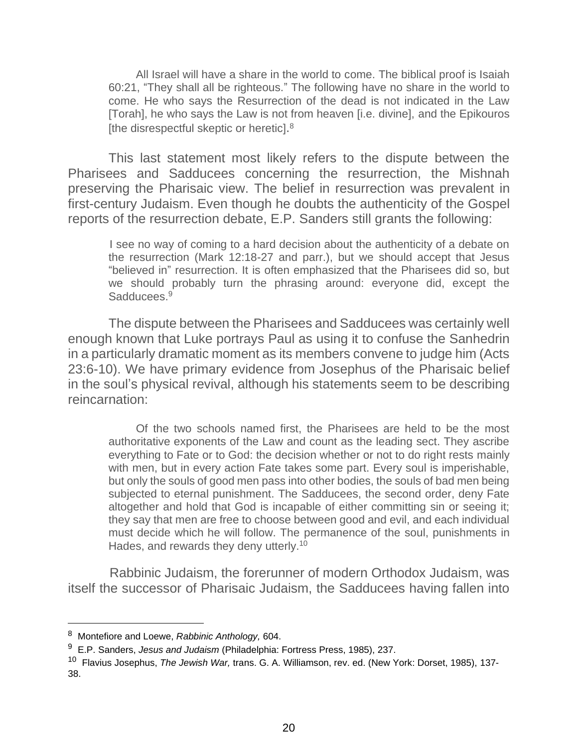All Israel will have a share in the world to come. The biblical proof is Isaiah 60:21, "They shall all be righteous." The following have no share in the world to come. He who says the Resurrection of the dead is not indicated in the Law [Torah], he who says the Law is not from heaven [i.e. divine], and the Epikouros [the disrespectful skeptic or heretic].<sup>8</sup>

This last statement most likely refers to the dispute between the Pharisees and Sadducees concerning the resurrection, the Mishnah preserving the Pharisaic view. The belief in resurrection was prevalent in first-century Judaism. Even though he doubts the authenticity of the Gospel reports of the resurrection debate, E.P. Sanders still grants the following:

I see no way of coming to a hard decision about the authenticity of a debate on the resurrection (Mark 12:18-27 and parr.), but we should accept that Jesus "believed in" resurrection. It is often emphasized that the Pharisees did so, but we should probably turn the phrasing around: everyone did, except the Sadducees.<sup>9</sup>

The dispute between the Pharisees and Sadducees was certainly well enough known that Luke portrays Paul as using it to confuse the Sanhedrin in a particularly dramatic moment as its members convene to judge him (Acts 23:6-10). We have primary evidence from Josephus of the Pharisaic belief in the soul's physical revival, although his statements seem to be describing reincarnation:

Of the two schools named first, the Pharisees are held to be the most authoritative exponents of the Law and count as the leading sect. They ascribe everything to Fate or to God: the decision whether or not to do right rests mainly with men, but in every action Fate takes some part. Every soul is imperishable, but only the souls of good men pass into other bodies, the souls of bad men being subjected to eternal punishment. The Sadducees, the second order, deny Fate altogether and hold that God is incapable of either committing sin or seeing it; they say that men are free to choose between good and evil, and each individual must decide which he will follow. The permanence of the soul, punishments in Hades, and rewards they deny utterly.<sup>10</sup>

Rabbinic Judaism, the forerunner of modern Orthodox Judaism, was itself the successor of Pharisaic Judaism, the Sadducees having fallen into

<sup>8</sup> Montefiore and Loewe, *Rabbinic Anthology,* 604.

<sup>9</sup> E.P. Sanders, *Jesus and Judaism* (Philadelphia: Fortress Press, 1985), 237.

<sup>10</sup> Flavius Josephus, *The Jewish War,* trans. G. A. Williamson, rev. ed. (New York: Dorset, 1985), 137- 38.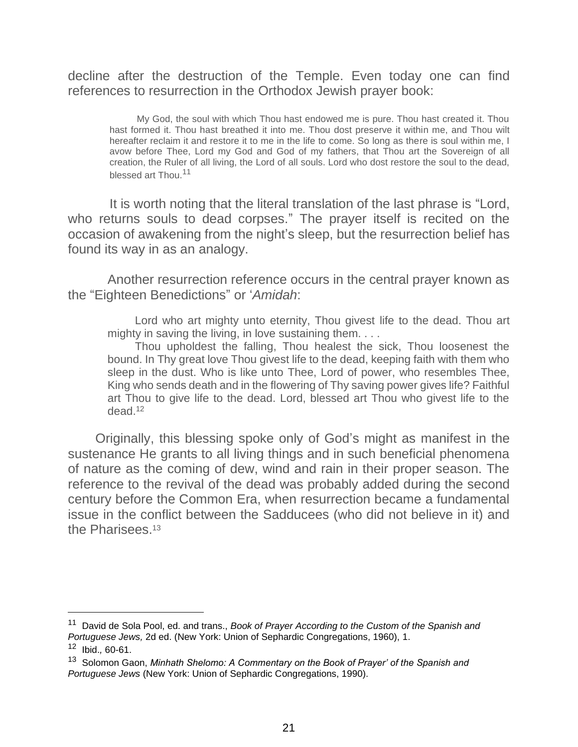decline after the destruction of the Temple. Even today one can find references to resurrection in the Orthodox Jewish prayer book:

My God, the soul with which Thou hast endowed me is pure. Thou hast created it. Thou hast formed it. Thou hast breathed it into me. Thou dost preserve it within me, and Thou wilt hereafter reclaim it and restore it to me in the life to come. So long as there is soul within me, I avow before Thee, Lord my God and God of my fathers, that Thou art the Sovereign of all creation, the Ruler of all living, the Lord of all souls. Lord who dost restore the soul to the dead, blessed art Thou.<sup>11</sup>

It is worth noting that the literal translation of the last phrase is "Lord, who returns souls to dead corpses." The prayer itself is recited on the occasion of awakening from the night's sleep, but the resurrection belief has found its way in as an analogy.

Another resurrection reference occurs in the central prayer known as the "Eighteen Benedictions" or '*Amidah*:

Lord who art mighty unto eternity, Thou givest life to the dead. Thou art mighty in saving the living, in love sustaining them. . . .

Thou upholdest the falling, Thou healest the sick, Thou loosenest the bound. In Thy great love Thou givest life to the dead, keeping faith with them who sleep in the dust. Who is like unto Thee, Lord of power, who resembles Thee, King who sends death and in the flowering of Thy saving power gives life? Faithful art Thou to give life to the dead. Lord, blessed art Thou who givest life to the dead.<sup>12</sup>

Originally, this blessing spoke only of God's might as manifest in the sustenance He grants to all living things and in such beneficial phenomena of nature as the coming of dew, wind and rain in their proper season. The reference to the revival of the dead was probably added during the second century before the Common Era, when resurrection became a fundamental issue in the conflict between the Sadducees (who did not believe in it) and the Pharisees.<sup>13</sup>

<span id="page-22-0"></span><sup>11</sup> David de Sola Pool, ed. and trans., *Book of Prayer According to the Custom of the Spanish and Portuguese Jews,* 2d ed. (New York: Union of Sephardic Congregations, 1960), 1.

<sup>12</sup> Ibid.*,* 60-61.

<sup>13</sup> Solomon Gaon, *Minhath Shelomo: A Commentary on the Book of Prayer' of the Spanish and Portuguese Jews* (New York: Union of Sephardic Congregations, 1990).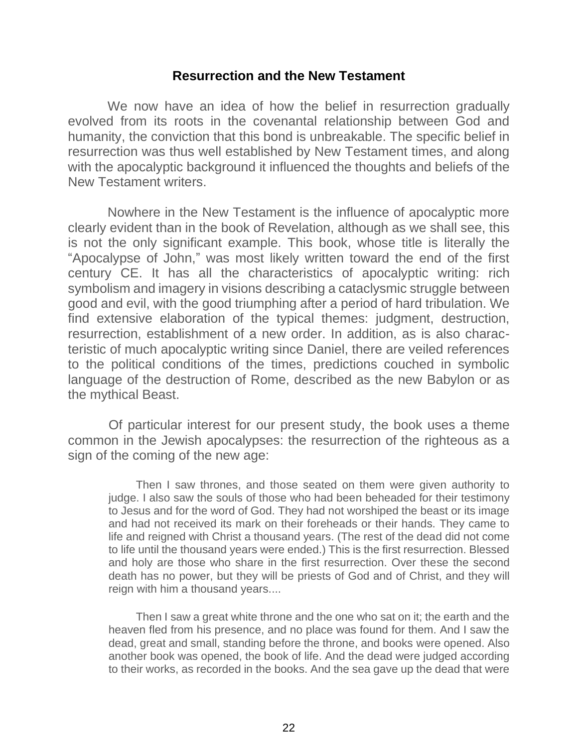#### **Resurrection and the New Testament**

We now have an idea of how the belief in resurrection gradually evolved from its roots in the covenantal relationship between God and humanity, the conviction that this bond is unbreakable. The specific belief in resurrection was thus well established by New Testament times, and along with the apocalyptic background it influenced the thoughts and beliefs of the New Testament writers.

Nowhere in the New Testament is the influence of apocalyptic more clearly evident than in the book of Revelation, although as we shall see, this is not the only significant example. This book, whose title is literally the "Apocalypse of John," was most likely written toward the end of the first century CE. It has all the characteristics of apocalyptic writing: rich symbolism and imagery in visions describing a cataclysmic struggle between good and evil, with the good triumphing after a period of hard tribulation. We find extensive elaboration of the typical themes: judgment, destruction, resurrection, establishment of a new order. In addition, as is also characteristic of much apocalyptic writing since Daniel, there are veiled references to the political conditions of the times, predictions couched in symbolic language of the destruction of Rome, described as the new Babylon or as the mythical Beast.

Of particular interest for our present study, the book uses a theme common in the Jewish apocalypses: the resurrection of the righteous as a sign of the coming of the new age:

Then I saw thrones, and those seated on them were given authority to judge. I also saw the souls of those who had been beheaded for their testimony to Jesus and for the word of God. They had not worshiped the beast or its image and had not received its mark on their foreheads or their hands. They came to life and reigned with Christ a thousand years. (The rest of the dead did not come to life until the thousand years were ended.) This is the first resurrection. Blessed and holy are those who share in the first resurrection. Over these the second death has no power, but they will be priests of God and of Christ, and they will reign with him a thousand years....

Then I saw a great white throne and the one who sat on it; the earth and the heaven fled from his presence, and no place was found for them. And I saw the dead, great and small, standing before the throne, and books were opened. Also another book was opened, the book of life. And the dead were judged according to their works, as recorded in the books. And the sea gave up the dead that were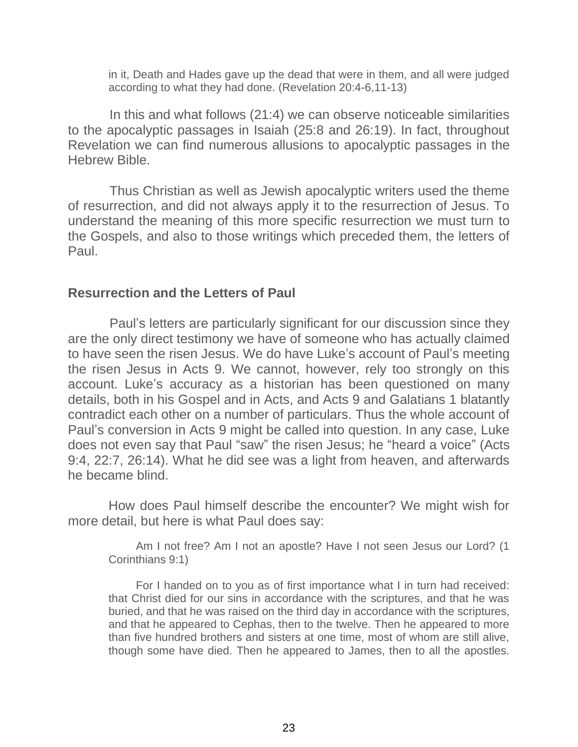in it, Death and Hades gave up the dead that were in them, and all were judged according to what they had done. (Revelation 20:4-6,11-13)

In this and what follows (21:4) we can observe noticeable similarities to the apocalyptic passages in Isaiah (25:8 and 26:19). In fact, throughout Revelation we can find numerous allusions to apocalyptic passages in the Hebrew Bible.

Thus Christian as well as Jewish apocalyptic writers used the theme of resurrection, and did not always apply it to the resurrection of Jesus. To understand the meaning of this more specific resurrection we must turn to the Gospels, and also to those writings which preceded them, the letters of Paul.

### <span id="page-24-0"></span>**Resurrection and the Letters of Paul**

Paul's letters are particularly significant for our discussion since they are the only direct testimony we have of someone who has actually claimed to have seen the risen Jesus. We do have Luke's account of Paul's meeting the risen Jesus in Acts 9. We cannot, however, rely too strongly on this account. Luke's accuracy as a historian has been questioned on many details, both in his Gospel and in Acts, and Acts 9 and Galatians 1 blatantly contradict each other on a number of particulars. Thus the whole account of Paul's conversion in Acts 9 might be called into question. In any case, Luke does not even say that Paul "saw" the risen Jesus; he "heard a voice" (Acts 9:4, 22:7, 26:14). What he did see was a light from heaven, and afterwards he became blind.

How does Paul himself describe the encounter? We might wish for more detail, but here is what Paul does say:

Am I not free? Am I not an apostle? Have I not seen Jesus our Lord? (1 Corinthians 9:1)

For I handed on to you as of first importance what I in turn had received: that Christ died for our sins in accordance with the scriptures, and that he was buried, and that he was raised on the third day in accordance with the scriptures, and that he appeared to Cephas, then to the twelve. Then he appeared to more than five hundred brothers and sisters at one time, most of whom are still alive, though some have died. Then he appeared to James, then to all the apostles.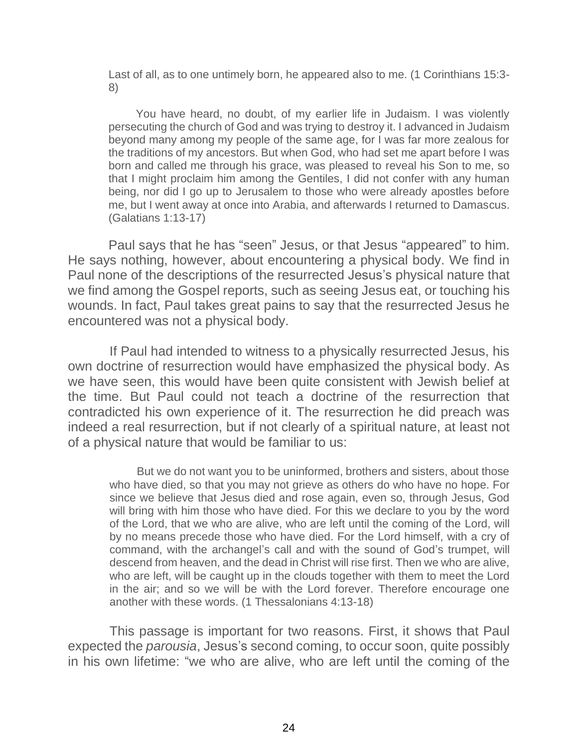Last of all, as to one untimely born, he appeared also to me. (1 Corinthians 15:3- 8)

You have heard, no doubt, of my earlier life in Judaism. I was violently persecuting the church of God and was trying to destroy it. I advanced in Judaism beyond many among my people of the same age, for I was far more zealous for the traditions of my ancestors. But when God, who had set me apart before I was born and called me through his grace, was pleased to reveal his Son to me, so that I might proclaim him among the Gentiles, I did not confer with any human being, nor did I go up to Jerusalem to those who were already apostles before me, but I went away at once into Arabia, and afterwards I returned to Damascus. (Galatians 1:13-17)

Paul says that he has "seen" Jesus, or that Jesus "appeared" to him. He says nothing, however, about encountering a physical body. We find in Paul none of the descriptions of the resurrected Jesus's physical nature that we find among the Gospel reports, such as seeing Jesus eat, or touching his wounds. In fact, Paul takes great pains to say that the resurrected Jesus he encountered was not a physical body.

If Paul had intended to witness to a physically resurrected Jesus, his own doctrine of resurrection would have emphasized the physical body. As we have seen, this would have been quite consistent with Jewish belief at the time. But Paul could not teach a doctrine of the resurrection that contradicted his own experience of it. The resurrection he did preach was indeed a real resurrection, but if not clearly of a spiritual nature, at least not of a physical nature that would be familiar to us:

But we do not want you to be uninformed, brothers and sisters, about those who have died, so that you may not grieve as others do who have no hope. For since we believe that Jesus died and rose again, even so, through Jesus, God will bring with him those who have died. For this we declare to you by the word of the Lord, that we who are alive, who are left until the coming of the Lord, will by no means precede those who have died. For the Lord himself, with a cry of command, with the archangel's call and with the sound of God's trumpet, will descend from heaven, and the dead in Christ will rise first. Then we who are alive, who are left, will be caught up in the clouds together with them to meet the Lord in the air; and so we will be with the Lord forever. Therefore encourage one another with these words. (1 Thessalonians 4:13-18)

This passage is important for two reasons. First, it shows that Paul expected the *parousia*, Jesus's second coming, to occur soon, quite possibly in his own lifetime: "we who are alive, who are left until the coming of the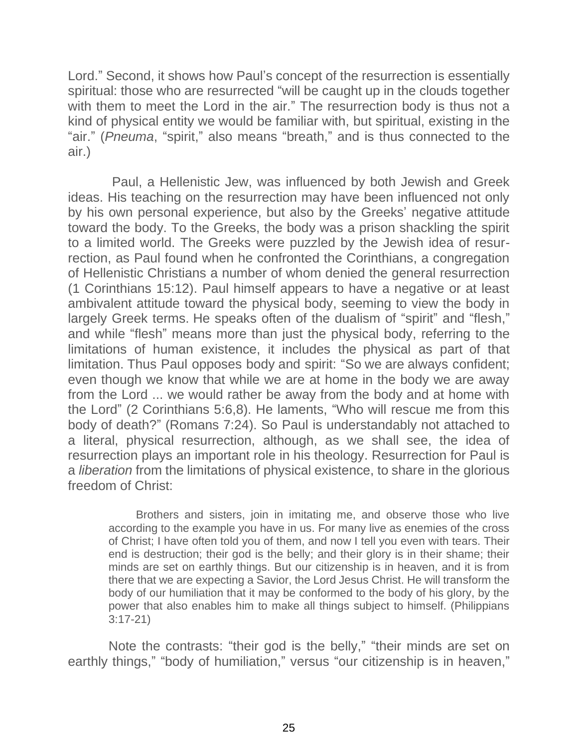Lord." Second, it shows how Paul's concept of the resurrection is essentially spiritual: those who are resurrected "will be caught up in the clouds together with them to meet the Lord in the air." The resurrection body is thus not a kind of physical entity we would be familiar with, but spiritual, existing in the "air." (*Pneuma*, "spirit," also means "breath," and is thus connected to the air.)

 Paul, a Hellenistic Jew, was influenced by both Jewish and Greek ideas. His teaching on the resurrection may have been influenced not only by his own personal experience, but also by the Greeks' negative attitude toward the body. To the Greeks, the body was a prison shackling the spirit to a limited world. The Greeks were puzzled by the Jewish idea of resurrection, as Paul found when he confronted the Corinthians, a congregation of Hellenistic Christians a number of whom denied the general resurrection (1 Corinthians 15:12). Paul himself appears to have a negative or at least ambivalent attitude toward the physical body, seeming to view the body in largely Greek terms. He speaks often of the dualism of "spirit" and "flesh," and while "flesh" means more than just the physical body, referring to the limitations of human existence, it includes the physical as part of that limitation. Thus Paul opposes body and spirit: "So we are always confident; even though we know that while we are at home in the body we are away from the Lord ... we would rather be away from the body and at home with the Lord" (2 Corinthians 5:6,8). He laments, "Who will rescue me from this body of death?" (Romans 7:24). So Paul is understandably not attached to a literal, physical resurrection, although, as we shall see, the idea of resurrection plays an important role in his theology. Resurrection for Paul is a *liberation* from the limitations of physical existence, to share in the glorious freedom of Christ:

Brothers and sisters, join in imitating me, and observe those who live according to the example you have in us. For many live as enemies of the cross of Christ; I have often told you of them, and now I tell you even with tears. Their end is destruction; their god is the belly; and their glory is in their shame; their minds are set on earthly things. But our citizenship is in heaven, and it is from there that we are expecting a Savior, the Lord Jesus Christ. He will transform the body of our humiliation that it may be conformed to the body of his glory, by the power that also enables him to make all things subject to himself. (Philippians 3:17-21)

Note the contrasts: "their god is the belly," "their minds are set on earthly things," "body of humiliation," versus "our citizenship is in heaven,"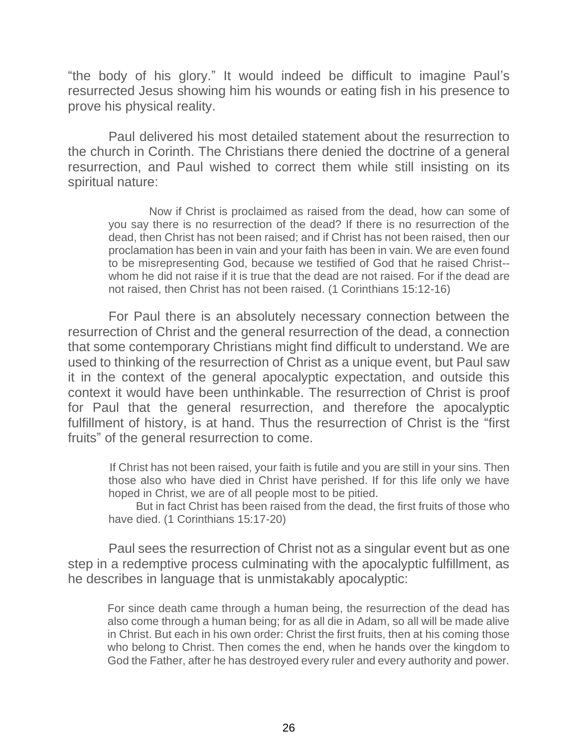"the body of his glory." It would indeed be difficult to imagine Paul's resurrected Jesus showing him his wounds or eating fish in his presence to prove his physical reality.

Paul delivered his most detailed statement about the resurrection to the church in Corinth. The Christians there denied the doctrine of a general resurrection, and Paul wished to correct them while still insisting on its spiritual nature:

Now if Christ is proclaimed as raised from the dead, how can some of you say there is no resurrection of the dead? If there is no resurrection of the dead, then Christ has not been raised; and if Christ has not been raised, then our proclamation has been in vain and your faith has been in vain. We are even found to be misrepresenting God, because we testified of God that he raised Christ- whom he did not raise if it is true that the dead are not raised. For if the dead are not raised, then Christ has not been raised. (1 Corinthians 15:12-16)

For Paul there is an absolutely necessary connection between the resurrection of Christ and the general resurrection of the dead, a connection that some contemporary Christians might find difficult to understand. We are used to thinking of the resurrection of Christ as a unique event, but Paul saw it in the context of the general apocalyptic expectation, and outside this context it would have been unthinkable. The resurrection of Christ is proof for Paul that the general resurrection, and therefore the apocalyptic fulfillment of history, is at hand. Thus the resurrection of Christ is the "first fruits" of the general resurrection to come.

If Christ has not been raised, your faith is futile and you are still in your sins. Then those also who have died in Christ have perished. If for this life only we have hoped in Christ, we are of all people most to be pitied.

But in fact Christ has been raised from the dead, the first fruits of those who have died. (1 Corinthians 15:17-20)

Paul sees the resurrection of Christ not as a singular event but as one step in a redemptive process culminating with the apocalyptic fulfillment, as he describes in language that is unmistakably apocalyptic:

For since death came through a human being, the resurrection of the dead has also come through a human being; for as all die in Adam, so all will be made alive in Christ. But each in his own order: Christ the first fruits, then at his coming those who belong to Christ. Then comes the end, when he hands over the kingdom to God the Father, after he has destroyed every ruler and every authority and power.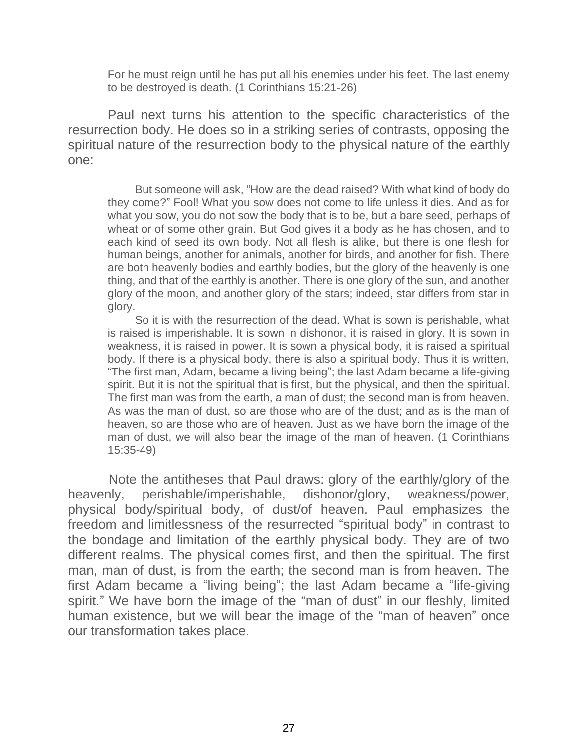For he must reign until he has put all his enemies under his feet. The last enemy to be destroyed is death. (1 Corinthians 15:21-26)

Paul next turns his attention to the specific characteristics of the resurrection body. He does so in a striking series of contrasts, opposing the spiritual nature of the resurrection body to the physical nature of the earthly one:

But someone will ask, "How are the dead raised? With what kind of body do they come?" Fool! What you sow does not come to life unless it dies. And as for what you sow, you do not sow the body that is to be, but a bare seed, perhaps of wheat or of some other grain. But God gives it a body as he has chosen, and to each kind of seed its own body. Not all flesh is alike, but there is one flesh for human beings, another for animals, another for birds, and another for fish. There are both heavenly bodies and earthly bodies, but the glory of the heavenly is one thing, and that of the earthly is another. There is one glory of the sun, and another glory of the moon, and another glory of the stars; indeed, star differs from star in glory.

So it is with the resurrection of the dead. What is sown is perishable, what is raised is imperishable. It is sown in dishonor, it is raised in glory. It is sown in weakness, it is raised in power. It is sown a physical body, it is raised a spiritual body. If there is a physical body, there is also a spiritual body. Thus it is written, "The first man, Adam, became a living being"; the last Adam became a life-giving spirit. But it is not the spiritual that is first, but the physical, and then the spiritual. The first man was from the earth, a man of dust; the second man is from heaven. As was the man of dust, so are those who are of the dust; and as is the man of heaven, so are those who are of heaven. Just as we have born the image of the man of dust, we will also bear the image of the man of heaven. (1 Corinthians 15:35-49)

Note the antitheses that Paul draws: glory of the earthly/glory of the heavenly, perishable/imperishable, dishonor/glory, weakness/power, physical body/spiritual body, of dust/of heaven. Paul emphasizes the freedom and limitlessness of the resurrected "spiritual body" in contrast to the bondage and limitation of the earthly physical body. They are of two different realms. The physical comes first, and then the spiritual. The first man, man of dust, is from the earth; the second man is from heaven. The first Adam became a "living being"; the last Adam became a "life-giving spirit." We have born the image of the "man of dust" in our fleshly, limited human existence, but we will bear the image of the "man of heaven" once our transformation takes place.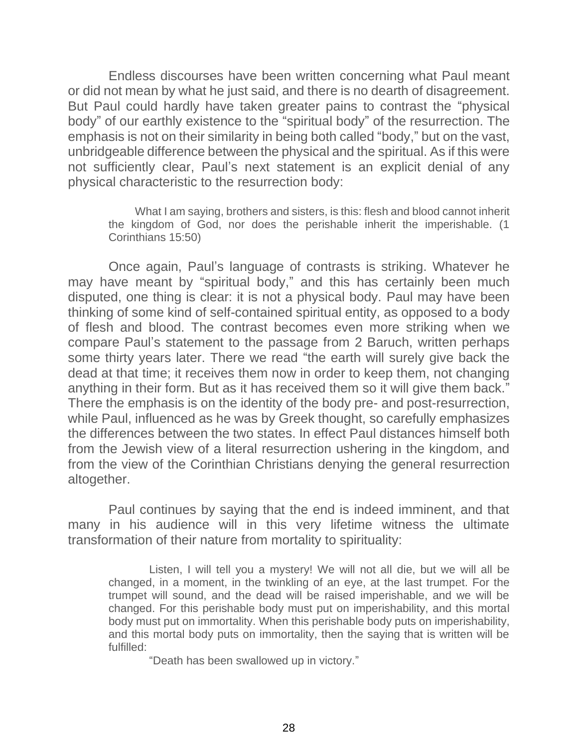Endless discourses have been written concerning what Paul meant or did not mean by what he just said, and there is no dearth of disagreement. But Paul could hardly have taken greater pains to contrast the "physical body" of our earthly existence to the "spiritual body" of the resurrection. The emphasis is not on their similarity in being both called "body," but on the vast, unbridgeable difference between the physical and the spiritual. As if this were not sufficiently clear, Paul's next statement is an explicit denial of any physical characteristic to the resurrection body:

What I am saying, brothers and sisters, is this: flesh and blood cannot inherit the kingdom of God, nor does the perishable inherit the imperishable. (1 Corinthians 15:50)

Once again, Paul's language of contrasts is striking. Whatever he may have meant by "spiritual body," and this has certainly been much disputed, one thing is clear: it is not a physical body. Paul may have been thinking of some kind of self-contained spiritual entity, as opposed to a body of flesh and blood. The contrast becomes even more striking when we compare Paul's statement to the passage from 2 Baruch, written perhaps some thirty years later. There we read "the earth will surely give back the dead at that time; it receives them now in order to keep them, not changing anything in their form. But as it has received them so it will give them back." There the emphasis is on the identity of the body pre- and post-resurrection, while Paul, influenced as he was by Greek thought, so carefully emphasizes the differences between the two states. In effect Paul distances himself both from the Jewish view of a literal resurrection ushering in the kingdom, and from the view of the Corinthian Christians denying the general resurrection altogether.

Paul continues by saying that the end is indeed imminent, and that many in his audience will in this very lifetime witness the ultimate transformation of their nature from mortality to spirituality:

Listen, I will tell you a mystery! We will not all die, but we will all be changed, in a moment, in the twinkling of an eye, at the last trumpet. For the trumpet will sound, and the dead will be raised imperishable, and we will be changed. For this perishable body must put on imperishability, and this mortal body must put on immortality. When this perishable body puts on imperishability, and this mortal body puts on immortality, then the saying that is written will be fulfilled:

"Death has been swallowed up in victory."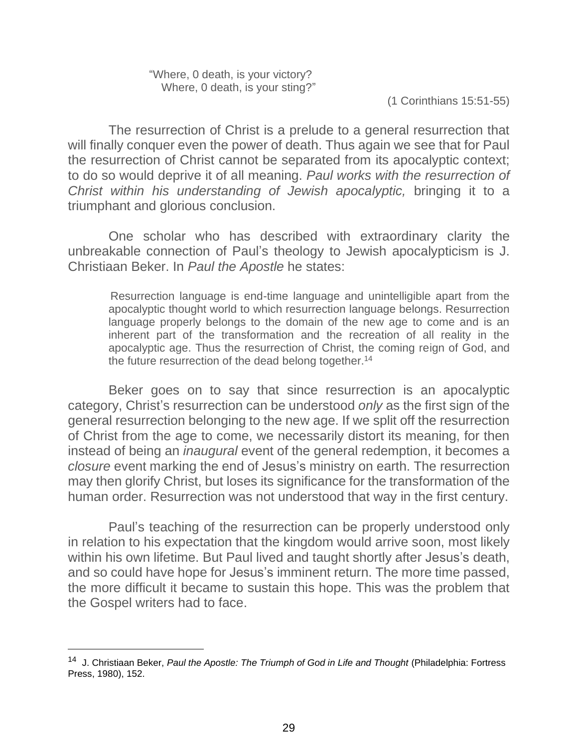"Where, 0 death, is your victory? Where, 0 death, is your sting?"

(1 Corinthians 15:51-55)

The resurrection of Christ is a prelude to a general resurrection that will finally conquer even the power of death. Thus again we see that for Paul the resurrection of Christ cannot be separated from its apocalyptic context; to do so would deprive it of all meaning. *Paul works with the resurrection of Christ within his understanding of Jewish apocalyptic,* bringing it to a triumphant and glorious conclusion.

One scholar who has described with extraordinary clarity the unbreakable connection of Paul's theology to Jewish apocalypticism is J. Christiaan Beker. In *Paul the Apostle* he states:

Resurrection language is end-time language and unintelligible apart from the apocalyptic thought world to which resurrection language belongs. Resurrection language properly belongs to the domain of the new age to come and is an inherent part of the transformation and the recreation of all reality in the apocalyptic age. Thus the resurrection of Christ, the coming reign of God, and the future resurrection of the dead belong together.<sup>14</sup>

Beker goes on to say that since resurrection is an apocalyptic category, Christ's resurrection can be understood *only* as the first sign of the general resurrection belonging to the new age. If we split off the resurrection of Christ from the age to come, we necessarily distort its meaning, for then instead of being an *inaugural* event of the general redemption, it becomes a *closure* event marking the end of Jesus's ministry on earth. The resurrection may then glorify Christ, but loses its significance for the transformation of the human order. Resurrection was not understood that way in the first century.

Paul's teaching of the resurrection can be properly understood only in relation to his expectation that the kingdom would arrive soon, most likely within his own lifetime. But Paul lived and taught shortly after Jesus's death, and so could have hope for Jesus's imminent return. The more time passed, the more difficult it became to sustain this hope. This was the problem that the Gospel writers had to face.

<sup>14</sup> J. Christiaan Beker, *Paul the Apostle: The Triumph of God in Life and Thought* (Philadelphia: Fortress Press, 1980), 152.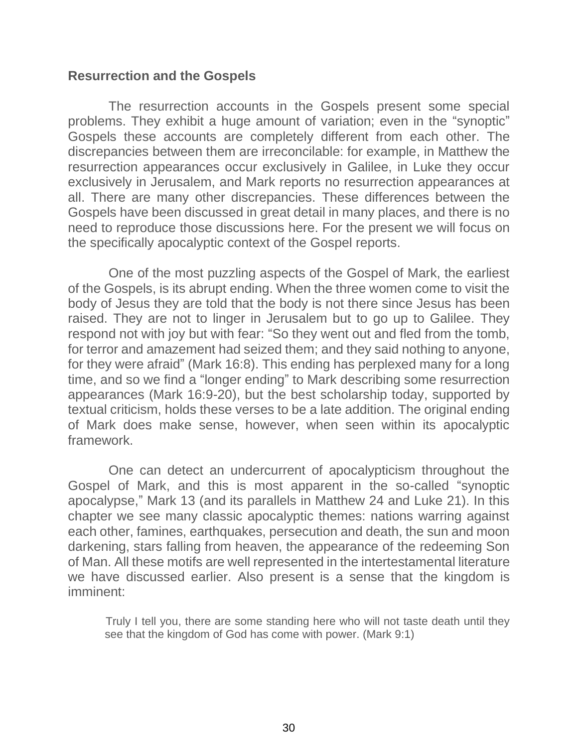#### <span id="page-31-0"></span>**Resurrection and the Gospels**

The resurrection accounts in the Gospels present some special problems. They exhibit a huge amount of variation; even in the "synoptic" Gospels these accounts are completely different from each other. The discrepancies between them are irreconcilable: for example, in Matthew the resurrection appearances occur exclusively in Galilee, in Luke they occur exclusively in Jerusalem, and Mark reports no resurrection appearances at all. There are many other discrepancies. These differences between the Gospels have been discussed in great detail in many places, and there is no need to reproduce those discussions here. For the present we will focus on the specifically apocalyptic context of the Gospel reports.

One of the most puzzling aspects of the Gospel of Mark, the earliest of the Gospels, is its abrupt ending. When the three women come to visit the body of Jesus they are told that the body is not there since Jesus has been raised. They are not to linger in Jerusalem but to go up to Galilee. They respond not with joy but with fear: "So they went out and fled from the tomb, for terror and amazement had seized them; and they said nothing to anyone, for they were afraid" (Mark 16:8). This ending has perplexed many for a long time, and so we find a "longer ending" to Mark describing some resurrection appearances (Mark 16:9-20), but the best scholarship today, supported by textual criticism, holds these verses to be a late addition. The original ending of Mark does make sense, however, when seen within its apocalyptic framework.

One can detect an undercurrent of apocalypticism throughout the Gospel of Mark, and this is most apparent in the so-called "synoptic apocalypse," Mark 13 (and its parallels in Matthew 24 and Luke 21). In this chapter we see many classic apocalyptic themes: nations warring against each other, famines, earthquakes, persecution and death, the sun and moon darkening, stars falling from heaven, the appearance of the redeeming Son of Man. All these motifs are well represented in the intertestamental literature we have discussed earlier. Also present is a sense that the kingdom is imminent:

Truly I tell you, there are some standing here who will not taste death until they see that the kingdom of God has come with power. (Mark 9:1)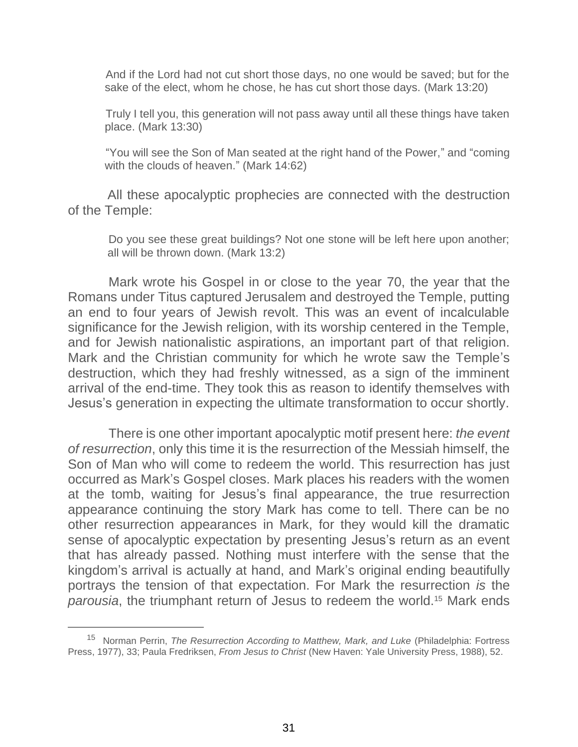And if the Lord had not cut short those days, no one would be saved; but for the sake of the elect, whom he chose, he has cut short those days. (Mark 13:20)

Truly I tell you, this generation will not pass away until all these things have taken place. (Mark 13:30)

"You will see the Son of Man seated at the right hand of the Power," and "coming with the clouds of heaven." (Mark 14:62)

All these apocalyptic prophecies are connected with the destruction of the Temple:

Do you see these great buildings? Not one stone will be left here upon another; all will be thrown down. (Mark 13:2)

Mark wrote his Gospel in or close to the year 70, the year that the Romans under Titus captured Jerusalem and destroyed the Temple, putting an end to four years of Jewish revolt. This was an event of incalculable significance for the Jewish religion, with its worship centered in the Temple, and for Jewish nationalistic aspirations, an important part of that religion. Mark and the Christian community for which he wrote saw the Temple's destruction, which they had freshly witnessed, as a sign of the imminent arrival of the end-time. They took this as reason to identify themselves with Jesus's generation in expecting the ultimate transformation to occur shortly.

There is one other important apocalyptic motif present here: *the event of resurrection*, only this time it is the resurrection of the Messiah himself, the Son of Man who will come to redeem the world. This resurrection has just occurred as Mark's Gospel closes. Mark places his readers with the women at the tomb, waiting for Jesus's final appearance, the true resurrection appearance continuing the story Mark has come to tell. There can be no other resurrection appearances in Mark, for they would kill the dramatic sense of apocalyptic expectation by presenting Jesus's return as an event that has already passed. Nothing must interfere with the sense that the kingdom's arrival is actually at hand, and Mark's original ending beautifully portrays the tension of that expectation. For Mark the resurrection *is* the *parousia*, the triumphant return of Jesus to redeem the world.<sup>15</sup> Mark ends

<sup>15</sup> Norman Perrin, *The Resurrection According to Matthew, Mark, and Luke* (Philadelphia: Fortress Press, 1977), 33; Paula Fredriksen, *From Jesus to Christ* (New Haven: Yale University Press, 1988), 52.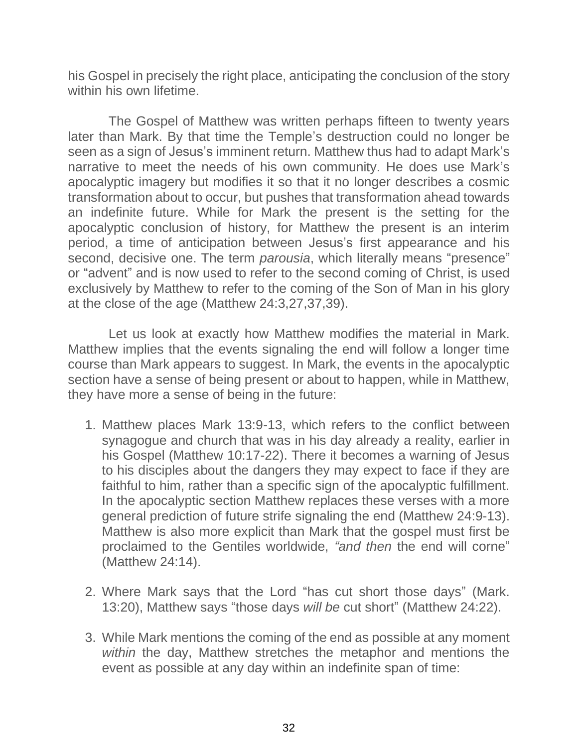his Gospel in precisely the right place, anticipating the conclusion of the story within his own lifetime.

The Gospel of Matthew was written perhaps fifteen to twenty years later than Mark. By that time the Temple's destruction could no longer be seen as a sign of Jesus's imminent return. Matthew thus had to adapt Mark's narrative to meet the needs of his own community. He does use Mark's apocalyptic imagery but modifies it so that it no longer describes a cosmic transformation about to occur, but pushes that transformation ahead towards an indefinite future. While for Mark the present is the setting for the apocalyptic conclusion of history, for Matthew the present is an interim period, a time of anticipation between Jesus's first appearance and his second, decisive one. The term *parousia*, which literally means "presence" or "advent" and is now used to refer to the second coming of Christ, is used exclusively by Matthew to refer to the coming of the Son of Man in his glory at the close of the age (Matthew 24:3,27,37,39).

Let us look at exactly how Matthew modifies the material in Mark. Matthew implies that the events signaling the end will follow a longer time course than Mark appears to suggest. In Mark, the events in the apocalyptic section have a sense of being present or about to happen, while in Matthew, they have more a sense of being in the future:

- 1. Matthew places Mark 13:9-13, which refers to the conflict between synagogue and church that was in his day already a reality, earlier in his Gospel (Matthew 10:17-22). There it becomes a warning of Jesus to his disciples about the dangers they may expect to face if they are faithful to him, rather than a specific sign of the apocalyptic fulfillment. In the apocalyptic section Matthew replaces these verses with a more general prediction of future strife signaling the end (Matthew 24:9-13). Matthew is also more explicit than Mark that the gospel must first be proclaimed to the Gentiles worldwide, *"and then* the end will corne" (Matthew 24:14).
- 2. Where Mark says that the Lord "has cut short those days" (Mark. 13:20), Matthew says "those days *will be* cut short" (Matthew 24:22).
- 3. While Mark mentions the coming of the end as possible at any moment *within* the day, Matthew stretches the metaphor and mentions the event as possible at any day within an indefinite span of time: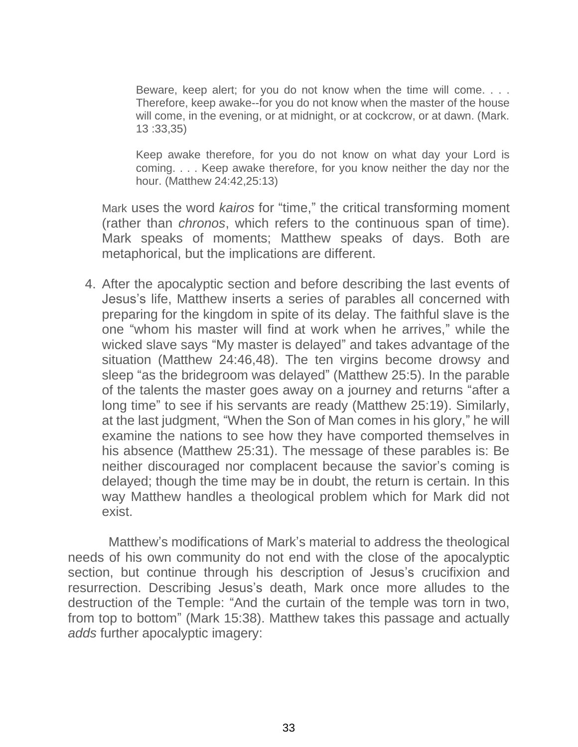Beware, keep alert; for you do not know when the time will come. . . . Therefore, keep awake--for you do not know when the master of the house will come, in the evening, or at midnight, or at cockcrow, or at dawn. (Mark. 13 :33,35)

Keep awake therefore, for you do not know on what day your Lord is coming. . . . Keep awake therefore, for you know neither the day nor the hour. (Matthew 24:42,25:13)

Mark uses the word *kairos* for "time," the critical transforming moment (rather than *chronos*, which refers to the continuous span of time). Mark speaks of moments; Matthew speaks of days. Both are metaphorical, but the implications are different.

4. After the apocalyptic section and before describing the last events of Jesus's life, Matthew inserts a series of parables all concerned with preparing for the kingdom in spite of its delay. The faithful slave is the one "whom his master will find at work when he arrives," while the wicked slave says "My master is delayed" and takes advantage of the situation (Matthew 24:46,48). The ten virgins become drowsy and sleep "as the bridegroom was delayed" (Matthew 25:5). In the parable of the talents the master goes away on a journey and returns "after a long time" to see if his servants are ready (Matthew 25:19). Similarly, at the last judgment, "When the Son of Man comes in his glory," he will examine the nations to see how they have comported themselves in his absence (Matthew 25:31). The message of these parables is: Be neither discouraged nor complacent because the savior's coming is delayed; though the time may be in doubt, the return is certain. In this way Matthew handles a theological problem which for Mark did not exist.

Matthew's modifications of Mark's material to address the theological needs of his own community do not end with the close of the apocalyptic section, but continue through his description of Jesus's crucifixion and resurrection. Describing Jesus's death, Mark once more alludes to the destruction of the Temple: "And the curtain of the temple was torn in two, from top to bottom" (Mark 15:38). Matthew takes this passage and actually *adds* further apocalyptic imagery: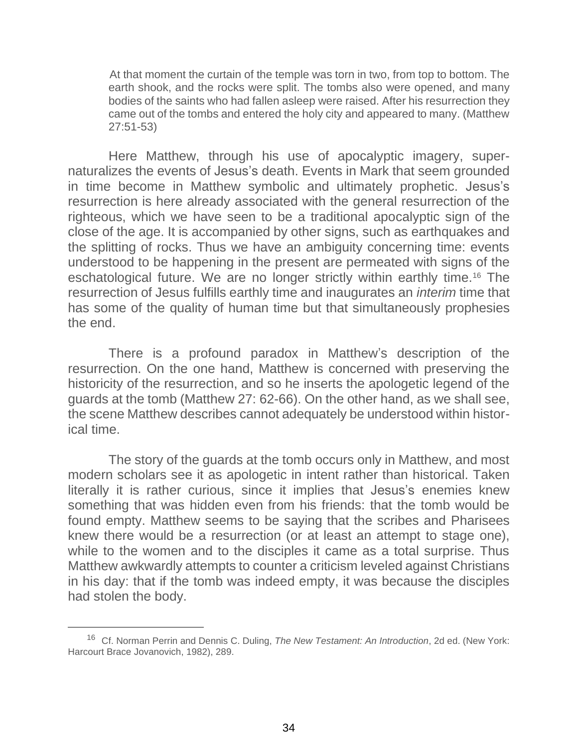At that moment the curtain of the temple was torn in two, from top to bottom. The earth shook, and the rocks were split. The tombs also were opened, and many bodies of the saints who had fallen asleep were raised. After his resurrection they came out of the tombs and entered the holy city and appeared to many. (Matthew 27:51-53)

Here Matthew, through his use of apocalyptic imagery, supernaturalizes the events of Jesus's death. Events in Mark that seem grounded in time become in Matthew symbolic and ultimately prophetic. Jesus's resurrection is here already associated with the general resurrection of the righteous, which we have seen to be a traditional apocalyptic sign of the close of the age. It is accompanied by other signs, such as earthquakes and the splitting of rocks. Thus we have an ambiguity concerning time: events understood to be happening in the present are permeated with signs of the eschatological future. We are no longer strictly within earthly time.<sup>16</sup> The resurrection of Jesus fulfills earthly time and inaugurates an *interim* time that has some of the quality of human time but that simultaneously prophesies the end.

There is a profound paradox in Matthew's description of the resurrection. On the one hand, Matthew is concerned with preserving the historicity of the resurrection, and so he inserts the apologetic legend of the guards at the tomb (Matthew 27: 62-66). On the other hand, as we shall see, the scene Matthew describes cannot adequately be understood within historical time.

The story of the guards at the tomb occurs only in Matthew, and most modern scholars see it as apologetic in intent rather than historical. Taken literally it is rather curious, since it implies that Jesus's enemies knew something that was hidden even from his friends: that the tomb would be found empty. Matthew seems to be saying that the scribes and Pharisees knew there would be a resurrection (or at least an attempt to stage one), while to the women and to the disciples it came as a total surprise. Thus Matthew awkwardly attempts to counter a criticism leveled against Christians in his day: that if the tomb was indeed empty, it was because the disciples had stolen the body.

<sup>16</sup> Cf. Norman Perrin and Dennis C. Duling, *The New Testament: An Introduction*, 2d ed. (New York: Harcourt Brace Jovanovich, 1982), 289.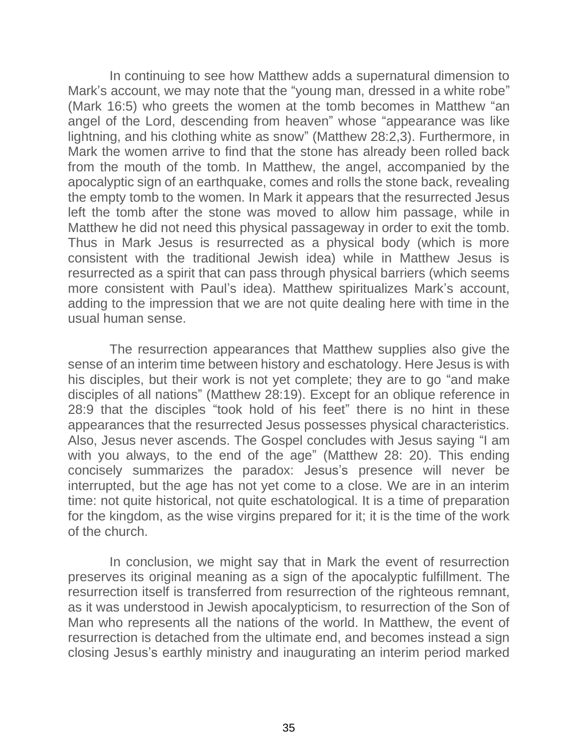In continuing to see how Matthew adds a supernatural dimension to Mark's account, we may note that the "young man, dressed in a white robe" (Mark 16:5) who greets the women at the tomb becomes in Matthew "an angel of the Lord, descending from heaven" whose "appearance was like lightning, and his clothing white as snow" (Matthew 28:2,3). Furthermore, in Mark the women arrive to find that the stone has already been rolled back from the mouth of the tomb. In Matthew, the angel, accompanied by the apocalyptic sign of an earthquake, comes and rolls the stone back, revealing the empty tomb to the women. In Mark it appears that the resurrected Jesus left the tomb after the stone was moved to allow him passage, while in Matthew he did not need this physical passageway in order to exit the tomb. Thus in Mark Jesus is resurrected as a physical body (which is more consistent with the traditional Jewish idea) while in Matthew Jesus is resurrected as a spirit that can pass through physical barriers (which seems more consistent with Paul's idea). Matthew spiritualizes Mark's account, adding to the impression that we are not quite dealing here with time in the usual human sense.

The resurrection appearances that Matthew supplies also give the sense of an interim time between history and eschatology. Here Jesus is with his disciples, but their work is not yet complete; they are to go "and make disciples of all nations" (Matthew 28:19). Except for an oblique reference in 28:9 that the disciples "took hold of his feet" there is no hint in these appearances that the resurrected Jesus possesses physical characteristics. Also, Jesus never ascends. The Gospel concludes with Jesus saying "I am with you always, to the end of the age" (Matthew 28: 20). This ending concisely summarizes the paradox: Jesus's presence will never be interrupted, but the age has not yet come to a close. We are in an interim time: not quite historical, not quite eschatological. It is a time of preparation for the kingdom, as the wise virgins prepared for it; it is the time of the work of the church.

In conclusion, we might say that in Mark the event of resurrection preserves its original meaning as a sign of the apocalyptic fulfillment. The resurrection itself is transferred from resurrection of the righteous remnant, as it was understood in Jewish apocalypticism, to resurrection of the Son of Man who represents all the nations of the world. In Matthew, the event of resurrection is detached from the ultimate end, and becomes instead a sign closing Jesus's earthly ministry and inaugurating an interim period marked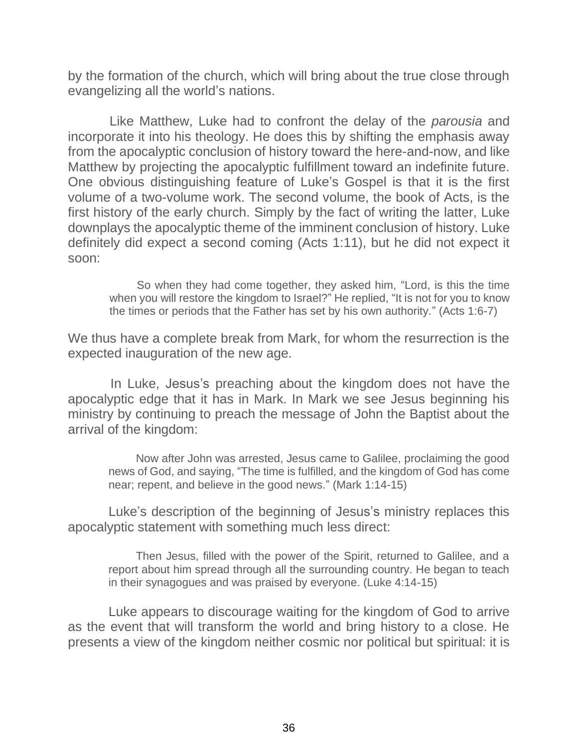by the formation of the church, which will bring about the true close through evangelizing all the world's nations.

Like Matthew, Luke had to confront the delay of the *parousia* and incorporate it into his theology. He does this by shifting the emphasis away from the apocalyptic conclusion of history toward the here-and-now, and like Matthew by projecting the apocalyptic fulfillment toward an indefinite future. One obvious distinguishing feature of Luke's Gospel is that it is the first volume of a two-volume work. The second volume, the book of Acts, is the first history of the early church. Simply by the fact of writing the latter, Luke downplays the apocalyptic theme of the imminent conclusion of history. Luke definitely did expect a second coming (Acts 1:11), but he did not expect it soon:

So when they had come together, they asked him, "Lord, is this the time when you will restore the kingdom to Israel?" He replied, "It is not for you to know the times or periods that the Father has set by his own authority." (Acts 1:6-7)

We thus have a complete break from Mark, for whom the resurrection is the expected inauguration of the new age.

In Luke, Jesus's preaching about the kingdom does not have the apocalyptic edge that it has in Mark. In Mark we see Jesus beginning his ministry by continuing to preach the message of John the Baptist about the arrival of the kingdom:

Now after John was arrested, Jesus came to Galilee, proclaiming the good news of God, and saying, "The time is fulfilled, and the kingdom of God has come near; repent, and believe in the good news." (Mark 1:14-15)

Luke's description of the beginning of Jesus's ministry replaces this apocalyptic statement with something much less direct:

Then Jesus, filled with the power of the Spirit, returned to Galilee, and a report about him spread through all the surrounding country. He began to teach in their synagogues and was praised by everyone. (Luke 4:14-15)

Luke appears to discourage waiting for the kingdom of God to arrive as the event that will transform the world and bring history to a close. He presents a view of the kingdom neither cosmic nor political but spiritual: it is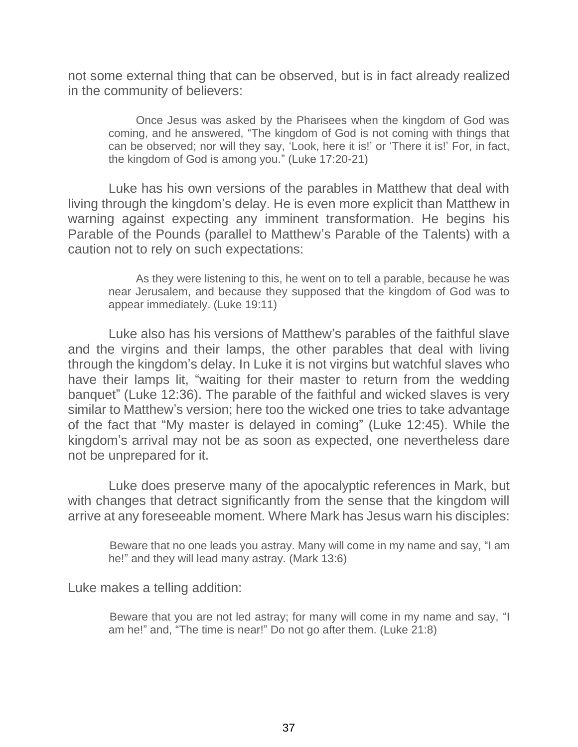not some external thing that can be observed, but is in fact already realized in the community of believers:

Once Jesus was asked by the Pharisees when the kingdom of God was coming, and he answered, "The kingdom of God is not coming with things that can be observed; nor will they say, 'Look, here it is!' or 'There it is!' For, in fact, the kingdom of God is among you." (Luke 17:20-21)

Luke has his own versions of the parables in Matthew that deal with living through the kingdom's delay. He is even more explicit than Matthew in warning against expecting any imminent transformation. He begins his Parable of the Pounds (parallel to Matthew's Parable of the Talents) with a caution not to rely on such expectations:

As they were listening to this, he went on to tell a parable, because he was near Jerusalem, and because they supposed that the kingdom of God was to appear immediately. (Luke 19:11)

Luke also has his versions of Matthew's parables of the faithful slave and the virgins and their lamps, the other parables that deal with living through the kingdom's delay. In Luke it is not virgins but watchful slaves who have their lamps lit, "waiting for their master to return from the wedding banquet" (Luke 12:36). The parable of the faithful and wicked slaves is very similar to Matthew's version; here too the wicked one tries to take advantage of the fact that "My master is delayed in coming" (Luke 12:45). While the kingdom's arrival may not be as soon as expected, one nevertheless dare not be unprepared for it.

Luke does preserve many of the apocalyptic references in Mark, but with changes that detract significantly from the sense that the kingdom will arrive at any foreseeable moment. Where Mark has Jesus warn his disciples:

Beware that no one leads you astray. Many will come in my name and say, "I am he!" and they will lead many astray. (Mark 13:6)

Luke makes a telling addition:

Beware that you are not led astray; for many will come in my name and say, "I am he!" and, "The time is near!" Do not go after them. (Luke 21:8)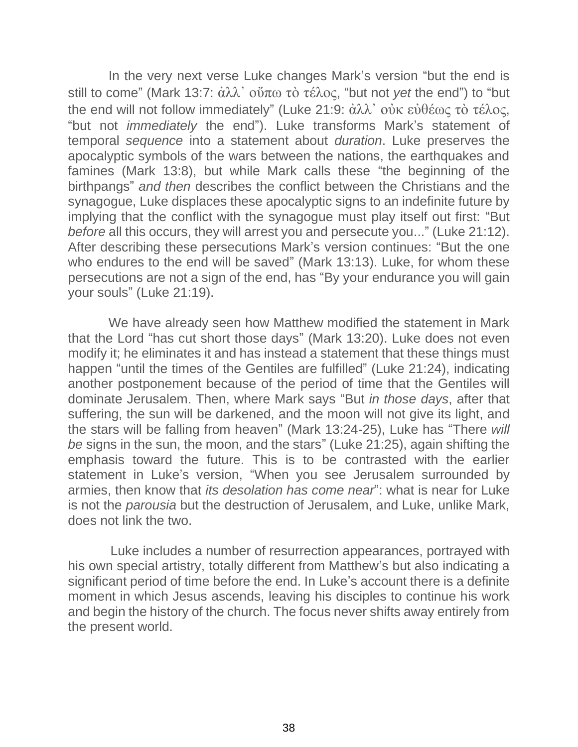In the very next verse Luke changes Mark's version "but the end is still to come" (Mark 13:7: ἀλλ᾿ οὔπω τὸ τέλος, "but not *yet* the end") to "but the end will not follow immediately" (Luke 21:9: ἀλλ' οὐκ εὐθέως τὸ τέλος, "but not *immediately* the end"). Luke transforms Mark's statement of temporal *sequence* into a statement about *duration*. Luke preserves the apocalyptic symbols of the wars between the nations, the earthquakes and famines (Mark 13:8), but while Mark calls these "the beginning of the birthpangs" *and then* describes the conflict between the Christians and the synagogue, Luke displaces these apocalyptic signs to an indefinite future by implying that the conflict with the synagogue must play itself out first: "But *before* all this occurs, they will arrest you and persecute you..." (Luke 21:12). After describing these persecutions Mark's version continues: "But the one who endures to the end will be saved" (Mark 13:13). Luke, for whom these persecutions are not a sign of the end, has "By your endurance you will gain your souls" (Luke 21:19).

We have already seen how Matthew modified the statement in Mark that the Lord "has cut short those days" (Mark 13:20). Luke does not even modify it; he eliminates it and has instead a statement that these things must happen "until the times of the Gentiles are fulfilled" (Luke 21:24), indicating another postponement because of the period of time that the Gentiles will dominate Jerusalem. Then, where Mark says "But *in those days*, after that suffering, the sun will be darkened, and the moon will not give its light, and the stars will be falling from heaven" (Mark 13:24-25), Luke has "There *will be* signs in the sun, the moon, and the stars" (Luke 21:25), again shifting the emphasis toward the future. This is to be contrasted with the earlier statement in Luke's version, "When you see Jerusalem surrounded by armies, then know that *its desolation has come near*": what is near for Luke is not the *parousia* but the destruction of Jerusalem, and Luke, unlike Mark, does not link the two.

Luke includes a number of resurrection appearances, portrayed with his own special artistry, totally different from Matthew's but also indicating a significant period of time before the end. In Luke's account there is a definite moment in which Jesus ascends, leaving his disciples to continue his work and begin the history of the church. The focus never shifts away entirely from the present world.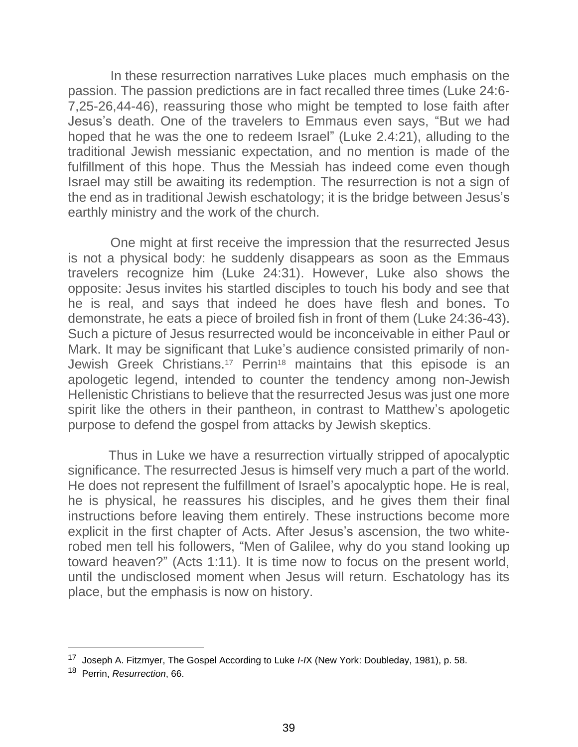In these resurrection narratives Luke places much emphasis on the passion. The passion predictions are in fact recalled three times (Luke 24:6- 7,25-26,44-46), reassuring those who might be tempted to lose faith after Jesus's death. One of the travelers to Emmaus even says, "But we had hoped that he was the one to redeem Israel" (Luke 2.4:21), alluding to the traditional Jewish messianic expectation, and no mention is made of the fulfillment of this hope. Thus the Messiah has indeed come even though Israel may still be awaiting its redemption. The resurrection is not a sign of the end as in traditional Jewish eschatology; it is the bridge between Jesus's earthly ministry and the work of the church.

One might at first receive the impression that the resurrected Jesus is not a physical body: he suddenly disappears as soon as the Emmaus travelers recognize him (Luke 24:31). However, Luke also shows the opposite: Jesus invites his startled disciples to touch his body and see that he is real, and says that indeed he does have flesh and bones. To demonstrate, he eats a piece of broiled fish in front of them (Luke 24:36-43). Such a picture of Jesus resurrected would be inconceivable in either Paul or Mark. It may be significant that Luke's audience consisted primarily of non-Jewish Greek Christians.<sup>17</sup> Perrin<sup>18</sup> maintains that this episode is an apologetic legend, intended to counter the tendency among non-Jewish Hellenistic Christians to believe that the resurrected Jesus was just one more spirit like the others in their pantheon, in contrast to Matthew's apologetic purpose to defend the gospel from attacks by Jewish skeptics.

Thus in Luke we have a resurrection virtually stripped of apocalyptic significance. The resurrected Jesus is himself very much a part of the world. He does not represent the fulfillment of Israel's apocalyptic hope. He is real, he is physical, he reassures his disciples, and he gives them their final instructions before leaving them entirely. These instructions become more explicit in the first chapter of Acts. After Jesus's ascension, the two whiterobed men tell his followers, "Men of Galilee, why do you stand looking up toward heaven?" (Acts 1:11). It is time now to focus on the present world, until the undisclosed moment when Jesus will return. Eschatology has its place, but the emphasis is now on history.

<sup>17</sup> Joseph A. Fitzmyer, The Gospel According to Luke *I-I*X (New York: Doubleday, 1981), p. 58.

<sup>18</sup> Perrin, *Resurrection*, 66.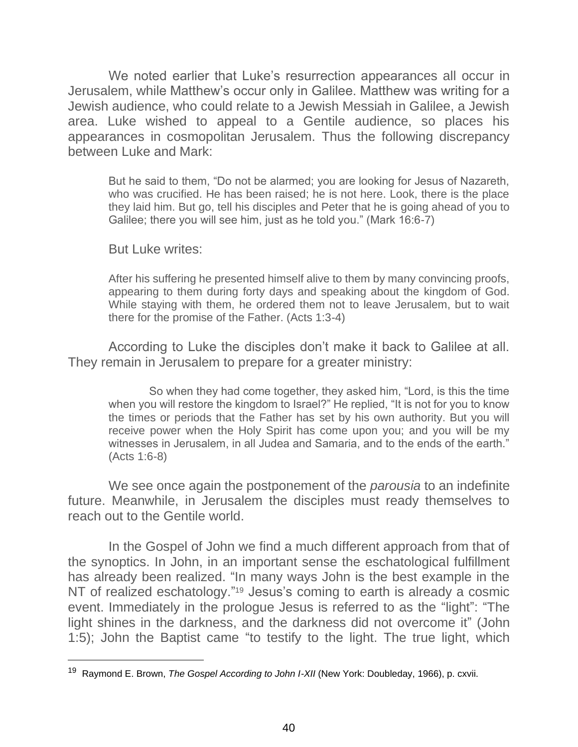We noted earlier that Luke's resurrection appearances all occur in Jerusalem, while Matthew's occur only in Galilee. Matthew was writing for a Jewish audience, who could relate to a Jewish Messiah in Galilee, a Jewish area. Luke wished to appeal to a Gentile audience, so places his appearances in cosmopolitan Jerusalem. Thus the following discrepancy between Luke and Mark:

But he said to them, "Do not be alarmed; you are looking for Jesus of Nazareth, who was crucified. He has been raised; he is not here. Look, there is the place they laid him. But go, tell his disciples and Peter that he is going ahead of you to Galilee; there you will see him, just as he told you." (Mark 16:6-7)

#### But Luke writes:

After his suffering he presented himself alive to them by many convincing proofs, appearing to them during forty days and speaking about the kingdom of God. While staying with them, he ordered them not to leave Jerusalem, but to wait there for the promise of the Father. (Acts 1:3-4)

According to Luke the disciples don't make it back to Galilee at all. They remain in Jerusalem to prepare for a greater ministry:

So when they had come together, they asked him, "Lord, is this the time when you will restore the kingdom to Israel?" He replied, "It is not for you to know the times or periods that the Father has set by his own authority. But you will receive power when the Holy Spirit has come upon you; and you will be my witnesses in Jerusalem, in all Judea and Samaria, and to the ends of the earth." (Acts 1:6-8)

We see once again the postponement of the *parousia* to an indefinite future. Meanwhile, in Jerusalem the disciples must ready themselves to reach out to the Gentile world.

In the Gospel of John we find a much different approach from that of the synoptics. In John, in an important sense the eschatological fulfillment has already been realized. "In many ways John is the best example in the NT of realized eschatology."<sup>19</sup> Jesus's coming to earth is already a cosmic event. Immediately in the prologue Jesus is referred to as the "light": "The light shines in the darkness, and the darkness did not overcome it" (John 1:5); John the Baptist came "to testify to the light. The true light, which

<sup>19</sup> Raymond E. Brown, *The Gospel According to John I-XII* (New York: Doubleday, 1966), p. cxvii.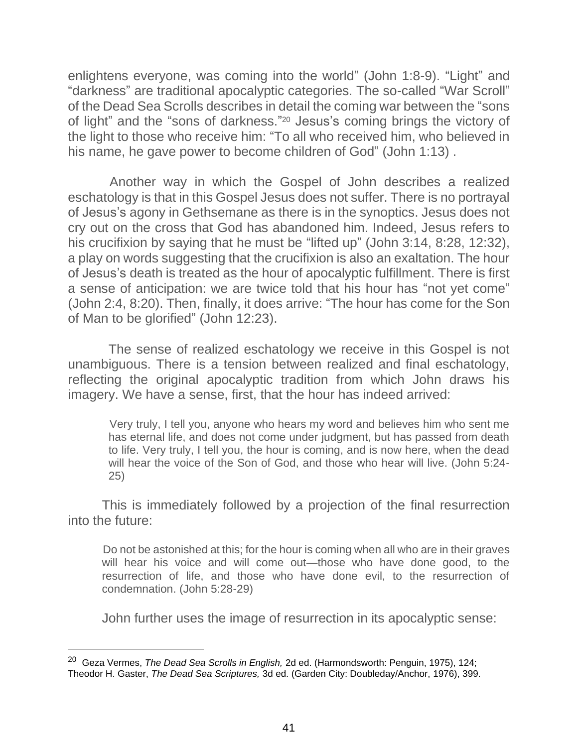enlightens everyone, was coming into the world" (John 1:8-9). "Light" and "darkness" are traditional apocalyptic categories. The so-called "War Scroll" of the Dead Sea Scrolls describes in detail the coming war between the "sons of light" and the "sons of darkness." <sup>20</sup> Jesus's coming brings the victory of the light to those who receive him: "To all who received him, who believed in his name, he gave power to become children of God" (John 1:13) .

Another way in which the Gospel of John describes a realized eschatology is that in this Gospel Jesus does not suffer. There is no portrayal of Jesus's agony in Gethsemane as there is in the synoptics. Jesus does not cry out on the cross that God has abandoned him. Indeed, Jesus refers to his crucifixion by saying that he must be "lifted up" (John 3:14, 8:28, 12:32), a play on words suggesting that the crucifixion is also an exaltation. The hour of Jesus's death is treated as the hour of apocalyptic fulfillment. There is first a sense of anticipation: we are twice told that his hour has "not yet come" (John 2:4, 8:20). Then, finally, it does arrive: "The hour has come for the Son of Man to be glorified" (John 12:23).

The sense of realized eschatology we receive in this Gospel is not unambiguous. There is a tension between realized and final eschatology, reflecting the original apocalyptic tradition from which John draws his imagery. We have a sense, first, that the hour has indeed arrived:

Very truly, I tell you, anyone who hears my word and believes him who sent me has eternal life, and does not come under judgment, but has passed from death to life. Very truly, I tell you, the hour is coming, and is now here, when the dead will hear the voice of the Son of God, and those who hear will live. (John 5:24- 25)

This is immediately followed by a projection of the final resurrection into the future:

Do not be astonished at this; for the hour is coming when all who are in their graves will hear his voice and will come out—those who have done good, to the resurrection of life, and those who have done evil, to the resurrection of condemnation. (John 5:28-29)

John further uses the image of resurrection in its apocalyptic sense:

<sup>20</sup> Geza Vermes, *The Dead Sea Scrolls in English,* 2d ed. (Harmondsworth: Penguin, 1975), 124; Theodor H. Gaster, *The Dead Sea Scriptures,* 3d ed. (Garden City: Doubleday/Anchor, 1976), 399.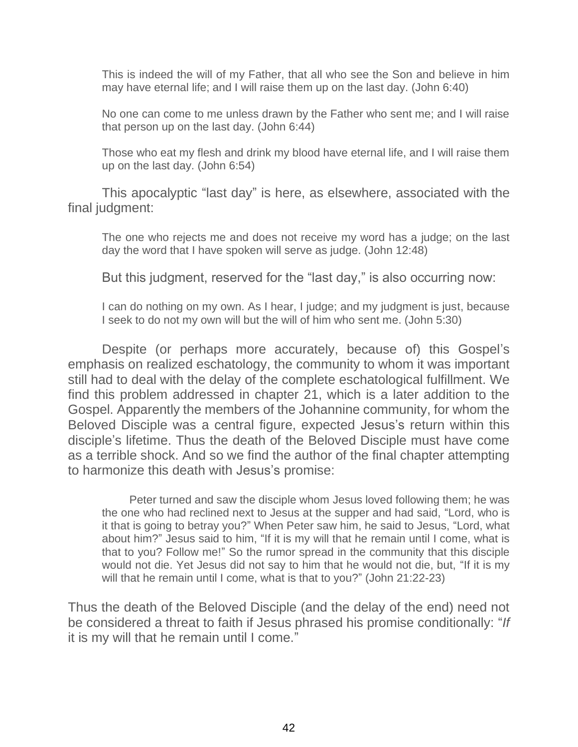This is indeed the will of my Father, that all who see the Son and believe in him may have eternal life; and I will raise them up on the last day. (John 6:40)

No one can come to me unless drawn by the Father who sent me; and I will raise that person up on the last day. (John 6:44)

Those who eat my flesh and drink my blood have eternal life, and I will raise them up on the last day. (John 6:54)

This apocalyptic "last day" is here, as elsewhere, associated with the final judgment:

The one who rejects me and does not receive my word has a judge; on the last day the word that I have spoken will serve as judge. (John 12:48)

But this judgment, reserved for the "last day," is also occurring now:

I can do nothing on my own. As I hear, I judge; and my judgment is just, because I seek to do not my own will but the will of him who sent me. (John 5:30)

Despite (or perhaps more accurately, because of) this Gospel's emphasis on realized eschatology, the community to whom it was important still had to deal with the delay of the complete eschatological fulfillment. We find this problem addressed in chapter 21, which is a later addition to the Gospel. Apparently the members of the Johannine community, for whom the Beloved Disciple was a central figure, expected Jesus's return within this disciple's lifetime. Thus the death of the Beloved Disciple must have come as a terrible shock. And so we find the author of the final chapter attempting to harmonize this death with Jesus's promise:

Peter turned and saw the disciple whom Jesus loved following them; he was the one who had reclined next to Jesus at the supper and had said, "Lord, who is it that is going to betray you?" When Peter saw him, he said to Jesus, "Lord, what about him?" Jesus said to him, "If it is my will that he remain until I come, what is that to you? Follow me!" So the rumor spread in the community that this disciple would not die. Yet Jesus did not say to him that he would not die, but, "If it is my will that he remain until I come, what is that to you?" (John 21:22-23)

Thus the death of the Beloved Disciple (and the delay of the end) need not be considered a threat to faith if Jesus phrased his promise conditionally: "*If* it is my will that he remain until I come."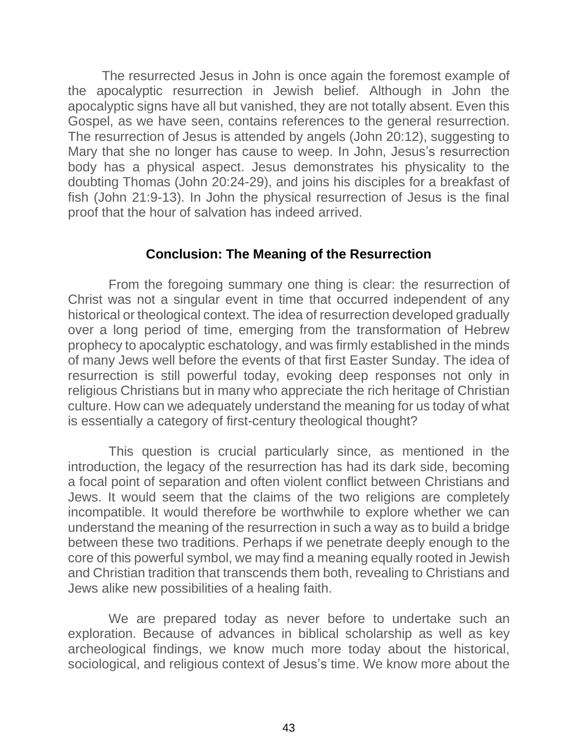The resurrected Jesus in John is once again the foremost example of the apocalyptic resurrection in Jewish belief. Although in John the apocalyptic signs have all but vanished, they are not totally absent. Even this Gospel, as we have seen, contains references to the general resurrection. The resurrection of Jesus is attended by angels (John 20:12), suggesting to Mary that she no longer has cause to weep. In John, Jesus's resurrection body has a physical aspect. Jesus demonstrates his physicality to the doubting Thomas (John 20:24-29), and joins his disciples for a breakfast of fish (John 21:9-13). In John the physical resurrection of Jesus is the final proof that the hour of salvation has indeed arrived.

## **Conclusion: The Meaning of the Resurrection**

From the foregoing summary one thing is clear: the resurrection of Christ was not a singular event in time that occurred independent of any historical or theological context. The idea of resurrection developed gradually over a long period of time, emerging from the transformation of Hebrew prophecy to apocalyptic eschatology, and was firmly established in the minds of many Jews well before the events of that first Easter Sunday. The idea of resurrection is still powerful today, evoking deep responses not only in religious Christians but in many who appreciate the rich heritage of Christian culture. How can we adequately understand the meaning for us today of what is essentially a category of first-century theological thought?

This question is crucial particularly since, as mentioned in the introduction, the legacy of the resurrection has had its dark side, becoming a focal point of separation and often violent conflict between Christians and Jews. It would seem that the claims of the two religions are completely incompatible. It would therefore be worthwhile to explore whether we can understand the meaning of the resurrection in such a way as to build a bridge between these two traditions. Perhaps if we penetrate deeply enough to the core of this powerful symbol, we may find a meaning equally rooted in Jewish and Christian tradition that transcends them both, revealing to Christians and Jews alike new possibilities of a healing faith.

We are prepared today as never before to undertake such an exploration. Because of advances in biblical scholarship as well as key archeological findings, we know much more today about the historical, sociological, and religious context of Jesus's time. We know more about the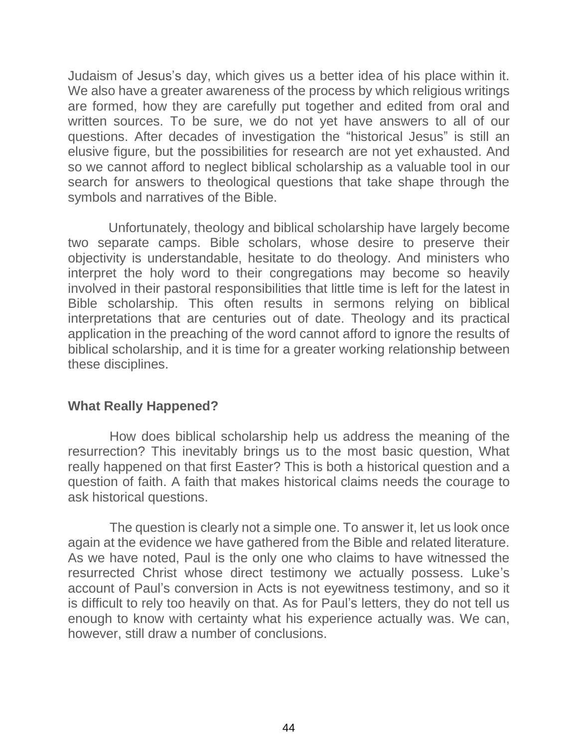Judaism of Jesus's day, which gives us a better idea of his place within it. We also have a greater awareness of the process by which religious writings are formed, how they are carefully put together and edited from oral and written sources. To be sure, we do not yet have answers to all of our questions. After decades of investigation the "historical Jesus" is still an elusive figure, but the possibilities for research are not yet exhausted. And so we cannot afford to neglect biblical scholarship as a valuable tool in our search for answers to theological questions that take shape through the symbols and narratives of the Bible.

Unfortunately, theology and biblical scholarship have largely become two separate camps. Bible scholars, whose desire to preserve their objectivity is understandable, hesitate to do theology. And ministers who interpret the holy word to their congregations may become so heavily involved in their pastoral responsibilities that little time is left for the latest in Bible scholarship. This often results in sermons relying on biblical interpretations that are centuries out of date. Theology and its practical application in the preaching of the word cannot afford to ignore the results of biblical scholarship, and it is time for a greater working relationship between these disciplines.

### **What Really Happened?**

How does biblical scholarship help us address the meaning of the resurrection? This inevitably brings us to the most basic question, What really happened on that first Easter? This is both a historical question and a question of faith. A faith that makes historical claims needs the courage to ask historical questions.

The question is clearly not a simple one. To answer it, let us look once again at the evidence we have gathered from the Bible and related literature. As we have noted, Paul is the only one who claims to have witnessed the resurrected Christ whose direct testimony we actually possess. Luke's account of Paul's conversion in Acts is not eyewitness testimony, and so it is difficult to rely too heavily on that. As for Paul's letters, they do not tell us enough to know with certainty what his experience actually was. We can, however, still draw a number of conclusions.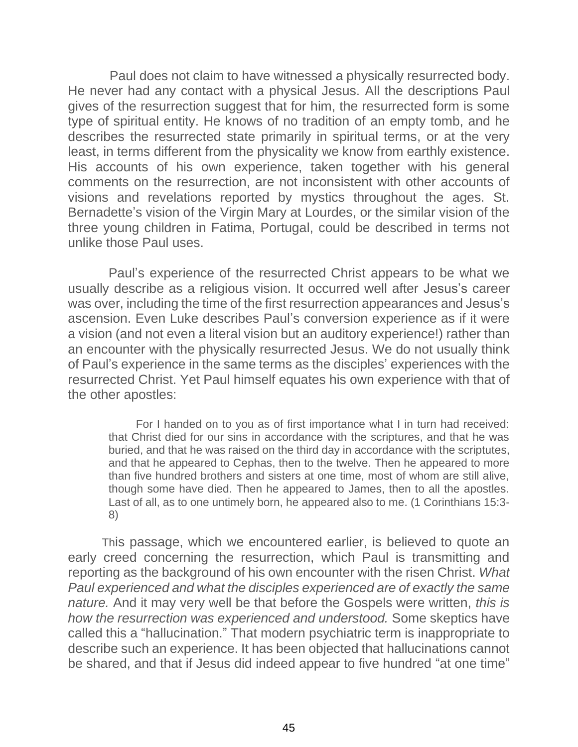Paul does not claim to have witnessed a physically resurrected body. He never had any contact with a physical Jesus. All the descriptions Paul gives of the resurrection suggest that for him, the resurrected form is some type of spiritual entity. He knows of no tradition of an empty tomb, and he describes the resurrected state primarily in spiritual terms, or at the very least, in terms different from the physicality we know from earthly existence. His accounts of his own experience, taken together with his general comments on the resurrection, are not inconsistent with other accounts of visions and revelations reported by mystics throughout the ages. St. Bernadette's vision of the Virgin Mary at Lourdes, or the similar vision of the three young children in Fatima, Portugal, could be described in terms not unlike those Paul uses.

Paul's experience of the resurrected Christ appears to be what we usually describe as a religious vision. It occurred well after Jesus's career was over, including the time of the first resurrection appearances and Jesus's ascension. Even Luke describes Paul's conversion experience as if it were a vision (and not even a literal vision but an auditory experience!) rather than an encounter with the physically resurrected Jesus. We do not usually think of Paul's experience in the same terms as the disciples' experiences with the resurrected Christ. Yet Paul himself equates his own experience with that of the other apostles:

For I handed on to you as of first importance what I in turn had received: that Christ died for our sins in accordance with the scriptures, and that he was buried, and that he was raised on the third day in accordance with the scriptutes, and that he appeared to Cephas, then to the twelve. Then he appeared to more than five hundred brothers and sisters at one time, most of whom are still alive, though some have died. Then he appeared to James, then to all the apostles. Last of all, as to one untimely born, he appeared also to me. (1 Corinthians 15:3- 8)

This passage, which we encountered earlier, is believed to quote an early creed concerning the resurrection, which Paul is transmitting and reporting as the background of his own encounter with the risen Christ. *What Paul experienced and what the disciples experienced are of exactly the same nature.* And it may very well be that before the Gospels were written, *this is how the resurrection was experienced and understood.* Some skeptics have called this a "hallucination." That modern psychiatric term is inappropriate to describe such an experience. It has been objected that hallucinations cannot be shared, and that if Jesus did indeed appear to five hundred "at one time"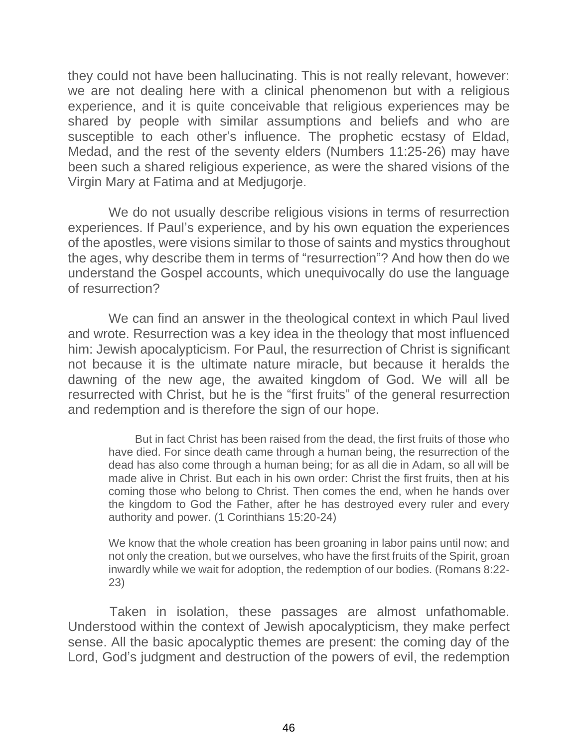they could not have been hallucinating. This is not really relevant, however: we are not dealing here with a clinical phenomenon but with a religious experience, and it is quite conceivable that religious experiences may be shared by people with similar assumptions and beliefs and who are susceptible to each other's influence. The prophetic ecstasy of Eldad, Medad, and the rest of the seventy elders (Numbers 11:25-26) may have been such a shared religious experience, as were the shared visions of the Virgin Mary at Fatima and at Medjugorje.

We do not usually describe religious visions in terms of resurrection experiences. If Paul's experience, and by his own equation the experiences of the apostles, were visions similar to those of saints and mystics throughout the ages, why describe them in terms of "resurrection"? And how then do we understand the Gospel accounts, which unequivocally do use the language of resurrection?

We can find an answer in the theological context in which Paul lived and wrote. Resurrection was a key idea in the theology that most influenced him: Jewish apocalypticism. For Paul, the resurrection of Christ is significant not because it is the ultimate nature miracle, but because it heralds the dawning of the new age, the awaited kingdom of God. We will all be resurrected with Christ, but he is the "first fruits" of the general resurrection and redemption and is therefore the sign of our hope.

But in fact Christ has been raised from the dead, the first fruits of those who have died. For since death came through a human being, the resurrection of the dead has also come through a human being; for as all die in Adam, so all will be made alive in Christ. But each in his own order: Christ the first fruits, then at his coming those who belong to Christ. Then comes the end, when he hands over the kingdom to God the Father, after he has destroyed every ruler and every authority and power. (1 Corinthians 15:20-24)

We know that the whole creation has been groaning in labor pains until now; and not only the creation, but we ourselves, who have the first fruits of the Spirit, groan inwardly while we wait for adoption, the redemption of our bodies. (Romans 8:22- 23)

Taken in isolation, these passages are almost unfathomable. Understood within the context of Jewish apocalypticism, they make perfect sense. All the basic apocalyptic themes are present: the coming day of the Lord, God's judgment and destruction of the powers of evil, the redemption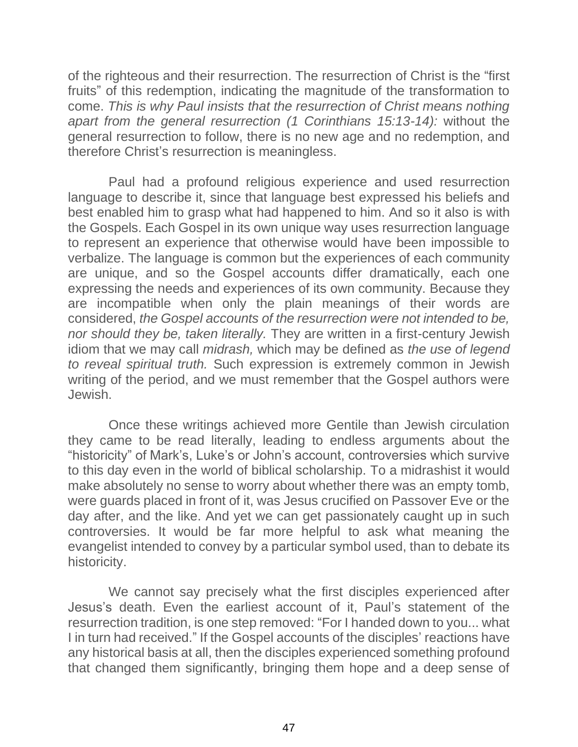of the righteous and their resurrection. The resurrection of Christ is the "first fruits" of this redemption, indicating the magnitude of the transformation to come. *This is why Paul insists that the resurrection of Christ means nothing apart from the general resurrection (1 Corinthians 15:13-14):* without the general resurrection to follow, there is no new age and no redemption, and therefore Christ's resurrection is meaningless.

Paul had a profound religious experience and used resurrection language to describe it, since that language best expressed his beliefs and best enabled him to grasp what had happened to him. And so it also is with the Gospels. Each Gospel in its own unique way uses resurrection language to represent an experience that otherwise would have been impossible to verbalize. The language is common but the experiences of each community are unique, and so the Gospel accounts differ dramatically, each one expressing the needs and experiences of its own community. Because they are incompatible when only the plain meanings of their words are considered, *the Gospel accounts of the resurrection were not intended to be, nor should they be, taken literally.* They are written in a first-century Jewish idiom that we may call *midrash,* which may be defined as *the use of legend to reveal spiritual truth.* Such expression is extremely common in Jewish writing of the period, and we must remember that the Gospel authors were Jewish.

Once these writings achieved more Gentile than Jewish circulation they came to be read literally, leading to endless arguments about the "historicity" of Mark's, Luke's or John's account, controversies which survive to this day even in the world of biblical scholarship. To a midrashist it would make absolutely no sense to worry about whether there was an empty tomb, were guards placed in front of it, was Jesus crucified on Passover Eve or the day after, and the like. And yet we can get passionately caught up in such controversies. It would be far more helpful to ask what meaning the evangelist intended to convey by a particular symbol used, than to debate its historicity.

We cannot say precisely what the first disciples experienced after Jesus's death. Even the earliest account of it, Paul's statement of the resurrection tradition, is one step removed: "For I handed down to you... what I in turn had received." If the Gospel accounts of the disciples' reactions have any historical basis at all, then the disciples experienced something profound that changed them significantly, bringing them hope and a deep sense of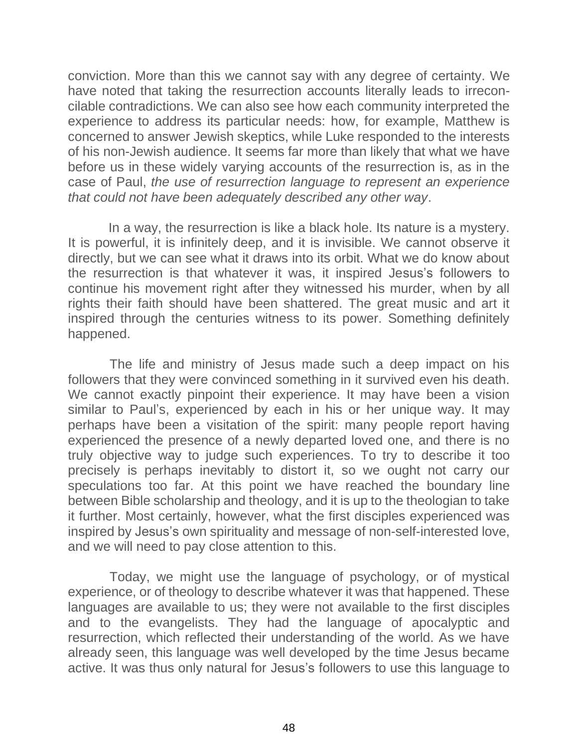conviction. More than this we cannot say with any degree of certainty. We have noted that taking the resurrection accounts literally leads to irreconcilable contradictions. We can also see how each community interpreted the experience to address its particular needs: how, for example, Matthew is concerned to answer Jewish skeptics, while Luke responded to the interests of his non-Jewish audience. It seems far more than likely that what we have before us in these widely varying accounts of the resurrection is, as in the case of Paul, *the use of resurrection language to represent an experience that could not have been adequately described any other way*.

In a way, the resurrection is like a black hole. Its nature is a mystery. It is powerful, it is infinitely deep, and it is invisible. We cannot observe it directly, but we can see what it draws into its orbit. What we do know about the resurrection is that whatever it was, it inspired Jesus's followers to continue his movement right after they witnessed his murder, when by all rights their faith should have been shattered. The great music and art it inspired through the centuries witness to its power. Something definitely happened.

The life and ministry of Jesus made such a deep impact on his followers that they were convinced something in it survived even his death. We cannot exactly pinpoint their experience. It may have been a vision similar to Paul's, experienced by each in his or her unique way. It may perhaps have been a visitation of the spirit: many people report having experienced the presence of a newly departed loved one, and there is no truly objective way to judge such experiences. To try to describe it too precisely is perhaps inevitably to distort it, so we ought not carry our speculations too far. At this point we have reached the boundary line between Bible scholarship and theology, and it is up to the theologian to take it further. Most certainly, however, what the first disciples experienced was inspired by Jesus's own spirituality and message of non-self-interested love, and we will need to pay close attention to this.

Today, we might use the language of psychology, or of mystical experience, or of theology to describe whatever it was that happened. These languages are available to us; they were not available to the first disciples and to the evangelists. They had the language of apocalyptic and resurrection, which reflected their understanding of the world. As we have already seen, this language was well developed by the time Jesus became active. It was thus only natural for Jesus's followers to use this language to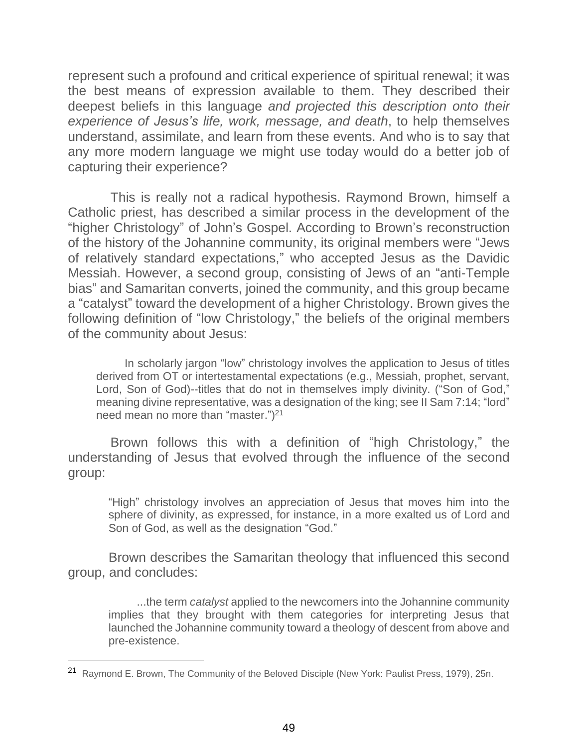represent such a profound and critical experience of spiritual renewal; it was the best means of expression available to them. They described their deepest beliefs in this language *and projected this description onto their experience of Jesus's life, work, message, and death*, to help themselves understand, assimilate, and learn from these events. And who is to say that any more modern language we might use today would do a better job of capturing their experience?

This is really not a radical hypothesis. Raymond Brown, himself a Catholic priest, has described a similar process in the development of the "higher Christology" of John's Gospel. According to Brown's reconstruction of the history of the Johannine community, its original members were "Jews of relatively standard expectations," who accepted Jesus as the Davidic Messiah. However, a second group, consisting of Jews of an "anti-Temple bias" and Samaritan converts, joined the community, and this group became a "catalyst" toward the development of a higher Christology. Brown gives the following definition of "low Christology," the beliefs of the original members of the community about Jesus:

In scholarly jargon "low" christology involves the application to Jesus of titles derived from OT or intertestamental expectations (e.g., Messiah, prophet, servant, Lord, Son of God)--titles that do not in themselves imply divinity. ("Son of God," meaning divine representative, was a designation of the king; see II Sam 7:14; "lord" need mean no more than "master.")<sup>21</sup>

Brown follows this with a definition of "high Christology," the understanding of Jesus that evolved through the influence of the second group:

"High" christology involves an appreciation of Jesus that moves him into the sphere of divinity, as expressed, for instance, in a more exalted us of Lord and Son of God, as well as the designation "God."

Brown describes the Samaritan theology that influenced this second group, and concludes:

...the term *catalyst* applied to the newcomers into the Johannine community implies that they brought with them categories for interpreting Jesus that launched the Johannine community toward a theology of descent from above and pre-existence.

<sup>21</sup> Raymond E. Brown, The Community of the Beloved Disciple (New York: Paulist Press, 1979), 25n.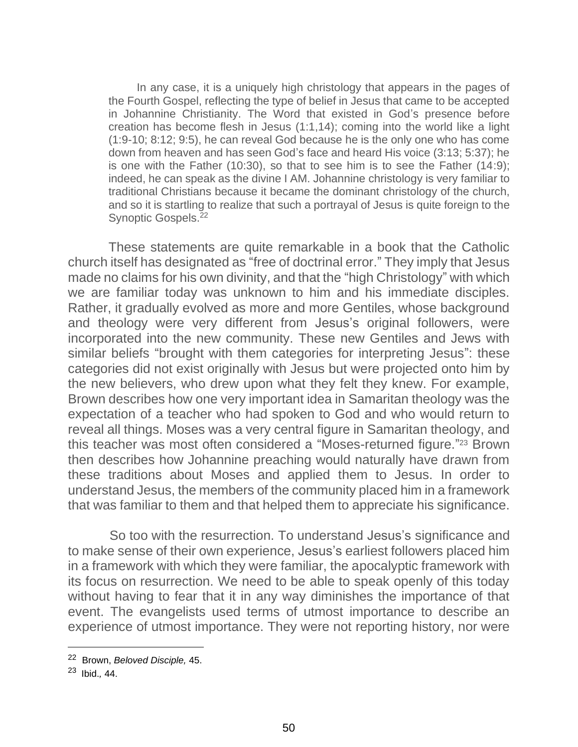In any case, it is a uniquely high christology that appears in the pages of the Fourth Gospel, reflecting the type of belief in Jesus that came to be accepted in Johannine Christianity. The Word that existed in God's presence before creation has become flesh in Jesus (1:1,14); coming into the world like a light (1:9-10; 8:12; 9:5), he can reveal God because he is the only one who has come down from heaven and has seen God's face and heard His voice (3:13; 5:37); he is one with the Father (10:30), so that to see him is to see the Father (14:9); indeed, he can speak as the divine I AM. Johannine christology is very familiar to traditional Christians because it became the dominant christology of the church, and so it is startling to realize that such a portrayal of Jesus is quite foreign to the Synoptic Gospels.<sup>22</sup>

These statements are quite remarkable in a book that the Catholic church itself has designated as "free of doctrinal error." They imply that Jesus made no claims for his own divinity, and that the "high Christology" with which we are familiar today was unknown to him and his immediate disciples. Rather, it gradually evolved as more and more Gentiles, whose background and theology were very different from Jesus's original followers, were incorporated into the new community. These new Gentiles and Jews with similar beliefs "brought with them categories for interpreting Jesus": these categories did not exist originally with Jesus but were projected onto him by the new believers, who drew upon what they felt they knew. For example, Brown describes how one very important idea in Samaritan theology was the expectation of a teacher who had spoken to God and who would return to reveal all things. Moses was a very central figure in Samaritan theology, and this teacher was most often considered a "Moses-returned figure."<sup>23</sup> Brown then describes how Johannine preaching would naturally have drawn from these traditions about Moses and applied them to Jesus. In order to understand Jesus, the members of the community placed him in a framework that was familiar to them and that helped them to appreciate his significance.

So too with the resurrection. To understand Jesus's significance and to make sense of their own experience, Jesus's earliest followers placed him in a framework with which they were familiar, the apocalyptic framework with its focus on resurrection. We need to be able to speak openly of this today without having to fear that it in any way diminishes the importance of that event. The evangelists used terms of utmost importance to describe an experience of utmost importance. They were not reporting history, nor were

<sup>22</sup> Brown, *Beloved Disciple,* 45.

<sup>23</sup> Ibid.*,* 44.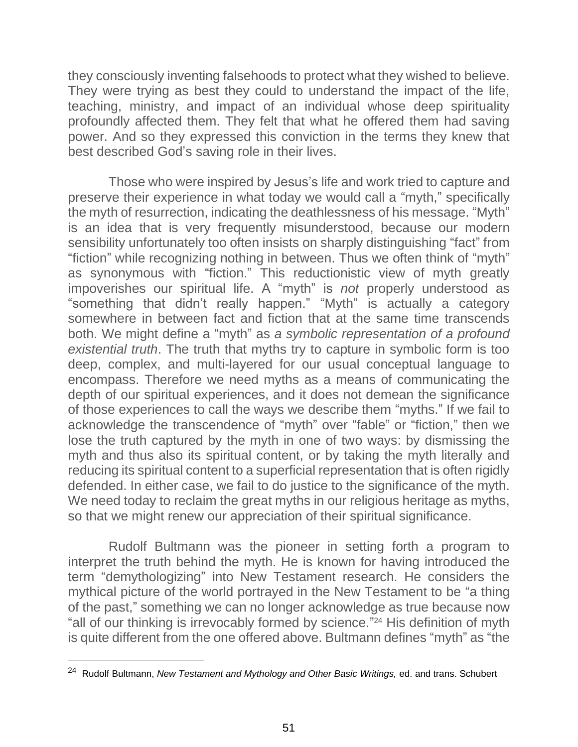they consciously inventing falsehoods to protect what they wished to believe. They were trying as best they could to understand the impact of the life, teaching, ministry, and impact of an individual whose deep spirituality profoundly affected them. They felt that what he offered them had saving power. And so they expressed this conviction in the terms they knew that best described God's saving role in their lives.

Those who were inspired by Jesus's life and work tried to capture and preserve their experience in what today we would call a "myth," specifically the myth of resurrection, indicating the deathlessness of his message. "Myth" is an idea that is very frequently misunderstood, because our modern sensibility unfortunately too often insists on sharply distinguishing "fact" from "fiction" while recognizing nothing in between. Thus we often think of "myth" as synonymous with "fiction." This reductionistic view of myth greatly impoverishes our spiritual life. A "myth" is *not* properly understood as "something that didn't really happen." "Myth" is actually a category somewhere in between fact and fiction that at the same time transcends both. We might define a "myth" as *a symbolic representation of a profound existential truth*. The truth that myths try to capture in symbolic form is too deep, complex, and multi-layered for our usual conceptual language to encompass. Therefore we need myths as a means of communicating the depth of our spiritual experiences, and it does not demean the significance of those experiences to call the ways we describe them "myths." If we fail to acknowledge the transcendence of "myth" over "fable" or "fiction," then we lose the truth captured by the myth in one of two ways: by dismissing the myth and thus also its spiritual content, or by taking the myth literally and reducing its spiritual content to a superficial representation that is often rigidly defended. In either case, we fail to do justice to the significance of the myth. We need today to reclaim the great myths in our religious heritage as myths, so that we might renew our appreciation of their spiritual significance.

Rudolf Bultmann was the pioneer in setting forth a program to interpret the truth behind the myth. He is known for having introduced the term "demythologizing" into New Testament research. He considers the mythical picture of the world portrayed in the New Testament to be "a thing of the past," something we can no longer acknowledge as true because now "all of our thinking is irrevocably formed by science." <sup>24</sup> His definition of myth is quite different from the one offered above. Bultmann defines "myth" as "the

<sup>24</sup> Rudolf Bultmann, *New Testament and Mythology and Other Basic Writings,* ed. and trans. Schubert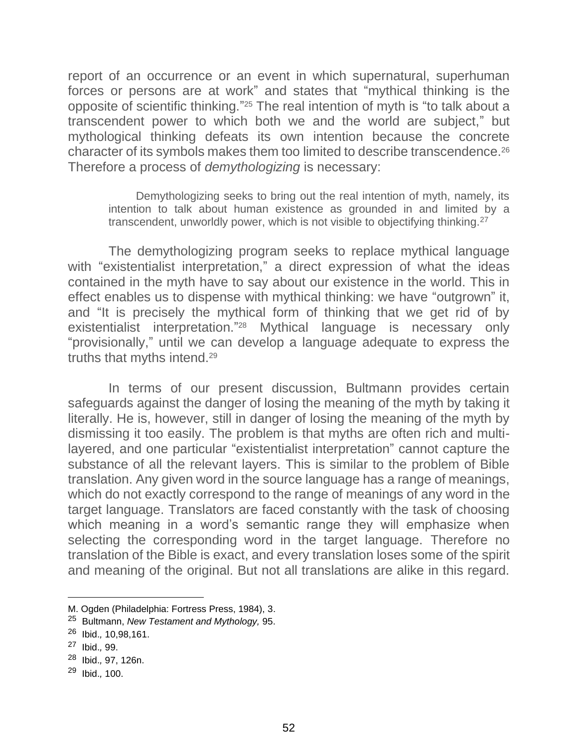report of an occurrence or an event in which supernatural, superhuman forces or persons are at work" and states that "mythical thinking is the opposite of scientific thinking." <sup>25</sup> The real intention of myth is "to talk about a transcendent power to which both we and the world are subject," but mythological thinking defeats its own intention because the concrete character of its symbols makes them too limited to describe transcendence.<sup>26</sup> Therefore a process of *demythologizing* is necessary:

Demythologizing seeks to bring out the real intention of myth, namely, its intention to talk about human existence as grounded in and limited by a transcendent, unworldly power, which is not visible to objectifying thinking.<sup>27</sup>

The demythologizing program seeks to replace mythical language with "existentialist interpretation," a direct expression of what the ideas contained in the myth have to say about our existence in the world. This in effect enables us to dispense with mythical thinking: we have "outgrown" it, and "It is precisely the mythical form of thinking that we get rid of by existentialist interpretation." <sup>28</sup> Mythical language is necessary only "provisionally," until we can develop a language adequate to express the truths that myths intend.<sup>29</sup>

In terms of our present discussion, Bultmann provides certain safeguards against the danger of losing the meaning of the myth by taking it literally. He is, however, still in danger of losing the meaning of the myth by dismissing it too easily. The problem is that myths are often rich and multilayered, and one particular "existentialist interpretation" cannot capture the substance of all the relevant layers. This is similar to the problem of Bible translation. Any given word in the source language has a range of meanings, which do not exactly correspond to the range of meanings of any word in the target language. Translators are faced constantly with the task of choosing which meaning in a word's semantic range they will emphasize when selecting the corresponding word in the target language. Therefore no translation of the Bible is exact, and every translation loses some of the spirit and meaning of the original. But not all translations are alike in this regard.

M. Ogden (Philadelphia: Fortress Press, 1984), 3.

<sup>25</sup> Bultmann, *New Testament and Mythology,* 95.

<sup>26</sup> Ibid.*,* 10,98,161.

<sup>27</sup> Ibid.*,* 99.

<sup>28</sup> Ibid.*,* 97, 126n.

<sup>29</sup> Ibid.*,* 100.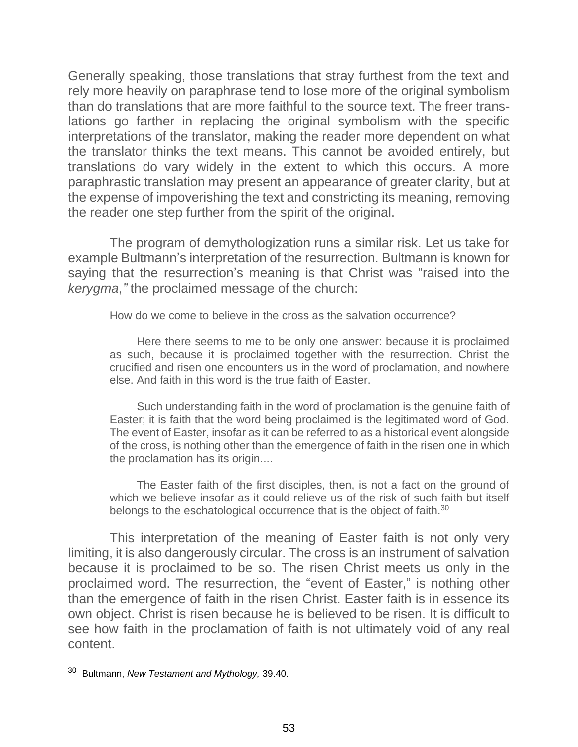Generally speaking, those translations that stray furthest from the text and rely more heavily on paraphrase tend to lose more of the original symbolism than do translations that are more faithful to the source text. The freer translations go farther in replacing the original symbolism with the specific interpretations of the translator, making the reader more dependent on what the translator thinks the text means. This cannot be avoided entirely, but translations do vary widely in the extent to which this occurs. A more paraphrastic translation may present an appearance of greater clarity, but at the expense of impoverishing the text and constricting its meaning, removing the reader one step further from the spirit of the original.

The program of demythologization runs a similar risk. Let us take for example Bultmann's interpretation of the resurrection. Bultmann is known for saying that the resurrection's meaning is that Christ was "raised into the *kerygma*,*"* the proclaimed message of the church:

How do we come to believe in the cross as the salvation occurrence?

Here there seems to me to be only one answer: because it is proclaimed as such, because it is proclaimed together with the resurrection. Christ the crucified and risen one encounters us in the word of proclamation, and nowhere else. And faith in this word is the true faith of Easter.

Such understanding faith in the word of proclamation is the genuine faith of Easter; it is faith that the word being proclaimed is the legitimated word of God. The event of Easter, insofar as it can be referred to as a historical event alongside of the cross, is nothing other than the emergence of faith in the risen one in which the proclamation has its origin....

The Easter faith of the first disciples, then, is not a fact on the ground of which we believe insofar as it could relieve us of the risk of such faith but itself belongs to the eschatological occurrence that is the object of faith.<sup>30</sup>

This interpretation of the meaning of Easter faith is not only very limiting, it is also dangerously circular. The cross is an instrument of salvation because it is proclaimed to be so. The risen Christ meets us only in the proclaimed word. The resurrection, the "event of Easter," is nothing other than the emergence of faith in the risen Christ. Easter faith is in essence its own object. Christ is risen because he is believed to be risen. It is difficult to see how faith in the proclamation of faith is not ultimately void of any real content.

<sup>30</sup> Bultmann, *New Testament and Mythology,* 39.40.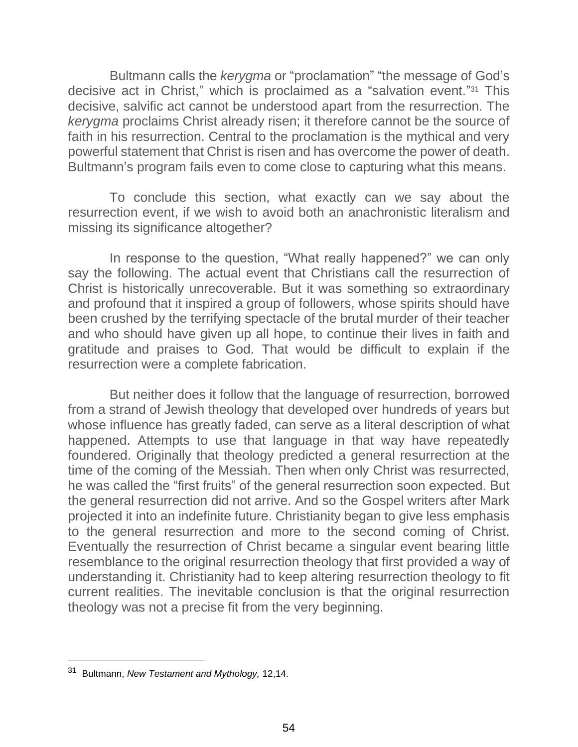Bultmann calls the *kerygma* or "proclamation" "the message of God's decisive act in Christ," which is proclaimed as a "salvation event." <sup>31</sup> This decisive, salvific act cannot be understood apart from the resurrection. The *kerygma* proclaims Christ already risen; it therefore cannot be the source of faith in his resurrection. Central to the proclamation is the mythical and very powerful statement that Christ is risen and has overcome the power of death. Bultmann's program fails even to come close to capturing what this means.

To conclude this section, what exactly can we say about the resurrection event, if we wish to avoid both an anachronistic literalism and missing its significance altogether?

In response to the question, "What really happened?" we can only say the following. The actual event that Christians call the resurrection of Christ is historically unrecoverable. But it was something so extraordinary and profound that it inspired a group of followers, whose spirits should have been crushed by the terrifying spectacle of the brutal murder of their teacher and who should have given up all hope, to continue their lives in faith and gratitude and praises to God. That would be difficult to explain if the resurrection were a complete fabrication.

But neither does it follow that the language of resurrection, borrowed from a strand of Jewish theology that developed over hundreds of years but whose influence has greatly faded, can serve as a literal description of what happened. Attempts to use that language in that way have repeatedly foundered. Originally that theology predicted a general resurrection at the time of the coming of the Messiah. Then when only Christ was resurrected, he was called the "first fruits" of the general resurrection soon expected. But the general resurrection did not arrive. And so the Gospel writers after Mark projected it into an indefinite future. Christianity began to give less emphasis to the general resurrection and more to the second coming of Christ. Eventually the resurrection of Christ became a singular event bearing little resemblance to the original resurrection theology that first provided a way of understanding it. Christianity had to keep altering resurrection theology to fit current realities. The inevitable conclusion is that the original resurrection theology was not a precise fit from the very beginning.

<sup>31</sup> Bultmann, *New Testament and Mythology,* 12,14.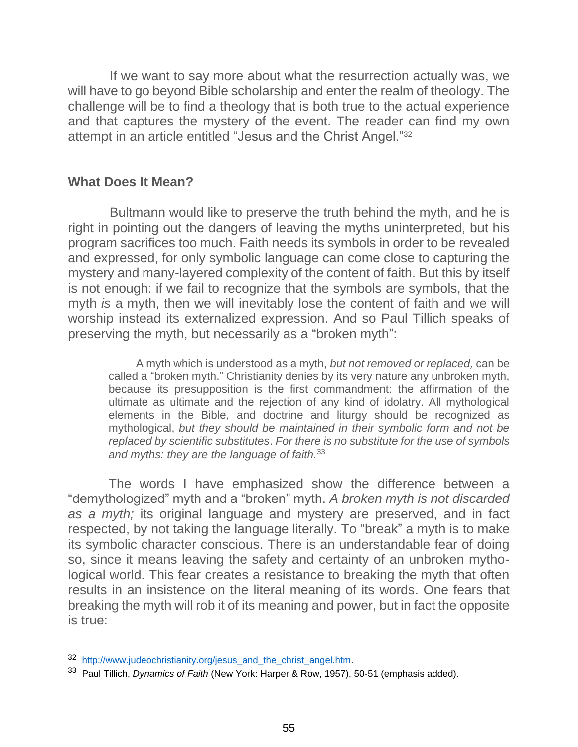If we want to say more about what the resurrection actually was, we will have to go beyond Bible scholarship and enter the realm of theology. The challenge will be to find a theology that is both true to the actual experience and that captures the mystery of the event. The reader can find my own attempt in an article entitled "Jesus and the Christ Angel."<sup>32</sup>

# **What Does It Mean?**

Bultmann would like to preserve the truth behind the myth, and he is right in pointing out the dangers of leaving the myths uninterpreted, but his program sacrifices too much. Faith needs its symbols in order to be revealed and expressed, for only symbolic language can come close to capturing the mystery and many-layered complexity of the content of faith. But this by itself is not enough: if we fail to recognize that the symbols are symbols, that the myth *is* a myth, then we will inevitably lose the content of faith and we will worship instead its externalized expression. And so Paul Tillich speaks of preserving the myth, but necessarily as a "broken myth":

A myth which is understood as a myth, *but not removed or replaced,* can be called a "broken myth." Christianity denies by its very nature any unbroken myth, because its presupposition is the first commandment: the affirmation of the ultimate as ultimate and the rejection of any kind of idolatry. All mythological elements in the Bible, and doctrine and liturgy should be recognized as mythological, *but they should be maintained in their symbolic form and not be replaced by scientific substitutes*. *For there is no substitute for the use of symbols and myths: they are the language of faith.*<sup>33</sup>

The words I have emphasized show the difference between a "demythologized" myth and a "broken" myth. *A broken myth is not discarded as a myth;* its original language and mystery are preserved, and in fact respected, by not taking the language literally. To "break" a myth is to make its symbolic character conscious. There is an understandable fear of doing so, since it means leaving the safety and certainty of an unbroken mythological world. This fear creates a resistance to breaking the myth that often results in an insistence on the literal meaning of its words. One fears that breaking the myth will rob it of its meaning and power, but in fact the opposite is true:

<sup>32</sup> [http://www.judeochristianity.org/jesus\\_and\\_the\\_christ\\_angel.htm.](http://www.judeochristianity.org/jesus_and_the_christ_angel.htm)

<sup>33</sup> Paul Tillich, *Dynamics of Faith* (New York: Harper & Row, 1957), 50-51 (emphasis added).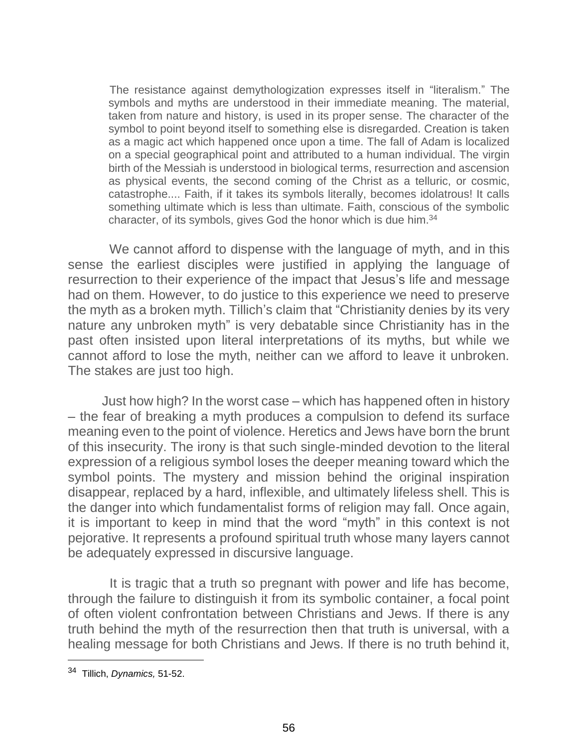The resistance against demythologization expresses itself in "literalism." The symbols and myths are understood in their immediate meaning. The material, taken from nature and history, is used in its proper sense. The character of the symbol to point beyond itself to something else is disregarded. Creation is taken as a magic act which happened once upon a time. The fall of Adam is localized on a special geographical point and attributed to a human individual. The virgin birth of the Messiah is understood in biological terms, resurrection and ascension as physical events, the second coming of the Christ as a telluric, or cosmic, catastrophe.... Faith, if it takes its symbols literally, becomes idolatrous! It calls something ultimate which is less than ultimate. Faith, conscious of the symbolic character, of its symbols, gives God the honor which is due him.<sup>34</sup>

 We cannot afford to dispense with the language of myth, and in this sense the earliest disciples were justified in applying the language of resurrection to their experience of the impact that Jesus's life and message had on them. However, to do justice to this experience we need to preserve the myth as a broken myth. Tillich's claim that "Christianity denies by its very nature any unbroken myth" is very debatable since Christianity has in the past often insisted upon literal interpretations of its myths, but while we cannot afford to lose the myth, neither can we afford to leave it unbroken. The stakes are just too high.

Just how high? In the worst case – which has happened often in history – the fear of breaking a myth produces a compulsion to defend its surface meaning even to the point of violence. Heretics and Jews have born the brunt of this insecurity. The irony is that such single-minded devotion to the literal expression of a religious symbol loses the deeper meaning toward which the symbol points. The mystery and mission behind the original inspiration disappear, replaced by a hard, inflexible, and ultimately lifeless shell. This is the danger into which fundamentalist forms of religion may fall. Once again, it is important to keep in mind that the word "myth" in this context is not pejorative. It represents a profound spiritual truth whose many layers cannot be adequately expressed in discursive language.

It is tragic that a truth so pregnant with power and life has become, through the failure to distinguish it from its symbolic container, a focal point of often violent confrontation between Christians and Jews. If there is any truth behind the myth of the resurrection then that truth is universal, with a healing message for both Christians and Jews. If there is no truth behind it,

<sup>34</sup> Tillich, *Dynamics,* 51-52.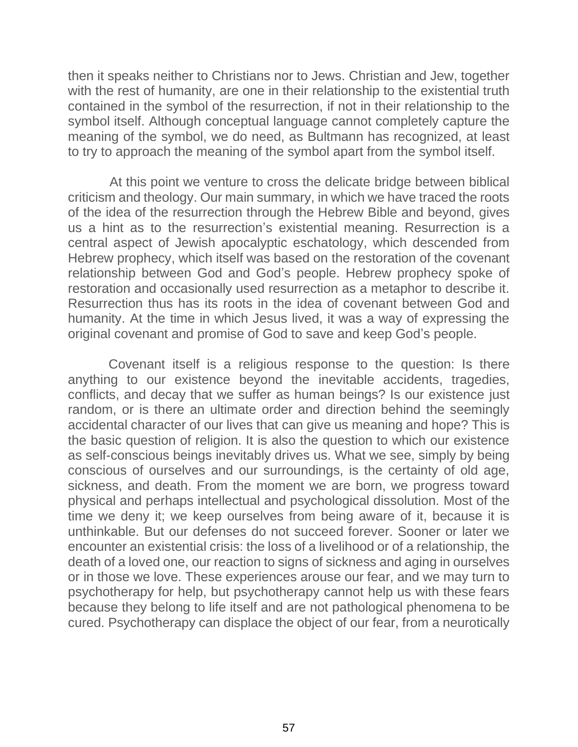then it speaks neither to Christians nor to Jews. Christian and Jew, together with the rest of humanity, are one in their relationship to the existential truth contained in the symbol of the resurrection, if not in their relationship to the symbol itself. Although conceptual language cannot completely capture the meaning of the symbol, we do need, as Bultmann has recognized, at least to try to approach the meaning of the symbol apart from the symbol itself.

At this point we venture to cross the delicate bridge between biblical criticism and theology. Our main summary, in which we have traced the roots of the idea of the resurrection through the Hebrew Bible and beyond, gives us a hint as to the resurrection's existential meaning. Resurrection is a central aspect of Jewish apocalyptic eschatology, which descended from Hebrew prophecy, which itself was based on the restoration of the covenant relationship between God and God's people. Hebrew prophecy spoke of restoration and occasionally used resurrection as a metaphor to describe it. Resurrection thus has its roots in the idea of covenant between God and humanity. At the time in which Jesus lived, it was a way of expressing the original covenant and promise of God to save and keep God's people.

Covenant itself is a religious response to the question: Is there anything to our existence beyond the inevitable accidents, tragedies, conflicts, and decay that we suffer as human beings? Is our existence just random, or is there an ultimate order and direction behind the seemingly accidental character of our lives that can give us meaning and hope? This is the basic question of religion. It is also the question to which our existence as self-conscious beings inevitably drives us. What we see, simply by being conscious of ourselves and our surroundings, is the certainty of old age, sickness, and death. From the moment we are born, we progress toward physical and perhaps intellectual and psychological dissolution. Most of the time we deny it; we keep ourselves from being aware of it, because it is unthinkable. But our defenses do not succeed forever. Sooner or later we encounter an existential crisis: the loss of a livelihood or of a relationship, the death of a loved one, our reaction to signs of sickness and aging in ourselves or in those we love. These experiences arouse our fear, and we may turn to psychotherapy for help, but psychotherapy cannot help us with these fears because they belong to life itself and are not pathological phenomena to be cured. Psychotherapy can displace the object of our fear, from a neurotically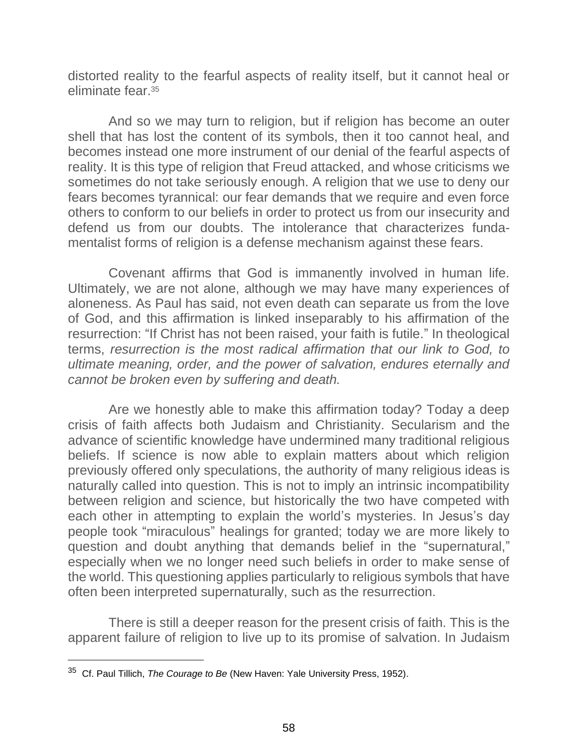distorted reality to the fearful aspects of reality itself, but it cannot heal or eliminate fear.<sup>35</sup>

And so we may turn to religion, but if religion has become an outer shell that has lost the content of its symbols, then it too cannot heal, and becomes instead one more instrument of our denial of the fearful aspects of reality. It is this type of religion that Freud attacked, and whose criticisms we sometimes do not take seriously enough. A religion that we use to deny our fears becomes tyrannical: our fear demands that we require and even force others to conform to our beliefs in order to protect us from our insecurity and defend us from our doubts. The intolerance that characterizes fundamentalist forms of religion is a defense mechanism against these fears.

Covenant affirms that God is immanently involved in human life. Ultimately, we are not alone, although we may have many experiences of aloneness. As Paul has said, not even death can separate us from the love of God, and this affirmation is linked inseparably to his affirmation of the resurrection: "If Christ has not been raised, your faith is futile." In theological terms, *resurrection is the most radical affirmation that our link to God, to ultimate meaning, order, and the power of salvation, endures eternally and cannot be broken even by suffering and death.*

Are we honestly able to make this affirmation today? Today a deep crisis of faith affects both Judaism and Christianity. Secularism and the advance of scientific knowledge have undermined many traditional religious beliefs. If science is now able to explain matters about which religion previously offered only speculations, the authority of many religious ideas is naturally called into question. This is not to imply an intrinsic incompatibility between religion and science, but historically the two have competed with each other in attempting to explain the world's mysteries. In Jesus's day people took "miraculous" healings for granted; today we are more likely to question and doubt anything that demands belief in the "supernatural," especially when we no longer need such beliefs in order to make sense of the world. This questioning applies particularly to religious symbols that have often been interpreted supernaturally, such as the resurrection.

There is still a deeper reason for the present crisis of faith. This is the apparent failure of religion to live up to its promise of salvation. In Judaism

<sup>35</sup> Cf. Paul Tillich, *The Courage to Be* (New Haven: Yale University Press, 1952).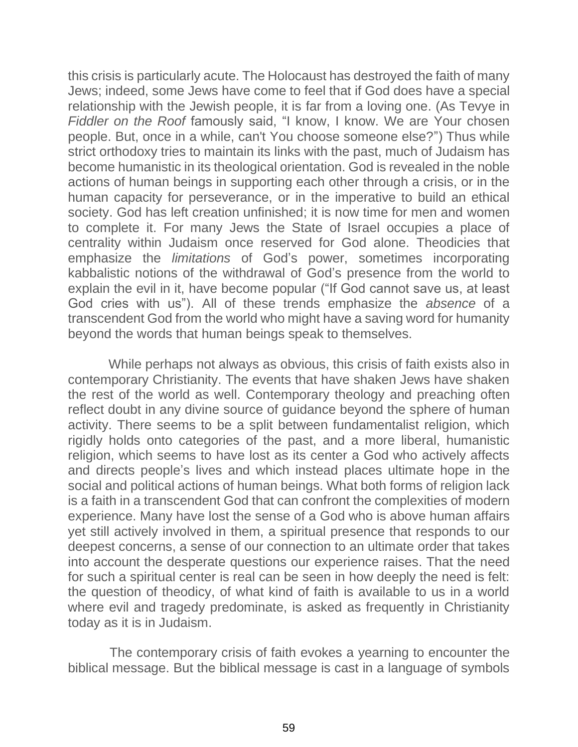this crisis is particularly acute. The Holocaust has destroyed the faith of many Jews; indeed, some Jews have come to feel that if God does have a special relationship with the Jewish people, it is far from a loving one. (As Tevye in *Fiddler on the Roof* famously said, "I know, I know. We are Your chosen people. But, once in a while, can't You choose someone else?") Thus while strict orthodoxy tries to maintain its links with the past, much of Judaism has become humanistic in its theological orientation. God is revealed in the noble actions of human beings in supporting each other through a crisis, or in the human capacity for perseverance, or in the imperative to build an ethical society. God has left creation unfinished; it is now time for men and women to complete it. For many Jews the State of Israel occupies a place of centrality within Judaism once reserved for God alone. Theodicies that emphasize the *limitations* of God's power, sometimes incorporating kabbalistic notions of the withdrawal of God's presence from the world to explain the evil in it, have become popular ("If God cannot save us, at least God cries with us"). All of these trends emphasize the *absence* of a transcendent God from the world who might have a saving word for humanity beyond the words that human beings speak to themselves.

While perhaps not always as obvious, this crisis of faith exists also in contemporary Christianity. The events that have shaken Jews have shaken the rest of the world as well. Contemporary theology and preaching often reflect doubt in any divine source of guidance beyond the sphere of human activity. There seems to be a split between fundamentalist religion, which rigidly holds onto categories of the past, and a more liberal, humanistic religion, which seems to have lost as its center a God who actively affects and directs people's lives and which instead places ultimate hope in the social and political actions of human beings. What both forms of religion lack is a faith in a transcendent God that can confront the complexities of modern experience. Many have lost the sense of a God who is above human affairs yet still actively involved in them, a spiritual presence that responds to our deepest concerns, a sense of our connection to an ultimate order that takes into account the desperate questions our experience raises. That the need for such a spiritual center is real can be seen in how deeply the need is felt: the question of theodicy, of what kind of faith is available to us in a world where evil and tragedy predominate, is asked as frequently in Christianity today as it is in Judaism.

The contemporary crisis of faith evokes a yearning to encounter the biblical message. But the biblical message is cast in a language of symbols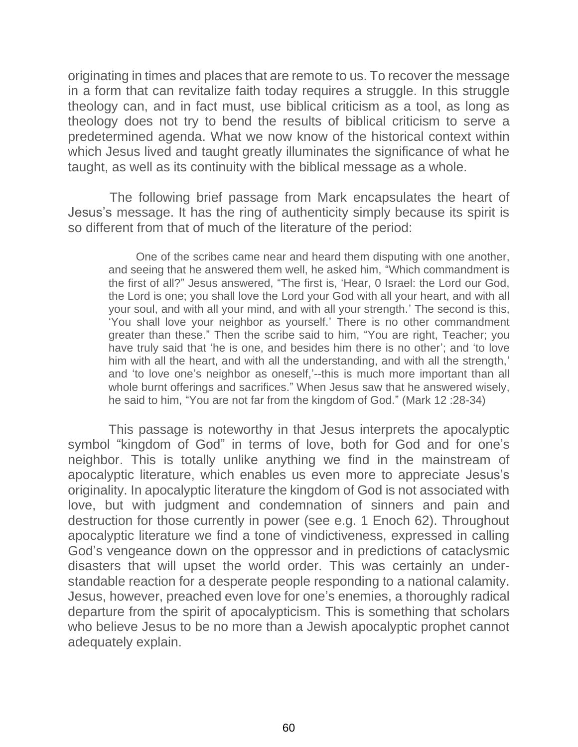originating in times and places that are remote to us. To recover the message in a form that can revitalize faith today requires a struggle. In this struggle theology can, and in fact must, use biblical criticism as a tool, as long as theology does not try to bend the results of biblical criticism to serve a predetermined agenda. What we now know of the historical context within which Jesus lived and taught greatly illuminates the significance of what he taught, as well as its continuity with the biblical message as a whole.

The following brief passage from Mark encapsulates the heart of Jesus's message. It has the ring of authenticity simply because its spirit is so different from that of much of the literature of the period:

One of the scribes came near and heard them disputing with one another, and seeing that he answered them well, he asked him, "Which commandment is the first of all?" Jesus answered, "The first is, 'Hear, 0 Israel: the Lord our God, the Lord is one; you shall love the Lord your God with all your heart, and with all your soul, and with all your mind, and with all your strength.' The second is this, 'You shall love your neighbor as yourself.' There is no other commandment greater than these." Then the scribe said to him, "You are right, Teacher; you have truly said that 'he is one, and besides him there is no other'; and 'to love him with all the heart, and with all the understanding, and with all the strength,' and 'to love one's neighbor as oneself,'--this is much more important than all whole burnt offerings and sacrifices." When Jesus saw that he answered wisely, he said to him, "You are not far from the kingdom of God." (Mark 12 :28-34)

This passage is noteworthy in that Jesus interprets the apocalyptic symbol "kingdom of God" in terms of love, both for God and for one's neighbor. This is totally unlike anything we find in the mainstream of apocalyptic literature, which enables us even more to appreciate Jesus's originality. In apocalyptic literature the kingdom of God is not associated with love, but with judgment and condemnation of sinners and pain and destruction for those currently in power (see e.g. 1 Enoch 62). Throughout apocalyptic literature we find a tone of vindictiveness, expressed in calling God's vengeance down on the oppressor and in predictions of cataclysmic disasters that will upset the world order. This was certainly an understandable reaction for a desperate people responding to a national calamity. Jesus, however, preached even love for one's enemies, a thoroughly radical departure from the spirit of apocalypticism. This is something that scholars who believe Jesus to be no more than a Jewish apocalyptic prophet cannot adequately explain.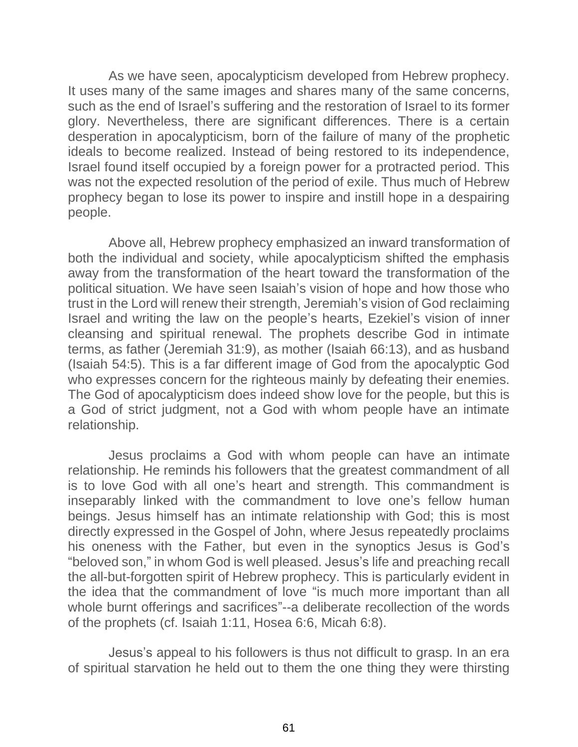As we have seen, apocalypticism developed from Hebrew prophecy. It uses many of the same images and shares many of the same concerns, such as the end of Israel's suffering and the restoration of Israel to its former glory. Nevertheless, there are significant differences. There is a certain desperation in apocalypticism, born of the failure of many of the prophetic ideals to become realized. Instead of being restored to its independence, Israel found itself occupied by a foreign power for a protracted period. This was not the expected resolution of the period of exile. Thus much of Hebrew prophecy began to lose its power to inspire and instill hope in a despairing people.

Above all, Hebrew prophecy emphasized an inward transformation of both the individual and society, while apocalypticism shifted the emphasis away from the transformation of the heart toward the transformation of the political situation. We have seen Isaiah's vision of hope and how those who trust in the Lord will renew their strength, Jeremiah's vision of God reclaiming Israel and writing the law on the people's hearts, Ezekiel's vision of inner cleansing and spiritual renewal. The prophets describe God in intimate terms, as father (Jeremiah 31:9), as mother (Isaiah 66:13), and as husband (Isaiah 54:5). This is a far different image of God from the apocalyptic God who expresses concern for the righteous mainly by defeating their enemies. The God of apocalypticism does indeed show love for the people, but this is a God of strict judgment, not a God with whom people have an intimate relationship.

Jesus proclaims a God with whom people can have an intimate relationship. He reminds his followers that the greatest commandment of all is to love God with all one's heart and strength. This commandment is inseparably linked with the commandment to love one's fellow human beings. Jesus himself has an intimate relationship with God; this is most directly expressed in the Gospel of John, where Jesus repeatedly proclaims his oneness with the Father, but even in the synoptics Jesus is God's "beloved son," in whom God is well pleased. Jesus's life and preaching recall the all-but-forgotten spirit of Hebrew prophecy. This is particularly evident in the idea that the commandment of love "is much more important than all whole burnt offerings and sacrifices"--a deliberate recollection of the words of the prophets (cf. Isaiah 1:11, Hosea 6:6, Micah 6:8).

Jesus's appeal to his followers is thus not difficult to grasp. In an era of spiritual starvation he held out to them the one thing they were thirsting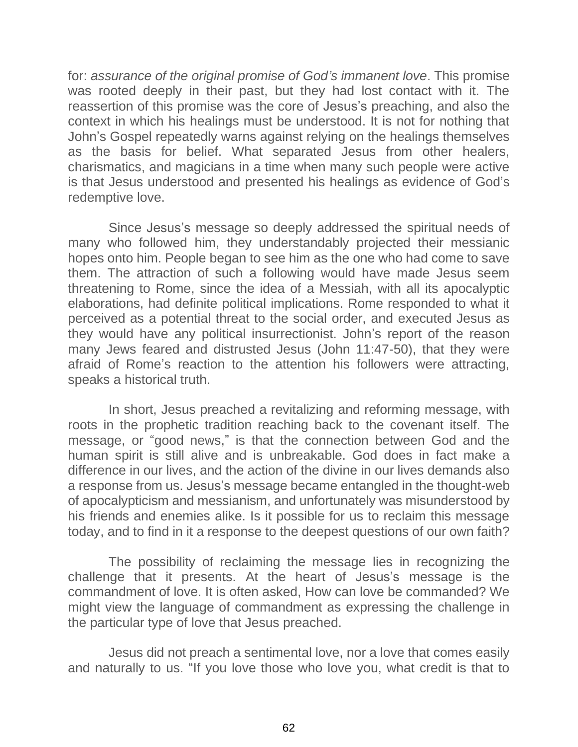for: *assurance of the original promise of God's immanent love*. This promise was rooted deeply in their past, but they had lost contact with it. The reassertion of this promise was the core of Jesus's preaching, and also the context in which his healings must be understood. It is not for nothing that John's Gospel repeatedly warns against relying on the healings themselves as the basis for belief. What separated Jesus from other healers, charismatics, and magicians in a time when many such people were active is that Jesus understood and presented his healings as evidence of God's redemptive love.

Since Jesus's message so deeply addressed the spiritual needs of many who followed him, they understandably projected their messianic hopes onto him. People began to see him as the one who had come to save them. The attraction of such a following would have made Jesus seem threatening to Rome, since the idea of a Messiah, with all its apocalyptic elaborations, had definite political implications. Rome responded to what it perceived as a potential threat to the social order, and executed Jesus as they would have any political insurrectionist. John's report of the reason many Jews feared and distrusted Jesus (John 11:47-50), that they were afraid of Rome's reaction to the attention his followers were attracting, speaks a historical truth.

In short, Jesus preached a revitalizing and reforming message, with roots in the prophetic tradition reaching back to the covenant itself. The message, or "good news," is that the connection between God and the human spirit is still alive and is unbreakable. God does in fact make a difference in our lives, and the action of the divine in our lives demands also a response from us. Jesus's message became entangled in the thought-web of apocalypticism and messianism, and unfortunately was misunderstood by his friends and enemies alike. Is it possible for us to reclaim this message today, and to find in it a response to the deepest questions of our own faith?

The possibility of reclaiming the message lies in recognizing the challenge that it presents. At the heart of Jesus's message is the commandment of love. It is often asked, How can love be commanded? We might view the language of commandment as expressing the challenge in the particular type of love that Jesus preached.

Jesus did not preach a sentimental love, nor a love that comes easily and naturally to us. "If you love those who love you, what credit is that to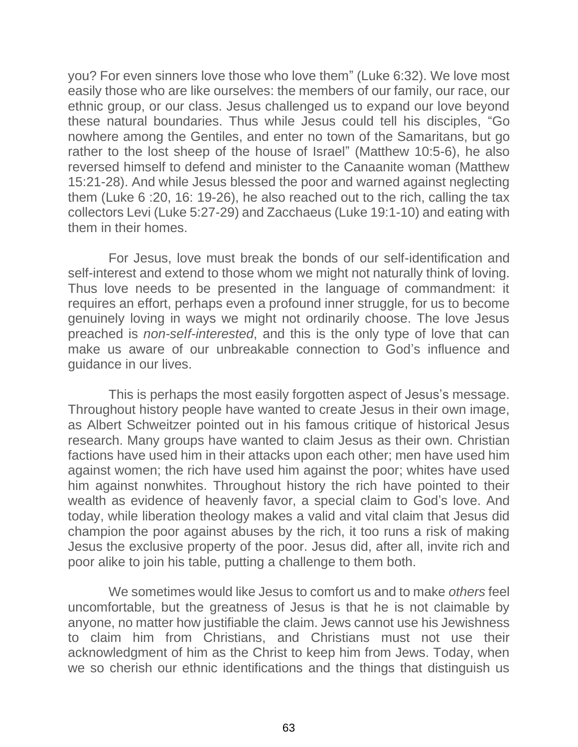you? For even sinners love those who love them" (Luke 6:32). We love most easily those who are like ourselves: the members of our family, our race, our ethnic group, or our class. Jesus challenged us to expand our love beyond these natural boundaries. Thus while Jesus could tell his disciples, "Go nowhere among the Gentiles, and enter no town of the Samaritans, but go rather to the lost sheep of the house of Israel" (Matthew 10:5-6), he also reversed himself to defend and minister to the Canaanite woman (Matthew 15:21-28). And while Jesus blessed the poor and warned against neglecting them (Luke 6 :20, 16: 19-26), he also reached out to the rich, calling the tax collectors Levi (Luke 5:27-29) and Zacchaeus (Luke 19:1-10) and eating with them in their homes.

For Jesus, love must break the bonds of our self-identification and self-interest and extend to those whom we might not naturally think of loving. Thus love needs to be presented in the language of commandment: it requires an effort, perhaps even a profound inner struggle, for us to become genuinely loving in ways we might not ordinarily choose. The love Jesus preached is *non-seIf-interested*, and this is the only type of love that can make us aware of our unbreakable connection to God's influence and guidance in our lives.

This is perhaps the most easily forgotten aspect of Jesus's message. Throughout history people have wanted to create Jesus in their own image, as Albert Schweitzer pointed out in his famous critique of historical Jesus research. Many groups have wanted to claim Jesus as their own. Christian factions have used him in their attacks upon each other; men have used him against women; the rich have used him against the poor; whites have used him against nonwhites. Throughout history the rich have pointed to their wealth as evidence of heavenly favor, a special claim to God's love. And today, while liberation theology makes a valid and vital claim that Jesus did champion the poor against abuses by the rich, it too runs a risk of making Jesus the exclusive property of the poor. Jesus did, after all, invite rich and poor alike to join his table, putting a challenge to them both.

We sometimes would like Jesus to comfort us and to make *others* feel uncomfortable, but the greatness of Jesus is that he is not claimable by anyone, no matter how justifiable the claim. Jews cannot use his Jewishness to claim him from Christians, and Christians must not use their acknowledgment of him as the Christ to keep him from Jews. Today, when we so cherish our ethnic identifications and the things that distinguish us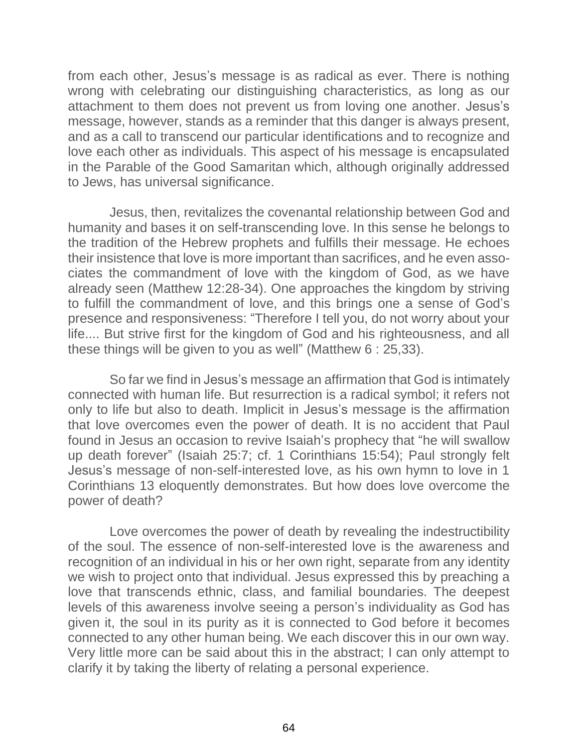from each other, Jesus's message is as radical as ever. There is nothing wrong with celebrating our distinguishing characteristics, as long as our attachment to them does not prevent us from loving one another. Jesus's message, however, stands as a reminder that this danger is always present, and as a call to transcend our particular identifications and to recognize and love each other as individuals. This aspect of his message is encapsulated in the Parable of the Good Samaritan which, although originally addressed to Jews, has universal significance.

Jesus, then, revitalizes the covenantal relationship between God and humanity and bases it on self-transcending love. In this sense he belongs to the tradition of the Hebrew prophets and fulfills their message. He echoes their insistence that love is more important than sacrifices, and he even associates the commandment of love with the kingdom of God, as we have already seen (Matthew 12:28-34). One approaches the kingdom by striving to fulfill the commandment of love, and this brings one a sense of God's presence and responsiveness: "Therefore I tell you, do not worry about your life.... But strive first for the kingdom of God and his righteousness, and all these things will be given to you as well" (Matthew 6 : 25,33).

So far we find in Jesus's message an affirmation that God is intimately connected with human life. But resurrection is a radical symbol; it refers not only to life but also to death. Implicit in Jesus's message is the affirmation that love overcomes even the power of death. It is no accident that Paul found in Jesus an occasion to revive Isaiah's prophecy that "he will swallow up death forever" (Isaiah 25:7; cf. 1 Corinthians 15:54); Paul strongly felt Jesus's message of non-self-interested love, as his own hymn to love in 1 Corinthians 13 eloquently demonstrates. But how does love overcome the power of death?

Love overcomes the power of death by revealing the indestructibility of the soul. The essence of non-self-interested love is the awareness and recognition of an individual in his or her own right, separate from any identity we wish to project onto that individual. Jesus expressed this by preaching a love that transcends ethnic, class, and familial boundaries. The deepest levels of this awareness involve seeing a person's individuality as God has given it, the soul in its purity as it is connected to God before it becomes connected to any other human being. We each discover this in our own way. Very little more can be said about this in the abstract; I can only attempt to clarify it by taking the liberty of relating a personal experience.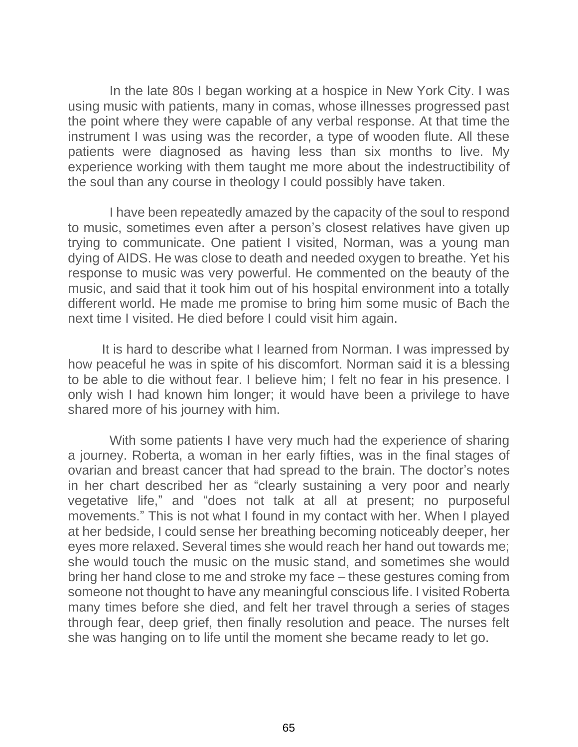In the late 80s I began working at a hospice in New York City. I was using music with patients, many in comas, whose illnesses progressed past the point where they were capable of any verbal response. At that time the instrument I was using was the recorder, a type of wooden flute. All these patients were diagnosed as having less than six months to live. My experience working with them taught me more about the indestructibility of the soul than any course in theology I could possibly have taken.

I have been repeatedly amazed by the capacity of the soul to respond to music, sometimes even after a person's closest relatives have given up trying to communicate. One patient I visited, Norman, was a young man dying of AIDS. He was close to death and needed oxygen to breathe. Yet his response to music was very powerful. He commented on the beauty of the music, and said that it took him out of his hospital environment into a totally different world. He made me promise to bring him some music of Bach the next time I visited. He died before I could visit him again.

It is hard to describe what I learned from Norman. I was impressed by how peaceful he was in spite of his discomfort. Norman said it is a blessing to be able to die without fear. I believe him; I felt no fear in his presence. I only wish I had known him longer; it would have been a privilege to have shared more of his journey with him.

With some patients I have very much had the experience of sharing a journey. Roberta, a woman in her early fifties, was in the final stages of ovarian and breast cancer that had spread to the brain. The doctor's notes in her chart described her as "clearly sustaining a very poor and nearly vegetative life," and "does not talk at all at present; no purposeful movements." This is not what I found in my contact with her. When I played at her bedside, I could sense her breathing becoming noticeably deeper, her eyes more relaxed. Several times she would reach her hand out towards me; she would touch the music on the music stand, and sometimes she would bring her hand close to me and stroke my face – these gestures coming from someone not thought to have any meaningful conscious life. I visited Roberta many times before she died, and felt her travel through a series of stages through fear, deep grief, then finally resolution and peace. The nurses felt she was hanging on to life until the moment she became ready to let go.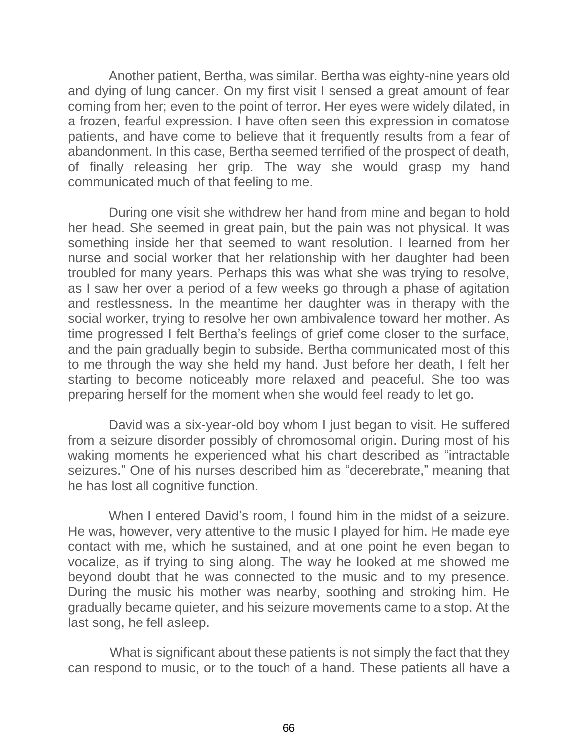Another patient, Bertha, was similar. Bertha was eighty-nine years old and dying of lung cancer. On my first visit I sensed a great amount of fear coming from her; even to the point of terror. Her eyes were widely dilated, in a frozen, fearful expression. I have often seen this expression in comatose patients, and have come to believe that it frequently results from a fear of abandonment. In this case, Bertha seemed terrified of the prospect of death, of finally releasing her grip. The way she would grasp my hand communicated much of that feeling to me.

During one visit she withdrew her hand from mine and began to hold her head. She seemed in great pain, but the pain was not physical. It was something inside her that seemed to want resolution. I learned from her nurse and social worker that her relationship with her daughter had been troubled for many years. Perhaps this was what she was trying to resolve, as I saw her over a period of a few weeks go through a phase of agitation and restlessness. In the meantime her daughter was in therapy with the social worker, trying to resolve her own ambivalence toward her mother. As time progressed I felt Bertha's feelings of grief come closer to the surface, and the pain gradually begin to subside. Bertha communicated most of this to me through the way she held my hand. Just before her death, I felt her starting to become noticeably more relaxed and peaceful. She too was preparing herself for the moment when she would feel ready to let go.

David was a six-year-old boy whom I just began to visit. He suffered from a seizure disorder possibly of chromosomal origin. During most of his waking moments he experienced what his chart described as "intractable seizures." One of his nurses described him as "decerebrate," meaning that he has lost all cognitive function.

When I entered David's room, I found him in the midst of a seizure. He was, however, very attentive to the music I played for him. He made eye contact with me, which he sustained, and at one point he even began to vocalize, as if trying to sing along. The way he looked at me showed me beyond doubt that he was connected to the music and to my presence. During the music his mother was nearby, soothing and stroking him. He gradually became quieter, and his seizure movements came to a stop. At the last song, he fell asleep.

What is significant about these patients is not simply the fact that they can respond to music, or to the touch of a hand. These patients all have a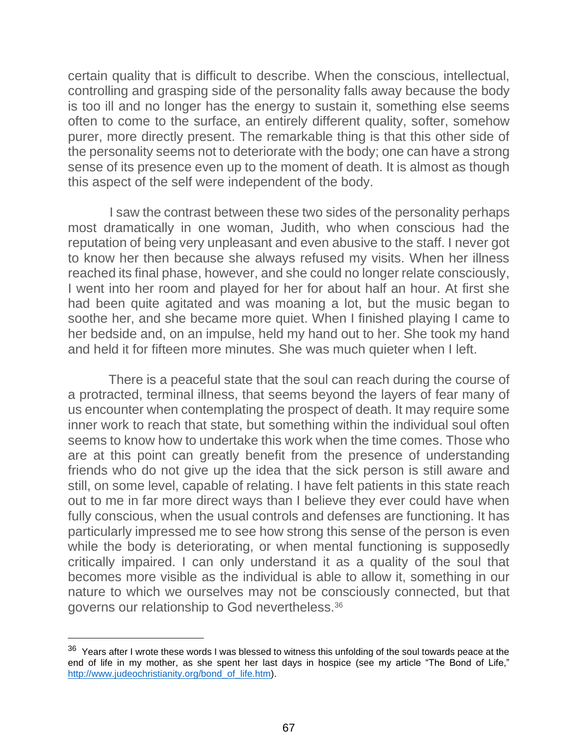certain quality that is difficult to describe. When the conscious, intellectual, controlling and grasping side of the personality falls away because the body is too ill and no longer has the energy to sustain it, something else seems often to come to the surface, an entirely different quality, softer, somehow purer, more directly present. The remarkable thing is that this other side of the personality seems not to deteriorate with the body; one can have a strong sense of its presence even up to the moment of death. It is almost as though this aspect of the self were independent of the body.

I saw the contrast between these two sides of the personality perhaps most dramatically in one woman, Judith, who when conscious had the reputation of being very unpleasant and even abusive to the staff. I never got to know her then because she always refused my visits. When her illness reached its final phase, however, and she could no longer relate consciously, I went into her room and played for her for about half an hour. At first she had been quite agitated and was moaning a lot, but the music began to soothe her, and she became more quiet. When I finished playing I came to her bedside and, on an impulse, held my hand out to her. She took my hand and held it for fifteen more minutes. She was much quieter when I left.

There is a peaceful state that the soul can reach during the course of a protracted, terminal illness, that seems beyond the layers of fear many of us encounter when contemplating the prospect of death. It may require some inner work to reach that state, but something within the individual soul often seems to know how to undertake this work when the time comes. Those who are at this point can greatly benefit from the presence of understanding friends who do not give up the idea that the sick person is still aware and still, on some level, capable of relating. I have felt patients in this state reach out to me in far more direct ways than I believe they ever could have when fully conscious, when the usual controls and defenses are functioning. It has particularly impressed me to see how strong this sense of the person is even while the body is deteriorating, or when mental functioning is supposedly critically impaired. I can only understand it as a quality of the soul that becomes more visible as the individual is able to allow it, something in our nature to which we ourselves may not be consciously connected, but that governs our relationship to God nevertheless.<sup>36</sup>

<sup>&</sup>lt;sup>36</sup> Years after I wrote these words I was blessed to witness this unfolding of the soul towards peace at the end of life in my mother, as she spent her last days in hospice (see my article "The Bond of Life," [http://www.judeochristianity.org/bond\\_of\\_life.htm\)](http://www.judeochristianity.org/bond_of_life.htm).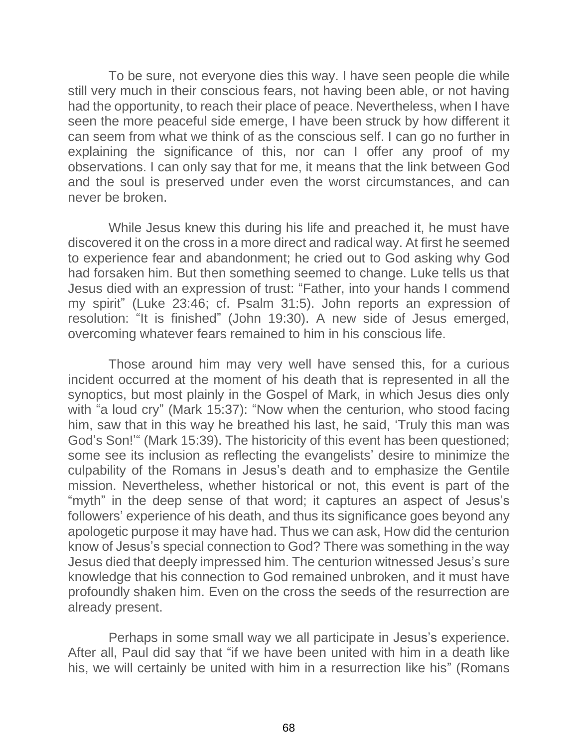To be sure, not everyone dies this way. I have seen people die while still very much in their conscious fears, not having been able, or not having had the opportunity, to reach their place of peace. Nevertheless, when I have seen the more peaceful side emerge, I have been struck by how different it can seem from what we think of as the conscious self. I can go no further in explaining the significance of this, nor can I offer any proof of my observations. I can only say that for me, it means that the link between God and the soul is preserved under even the worst circumstances, and can never be broken.

While Jesus knew this during his life and preached it, he must have discovered it on the cross in a more direct and radical way. At first he seemed to experience fear and abandonment; he cried out to God asking why God had forsaken him. But then something seemed to change. Luke tells us that Jesus died with an expression of trust: "Father, into your hands I commend my spirit" (Luke 23:46; cf. Psalm 31:5). John reports an expression of resolution: "It is finished" (John 19:30). A new side of Jesus emerged, overcoming whatever fears remained to him in his conscious life.

Those around him may very well have sensed this, for a curious incident occurred at the moment of his death that is represented in all the synoptics, but most plainly in the Gospel of Mark, in which Jesus dies only with "a loud cry" (Mark 15:37): "Now when the centurion, who stood facing him, saw that in this way he breathed his last, he said, 'Truly this man was God's Son!'" (Mark 15:39). The historicity of this event has been questioned; some see its inclusion as reflecting the evangelists' desire to minimize the culpability of the Romans in Jesus's death and to emphasize the Gentile mission. Nevertheless, whether historical or not, this event is part of the "myth" in the deep sense of that word; it captures an aspect of Jesus's followers' experience of his death, and thus its significance goes beyond any apologetic purpose it may have had. Thus we can ask, How did the centurion know of Jesus's special connection to God? There was something in the way Jesus died that deeply impressed him. The centurion witnessed Jesus's sure knowledge that his connection to God remained unbroken, and it must have profoundly shaken him. Even on the cross the seeds of the resurrection are already present.

Perhaps in some small way we all participate in Jesus's experience. After all, Paul did say that "if we have been united with him in a death like his, we will certainly be united with him in a resurrection like his" (Romans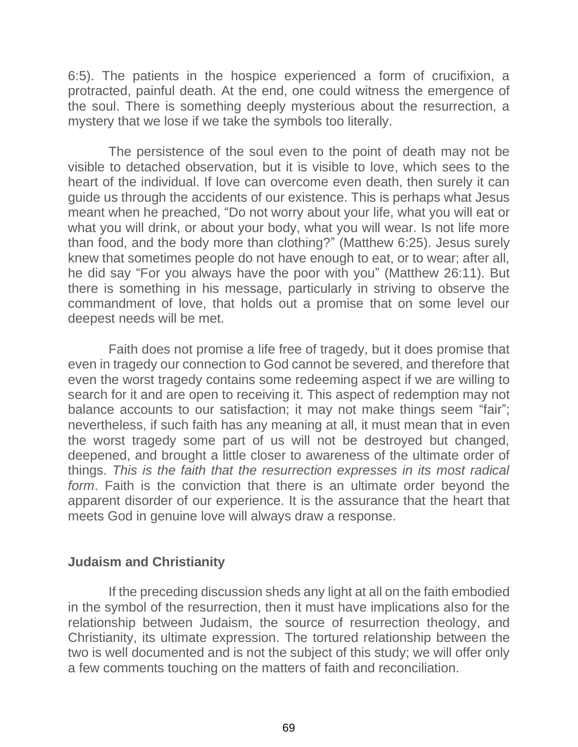6:5). The patients in the hospice experienced a form of crucifixion, a protracted, painful death. At the end, one could witness the emergence of the soul. There is something deeply mysterious about the resurrection, a mystery that we lose if we take the symbols too literally.

The persistence of the soul even to the point of death may not be visible to detached observation, but it is visible to love, which sees to the heart of the individual. If love can overcome even death, then surely it can guide us through the accidents of our existence. This is perhaps what Jesus meant when he preached, "Do not worry about your life, what you will eat or what you will drink, or about your body, what you will wear. Is not life more than food, and the body more than clothing?" (Matthew 6:25). Jesus surely knew that sometimes people do not have enough to eat, or to wear; after all, he did say "For you always have the poor with you" (Matthew 26:11). But there is something in his message, particularly in striving to observe the commandment of love, that holds out a promise that on some level our deepest needs will be met.

Faith does not promise a life free of tragedy, but it does promise that even in tragedy our connection to God cannot be severed, and therefore that even the worst tragedy contains some redeeming aspect if we are willing to search for it and are open to receiving it. This aspect of redemption may not balance accounts to our satisfaction; it may not make things seem "fair"; nevertheless, if such faith has any meaning at all, it must mean that in even the worst tragedy some part of us will not be destroyed but changed, deepened, and brought a little closer to awareness of the ultimate order of things. *This is the faith that the resurrection expresses in its most radical form*. Faith is the conviction that there is an ultimate order beyond the apparent disorder of our experience. It is the assurance that the heart that meets God in genuine love will always draw a response.

### **Judaism and Christianity**

If the preceding discussion sheds any light at all on the faith embodied in the symbol of the resurrection, then it must have implications also for the relationship between Judaism, the source of resurrection theology, and Christianity, its ultimate expression. The tortured relationship between the two is well documented and is not the subject of this study; we will offer only a few comments touching on the matters of faith and reconciliation.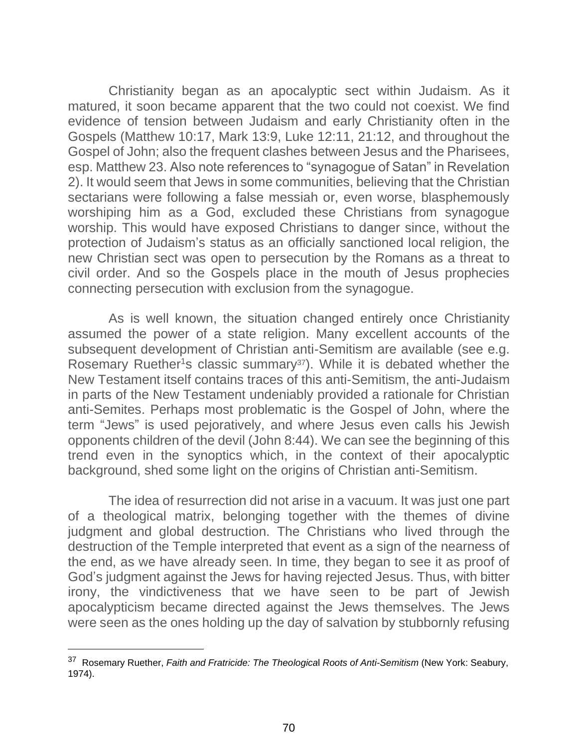Christianity began as an apocalyptic sect within Judaism. As it matured, it soon became apparent that the two could not coexist. We find evidence of tension between Judaism and early Christianity often in the Gospels (Matthew 10:17, Mark 13:9, Luke 12:11, 21:12, and throughout the Gospel of John; also the frequent clashes between Jesus and the Pharisees, esp. Matthew 23. Also note references to "synagogue of Satan" in Revelation 2). It would seem that Jews in some communities, believing that the Christian sectarians were following a false messiah or, even worse, blasphemously worshiping him as a God, excluded these Christians from synagogue worship. This would have exposed Christians to danger since, without the protection of Judaism's status as an officially sanctioned local religion, the new Christian sect was open to persecution by the Romans as a threat to civil order. And so the Gospels place in the mouth of Jesus prophecies connecting persecution with exclusion from the synagogue.

As is well known, the situation changed entirely once Christianity assumed the power of a state religion. Many excellent accounts of the subsequent development of Christian anti-Semitism are available (see e.g. Rosemary Ruether<sup>1</sup>s classic summary<sup>37</sup>). While it is debated whether the New Testament itself contains traces of this anti-Semitism, the anti-Judaism in parts of the New Testament undeniably provided a rationale for Christian anti-Semites. Perhaps most problematic is the Gospel of John, where the term "Jews" is used pejoratively, and where Jesus even calls his Jewish opponents children of the devil (John 8:44). We can see the beginning of this trend even in the synoptics which, in the context of their apocalyptic background, shed some light on the origins of Christian anti-Semitism.

The idea of resurrection did not arise in a vacuum. It was just one part of a theological matrix, belonging together with the themes of divine judgment and global destruction. The Christians who lived through the destruction of the Temple interpreted that event as a sign of the nearness of the end, as we have already seen. In time, they began to see it as proof of God's judgment against the Jews for having rejected Jesus. Thus, with bitter irony, the vindictiveness that we have seen to be part of Jewish apocalypticism became directed against the Jews themselves. The Jews were seen as the ones holding up the day of salvation by stubbornly refusing

<sup>37</sup> Rosemary Ruether, *Faith and Fratricide: The Theologica*l *Roots of Anti-Semitism* (New York: Seabury, 1974).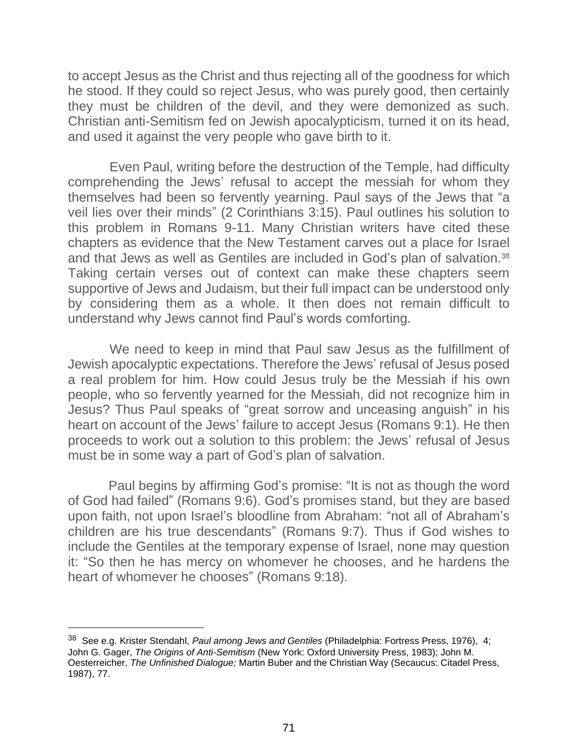to accept Jesus as the Christ and thus rejecting all of the goodness for which he stood. If they could so reject Jesus, who was purely good, then certainly they must be children of the devil, and they were demonized as such. Christian anti-Semitism fed on Jewish apocalypticism, turned it on its head, and used it against the very people who gave birth to it.

Even Paul, writing before the destruction of the Temple, had difficulty comprehending the Jews' refusal to accept the messiah for whom they themselves had been so fervently yearning. Paul says of the Jews that "a veil lies over their minds" (2 Corinthians 3:15). Paul outlines his solution to this problem in Romans 9-11. Many Christian writers have cited these chapters as evidence that the New Testament carves out a place for Israel and that Jews as well as Gentiles are included in God's plan of salvation.<sup>38</sup> Taking certain verses out of context can make these chapters seem supportive of Jews and Judaism, but their full impact can be understood only by considering them as a whole. It then does not remain difficult to understand why Jews cannot find Paul's words comforting.

We need to keep in mind that Paul saw Jesus as the fulfillment of Jewish apocalyptic expectations. Therefore the Jews' refusal of Jesus posed a real problem for him. How could Jesus truly be the Messiah if his own people, who so fervently yearned for the Messiah, did not recognize him in Jesus? Thus Paul speaks of "great sorrow and unceasing anguish" in his heart on account of the Jews' failure to accept Jesus (Romans 9:1). He then proceeds to work out a solution to this problem: the Jews' refusal of Jesus must be in some way a part of God's plan of salvation.

Paul begins by affirming God's promise: "It is not as though the word of God had failed" (Romans 9:6). God's promises stand, but they are based upon faith, not upon Israel's bloodline from Abraham: "not all of Abraham's children are his true descendants" (Romans 9:7). Thus if God wishes to include the Gentiles at the temporary expense of Israel, none may question it: "So then he has mercy on whomever he chooses, and he hardens the heart of whomever he chooses" (Romans 9:18).

<sup>38</sup> See e.g. Krister Stendahl, *Paul among Jews and Gentiles* (Philadelphia: Fortress Press, 1976), 4; John G. Gager, *The Origins of Anti-Semitism* (New York: Oxford University Press, 1983); John M. Oesterreicher, *The Unfinished Dialogue;* Martin Buber and the Christian Way (Secaucus: Citadel Press, 1987), 77.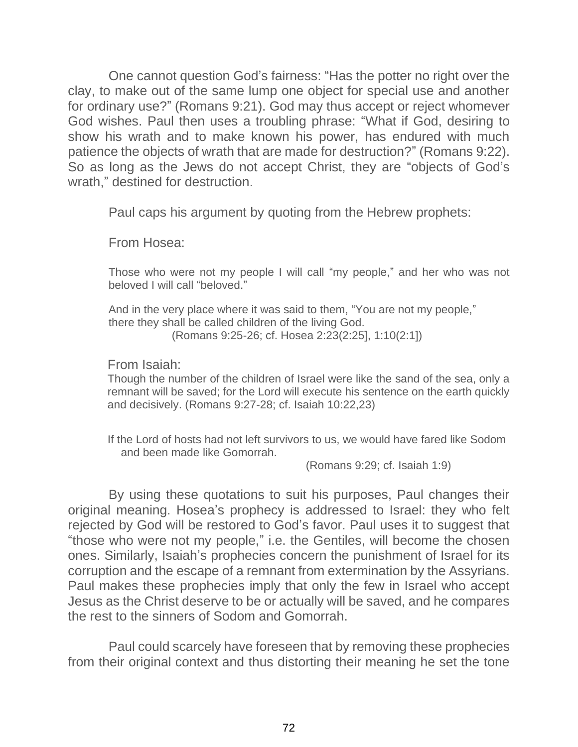One cannot question God's fairness: "Has the potter no right over the clay, to make out of the same lump one object for special use and another for ordinary use?" (Romans 9:21). God may thus accept or reject whomever God wishes. Paul then uses a troubling phrase: "What if God, desiring to show his wrath and to make known his power, has endured with much patience the objects of wrath that are made for destruction?" (Romans 9:22). So as long as the Jews do not accept Christ, they are "objects of God's wrath," destined for destruction.

Paul caps his argument by quoting from the Hebrew prophets:

From Hosea:

Those who were not my people I will call "my people," and her who was not beloved I will call "beloved."

And in the very place where it was said to them, "You are not my people," there they shall be called children of the living God. (Romans 9:25-26; cf. Hosea 2:23(2:25], 1:10(2:1])

From Isaiah:

Though the number of the children of Israel were like the sand of the sea, only a remnant will be saved; for the Lord will execute his sentence on the earth quickly and decisively. (Romans 9:27-28; cf. Isaiah 10:22,23)

If the Lord of hosts had not left survivors to us, we would have fared like Sodom and been made like Gomorrah.

(Romans 9:29; cf. Isaiah 1:9)

By using these quotations to suit his purposes, Paul changes their original meaning. Hosea's prophecy is addressed to Israel: they who felt rejected by God will be restored to God's favor. Paul uses it to suggest that "those who were not my people," i.e. the Gentiles, will become the chosen ones. Similarly, Isaiah's prophecies concern the punishment of Israel for its corruption and the escape of a remnant from extermination by the Assyrians. Paul makes these prophecies imply that only the few in Israel who accept Jesus as the Christ deserve to be or actually will be saved, and he compares the rest to the sinners of Sodom and Gomorrah.

Paul could scarcely have foreseen that by removing these prophecies from their original context and thus distorting their meaning he set the tone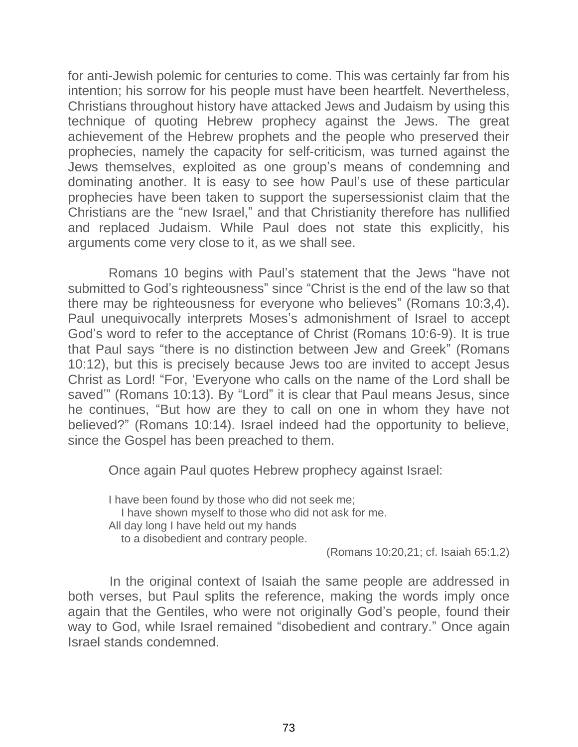for anti-Jewish polemic for centuries to come. This was certainly far from his intention; his sorrow for his people must have been heartfelt. Nevertheless, Christians throughout history have attacked Jews and Judaism by using this technique of quoting Hebrew prophecy against the Jews. The great achievement of the Hebrew prophets and the people who preserved their prophecies, namely the capacity for self-criticism, was turned against the Jews themselves, exploited as one group's means of condemning and dominating another. It is easy to see how Paul's use of these particular prophecies have been taken to support the supersessionist claim that the Christians are the "new Israel," and that Christianity therefore has nullified and replaced Judaism. While Paul does not state this explicitly, his arguments come very close to it, as we shall see.

Romans 10 begins with Paul's statement that the Jews "have not submitted to God's righteousness" since "Christ is the end of the law so that there may be righteousness for everyone who believes" (Romans 10:3,4). Paul unequivocally interprets Moses's admonishment of Israel to accept God's word to refer to the acceptance of Christ (Romans 10:6-9). It is true that Paul says "there is no distinction between Jew and Greek" (Romans 10:12), but this is precisely because Jews too are invited to accept Jesus Christ as Lord! "For, 'Everyone who calls on the name of the Lord shall be saved'" (Romans 10:13). By "Lord" it is clear that Paul means Jesus, since he continues, "But how are they to call on one in whom they have not believed?" (Romans 10:14). Israel indeed had the opportunity to believe, since the Gospel has been preached to them.

Once again Paul quotes Hebrew prophecy against Israel:

I have been found by those who did not seek me; I have shown myself to those who did not ask for me. All day long I have held out my hands to a disobedient and contrary people.

(Romans 10:20,21; cf. Isaiah 65:1,2)

In the original context of Isaiah the same people are addressed in both verses, but Paul splits the reference, making the words imply once again that the Gentiles, who were not originally God's people, found their way to God, while Israel remained "disobedient and contrary." Once again Israel stands condemned.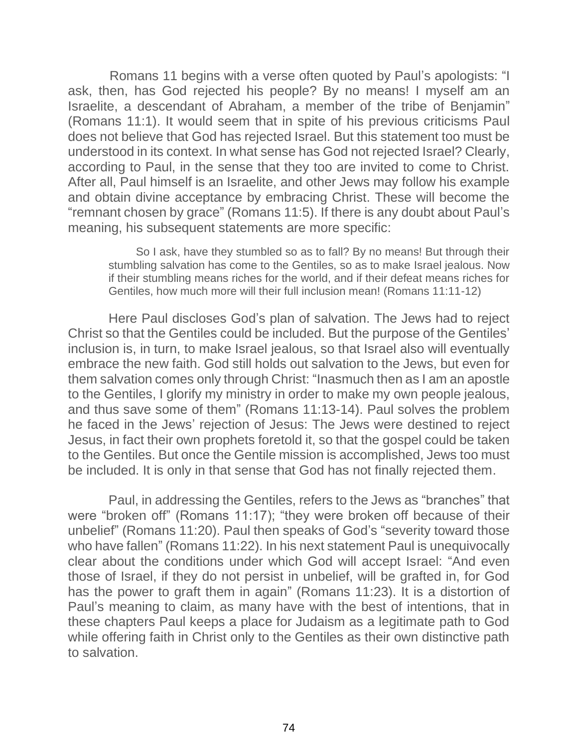Romans 11 begins with a verse often quoted by Paul's apologists: "I ask, then, has God rejected his people? By no means! I myself am an Israelite, a descendant of Abraham, a member of the tribe of Benjamin" (Romans 11:1). It would seem that in spite of his previous criticisms Paul does not believe that God has rejected Israel. But this statement too must be understood in its context. In what sense has God not rejected Israel? Clearly, according to Paul, in the sense that they too are invited to come to Christ. After all, Paul himself is an Israelite, and other Jews may follow his example and obtain divine acceptance by embracing Christ. These will become the "remnant chosen by grace" (Romans 11:5). If there is any doubt about Paul's meaning, his subsequent statements are more specific:

So I ask, have they stumbled so as to fall? By no means! But through their stumbling salvation has come to the Gentiles, so as to make Israel jealous. Now if their stumbling means riches for the world, and if their defeat means riches for Gentiles, how much more will their full inclusion mean! (Romans 11:11-12)

Here Paul discloses God's plan of salvation. The Jews had to reject Christ so that the Gentiles could be included. But the purpose of the Gentiles' inclusion is, in turn, to make Israel jealous, so that Israel also will eventually embrace the new faith. God still holds out salvation to the Jews, but even for them salvation comes only through Christ: "Inasmuch then as I am an apostle to the Gentiles, I glorify my ministry in order to make my own people jealous, and thus save some of them" (Romans 11:13-14). Paul solves the problem he faced in the Jews' rejection of Jesus: The Jews were destined to reject Jesus, in fact their own prophets foretold it, so that the gospel could be taken to the Gentiles. But once the Gentile mission is accomplished, Jews too must be included. It is only in that sense that God has not finally rejected them.

Paul, in addressing the Gentiles, refers to the Jews as "branches" that were "broken off" (Romans 11:17); "they were broken off because of their unbelief" (Romans 11:20). Paul then speaks of God's "severity toward those who have fallen" (Romans 11:22). In his next statement Paul is unequivocally clear about the conditions under which God will accept Israel: "And even those of Israel, if they do not persist in unbelief, will be grafted in, for God has the power to graft them in again" (Romans 11:23). It is a distortion of Paul's meaning to claim, as many have with the best of intentions, that in these chapters Paul keeps a place for Judaism as a legitimate path to God while offering faith in Christ only to the Gentiles as their own distinctive path to salvation.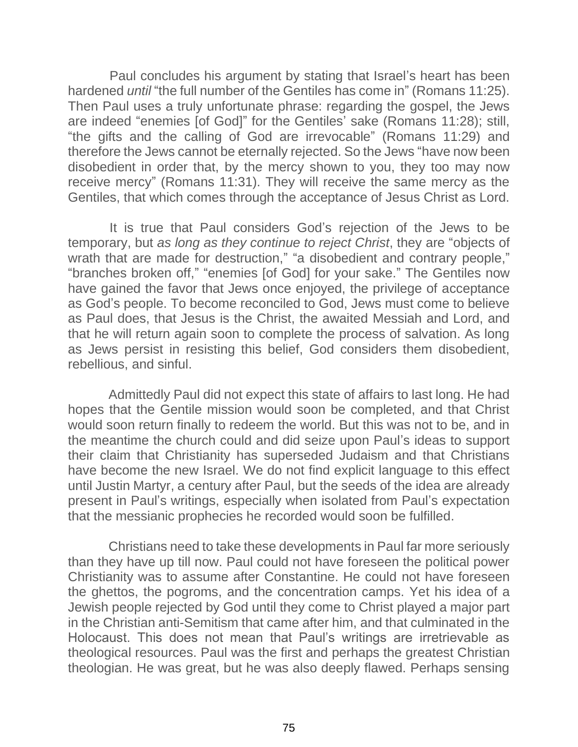Paul concludes his argument by stating that Israel's heart has been hardened *until* "the full number of the Gentiles has come in" (Romans 11:25). Then Paul uses a truly unfortunate phrase: regarding the gospel, the Jews are indeed "enemies [of God]" for the Gentiles' sake (Romans 11:28); still, "the gifts and the calling of God are irrevocable" (Romans 11:29) and therefore the Jews cannot be eternally rejected. So the Jews "have now been disobedient in order that, by the mercy shown to you, they too may now receive mercy" (Romans 11:31). They will receive the same mercy as the Gentiles, that which comes through the acceptance of Jesus Christ as Lord.

It is true that Paul considers God's rejection of the Jews to be temporary, but *as long as they continue to reject Christ*, they are "objects of wrath that are made for destruction," "a disobedient and contrary people," "branches broken off," "enemies [of God] for your sake." The Gentiles now have gained the favor that Jews once enjoyed, the privilege of acceptance as God's people. To become reconciled to God, Jews must come to believe as Paul does, that Jesus is the Christ, the awaited Messiah and Lord, and that he will return again soon to complete the process of salvation. As long as Jews persist in resisting this belief, God considers them disobedient, rebellious, and sinful.

Admittedly Paul did not expect this state of affairs to last long. He had hopes that the Gentile mission would soon be completed, and that Christ would soon return finally to redeem the world. But this was not to be, and in the meantime the church could and did seize upon Paul's ideas to support their claim that Christianity has superseded Judaism and that Christians have become the new Israel. We do not find explicit language to this effect until Justin Martyr, a century after Paul, but the seeds of the idea are already present in Paul's writings, especially when isolated from Paul's expectation that the messianic prophecies he recorded would soon be fulfilled.

Christians need to take these developments in Paul far more seriously than they have up till now. Paul could not have foreseen the political power Christianity was to assume after Constantine. He could not have foreseen the ghettos, the pogroms, and the concentration camps. Yet his idea of a Jewish people rejected by God until they come to Christ played a major part in the Christian anti-Semitism that came after him, and that culminated in the Holocaust. This does not mean that Paul's writings are irretrievable as theological resources. Paul was the first and perhaps the greatest Christian theologian. He was great, but he was also deeply flawed. Perhaps sensing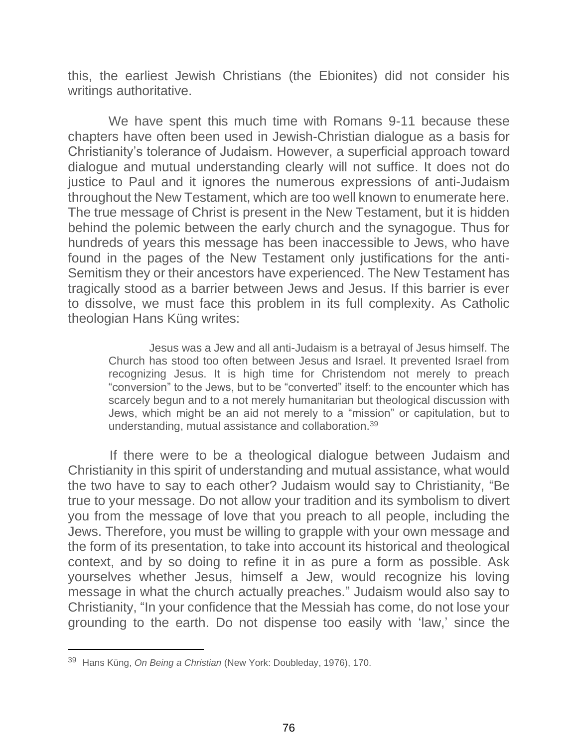this, the earliest Jewish Christians (the Ebionites) did not consider his writings authoritative.

We have spent this much time with Romans 9-11 because these chapters have often been used in Jewish-Christian dialogue as a basis for Christianity's tolerance of Judaism. However, a superficial approach toward dialogue and mutual understanding clearly will not suffice. It does not do justice to Paul and it ignores the numerous expressions of anti-Judaism throughout the New Testament, which are too well known to enumerate here. The true message of Christ is present in the New Testament, but it is hidden behind the polemic between the early church and the synagogue. Thus for hundreds of years this message has been inaccessible to Jews, who have found in the pages of the New Testament only justifications for the anti-Semitism they or their ancestors have experienced. The New Testament has tragically stood as a barrier between Jews and Jesus. If this barrier is ever to dissolve, we must face this problem in its full complexity. As Catholic theologian Hans Küng writes:

Jesus was a Jew and all anti-Judaism is a betrayal of Jesus himself. The Church has stood too often between Jesus and Israel. It prevented Israel from recognizing Jesus. It is high time for Christendom not merely to preach "conversion" to the Jews, but to be "converted" itself: to the encounter which has scarcely begun and to a not merely humanitarian but theological discussion with Jews, which might be an aid not merely to a "mission" or capitulation, but to understanding, mutual assistance and collaboration.<sup>39</sup>

If there were to be a theological dialogue between Judaism and Christianity in this spirit of understanding and mutual assistance, what would the two have to say to each other? Judaism would say to Christianity, "Be true to your message. Do not allow your tradition and its symbolism to divert you from the message of love that you preach to all people, including the Jews. Therefore, you must be willing to grapple with your own message and the form of its presentation, to take into account its historical and theological context, and by so doing to refine it in as pure a form as possible. Ask yourselves whether Jesus, himself a Jew, would recognize his loving message in what the church actually preaches." Judaism would also say to Christianity, "In your confidence that the Messiah has come, do not lose your grounding to the earth. Do not dispense too easily with 'law,' since the

<sup>39</sup> Hans Küng, *On Being a Christian* (New York: Doubleday, 1976), 170.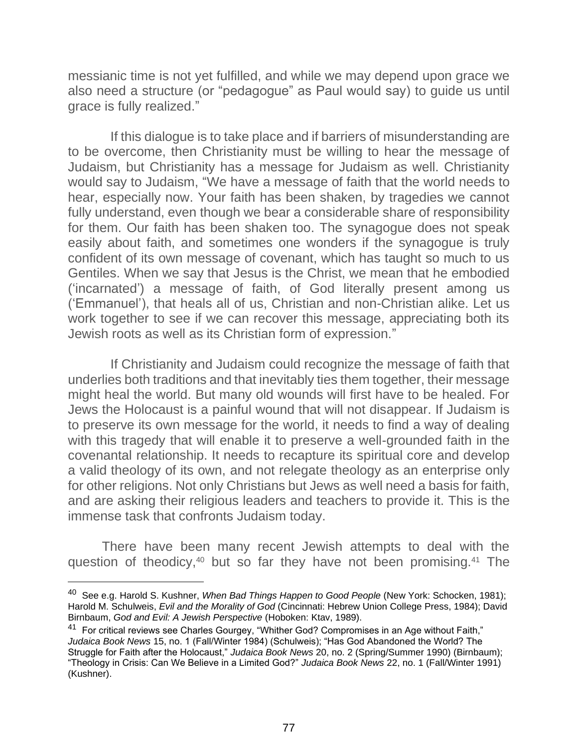messianic time is not yet fulfilled, and while we may depend upon grace we also need a structure (or "pedagogue" as Paul would say) to guide us until grace is fully realized."

If this dialogue is to take place and if barriers of misunderstanding are to be overcome, then Christianity must be willing to hear the message of Judaism, but Christianity has a message for Judaism as well. Christianity would say to Judaism, "We have a message of faith that the world needs to hear, especially now. Your faith has been shaken, by tragedies we cannot fully understand, even though we bear a considerable share of responsibility for them. Our faith has been shaken too. The synagogue does not speak easily about faith, and sometimes one wonders if the synagogue is truly confident of its own message of covenant, which has taught so much to us Gentiles. When we say that Jesus is the Christ, we mean that he embodied ('incarnated') a message of faith, of God literally present among us ('Emmanuel'), that heals all of us, Christian and non-Christian alike. Let us work together to see if we can recover this message, appreciating both its Jewish roots as well as its Christian form of expression."

If Christianity and Judaism could recognize the message of faith that underlies both traditions and that inevitably ties them together, their message might heal the world. But many old wounds will first have to be healed. For Jews the Holocaust is a painful wound that will not disappear. If Judaism is to preserve its own message for the world, it needs to find a way of dealing with this tragedy that will enable it to preserve a well-grounded faith in the covenantal relationship. It needs to recapture its spiritual core and develop a valid theology of its own, and not relegate theology as an enterprise only for other religions. Not only Christians but Jews as well need a basis for faith, and are asking their religious leaders and teachers to provide it. This is the immense task that confronts Judaism today.

There have been many recent Jewish attempts to deal with the question of theodicy,<sup>40</sup> but so far they have not been promising.<sup>41</sup> The

<sup>40</sup> See e.g. Harold S. Kushner, *When Bad Things Happen to Good People* (New York: Schocken, 1981); Harold M. Schulweis, *Evil and the Morality of God* (Cincinnati: Hebrew Union College Press, 1984); David Birnbaum, *God and Evil: A Jewish Perspective* (Hoboken: Ktav, 1989).

<sup>41</sup> For critical reviews see Charles Gourgey, "Whither God? Compromises in an Age without Faith," *Judaica Book News* 15, no. 1 (Fall/Winter 1984) (Schulweis); "Has God Abandoned the World? The Struggle for Faith after the Holocaust," *Judaica Book News* 20, no. 2 (Spring/Summer 1990) (Birnbaum); "Theology in Crisis: Can We Believe in a Limited God?" *Judaica Book News* 22, no. 1 (Fall/Winter 1991) (Kushner).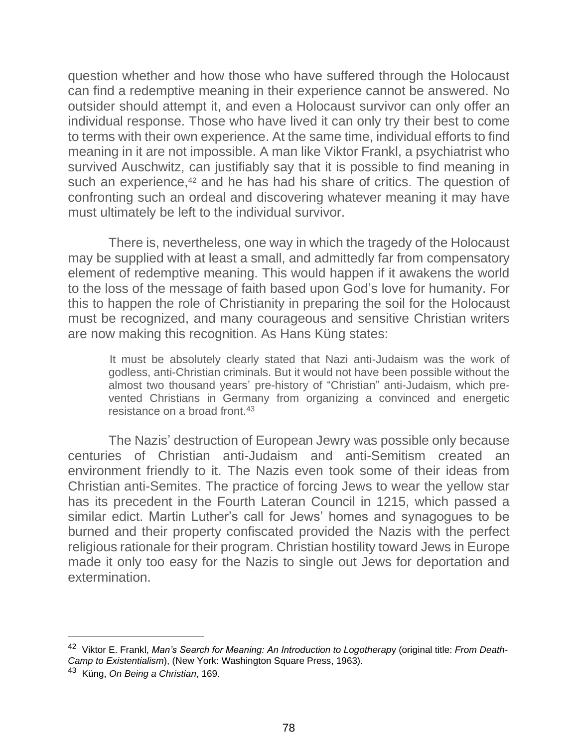question whether and how those who have suffered through the Holocaust can find a redemptive meaning in their experience cannot be answered. No outsider should attempt it, and even a Holocaust survivor can only offer an individual response. Those who have lived it can only try their best to come to terms with their own experience. At the same time, individual efforts to find meaning in it are not impossible. A man like Viktor Frankl, a psychiatrist who survived Auschwitz, can justifiably say that it is possible to find meaning in such an experience,<sup>42</sup> and he has had his share of critics. The question of confronting such an ordeal and discovering whatever meaning it may have must ultimately be left to the individual survivor.

There is, nevertheless, one way in which the tragedy of the Holocaust may be supplied with at least a small, and admittedly far from compensatory element of redemptive meaning. This would happen if it awakens the world to the loss of the message of faith based upon God's love for humanity. For this to happen the role of Christianity in preparing the soil for the Holocaust must be recognized, and many courageous and sensitive Christian writers are now making this recognition. As Hans Küng states:

It must be absolutely clearly stated that Nazi anti-Judaism was the work of godless, anti-Christian criminals. But it would not have been possible without the almost two thousand years' pre-history of "Christian" anti-Judaism, which prevented Christians in Germany from organizing a convinced and energetic resistance on a broad front.<sup>43</sup>

The Nazis' destruction of European Jewry was possible only because centuries of Christian anti-Judaism and anti-Semitism created an environment friendly to it. The Nazis even took some of their ideas from Christian anti-Semites. The practice of forcing Jews to wear the yellow star has its precedent in the Fourth Lateran Council in 1215, which passed a similar edict. Martin Luther's call for Jews' homes and synagogues to be burned and their property confiscated provided the Nazis with the perfect religious rationale for their program. Christian hostility toward Jews in Europe made it only too easy for the Nazis to single out Jews for deportation and extermination.

<sup>42</sup> Viktor E. Frankl, *Man's Search for Meaning: An Introduction to Logotherap*y (original title: *From Death-Camp to Existentialism*), (New York: Washington Square Press, 1963).

<sup>43</sup> Küng, *On Being a Christian*, 169.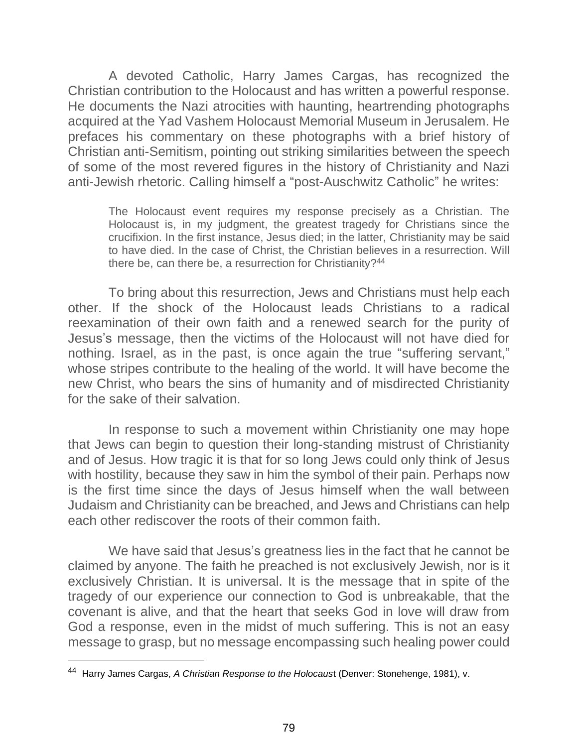A devoted Catholic, Harry James Cargas, has recognized the Christian contribution to the Holocaust and has written a powerful response. He documents the Nazi atrocities with haunting, heartrending photographs acquired at the Yad Vashem Holocaust Memorial Museum in Jerusalem. He prefaces his commentary on these photographs with a brief history of Christian anti-Semitism, pointing out striking similarities between the speech of some of the most revered figures in the history of Christianity and Nazi anti-Jewish rhetoric. Calling himself a "post-Auschwitz Catholic" he writes:

The Holocaust event requires my response precisely as a Christian. The Holocaust is, in my judgment, the greatest tragedy for Christians since the crucifixion. In the first instance, Jesus died; in the latter, Christianity may be said to have died. In the case of Christ, the Christian believes in a resurrection. Will there be, can there be, a resurrection for Christianity?<sup>44</sup>

To bring about this resurrection, Jews and Christians must help each other. If the shock of the Holocaust leads Christians to a radical reexamination of their own faith and a renewed search for the purity of Jesus's message, then the victims of the Holocaust will not have died for nothing. Israel, as in the past, is once again the true "suffering servant," whose stripes contribute to the healing of the world. It will have become the new Christ, who bears the sins of humanity and of misdirected Christianity for the sake of their salvation.

In response to such a movement within Christianity one may hope that Jews can begin to question their long-standing mistrust of Christianity and of Jesus. How tragic it is that for so long Jews could only think of Jesus with hostility, because they saw in him the symbol of their pain. Perhaps now is the first time since the days of Jesus himself when the wall between Judaism and Christianity can be breached, and Jews and Christians can help each other rediscover the roots of their common faith.

We have said that Jesus's greatness lies in the fact that he cannot be claimed by anyone. The faith he preached is not exclusively Jewish, nor is it exclusively Christian. It is universal. It is the message that in spite of the tragedy of our experience our connection to God is unbreakable, that the covenant is alive, and that the heart that seeks God in love will draw from God a response, even in the midst of much suffering. This is not an easy message to grasp, but no message encompassing such healing power could

<sup>44</sup> Harry James Cargas, *A Christian Response to the Holocaus*t (Denver: Stonehenge, 1981), v.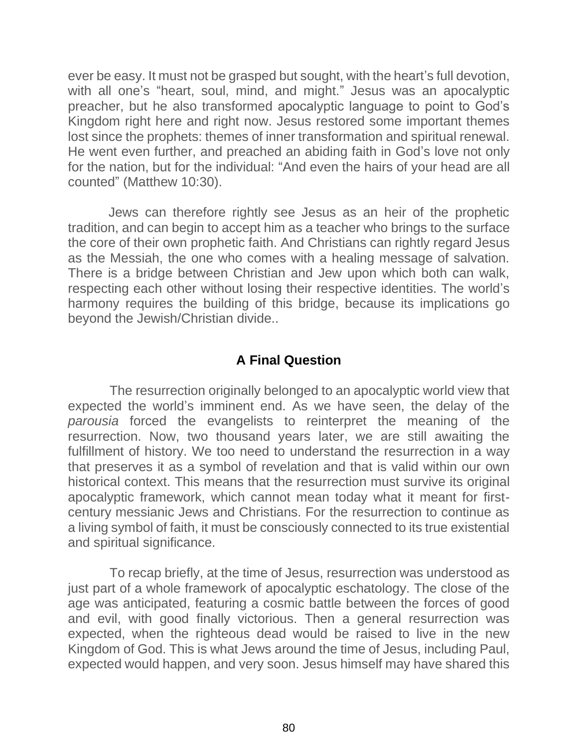ever be easy. It must not be grasped but sought, with the heart's full devotion, with all one's "heart, soul, mind, and might." Jesus was an apocalyptic preacher, but he also transformed apocalyptic language to point to God's Kingdom right here and right now. Jesus restored some important themes lost since the prophets: themes of inner transformation and spiritual renewal. He went even further, and preached an abiding faith in God's love not only for the nation, but for the individual: "And even the hairs of your head are all counted" (Matthew 10:30).

Jews can therefore rightly see Jesus as an heir of the prophetic tradition, and can begin to accept him as a teacher who brings to the surface the core of their own prophetic faith. And Christians can rightly regard Jesus as the Messiah, the one who comes with a healing message of salvation. There is a bridge between Christian and Jew upon which both can walk, respecting each other without losing their respective identities. The world's harmony requires the building of this bridge, because its implications go beyond the Jewish/Christian divide..

## **A Final Question**

The resurrection originally belonged to an apocalyptic world view that expected the world's imminent end. As we have seen, the delay of the *parousia* forced the evangelists to reinterpret the meaning of the resurrection. Now, two thousand years later, we are still awaiting the fulfillment of history. We too need to understand the resurrection in a way that preserves it as a symbol of revelation and that is valid within our own historical context. This means that the resurrection must survive its original apocalyptic framework, which cannot mean today what it meant for firstcentury messianic Jews and Christians. For the resurrection to continue as a living symbol of faith, it must be consciously connected to its true existential and spiritual significance.

To recap briefly, at the time of Jesus, resurrection was understood as just part of a whole framework of apocalyptic eschatology. The close of the age was anticipated, featuring a cosmic battle between the forces of good and evil, with good finally victorious. Then a general resurrection was expected, when the righteous dead would be raised to live in the new Kingdom of God. This is what Jews around the time of Jesus, including Paul, expected would happen, and very soon. Jesus himself may have shared this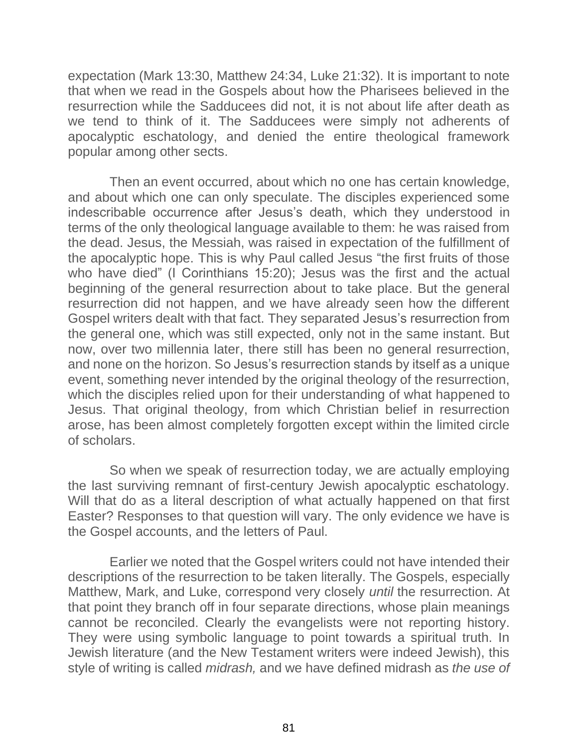expectation (Mark 13:30, Matthew 24:34, Luke 21:32). It is important to note that when we read in the Gospels about how the Pharisees believed in the resurrection while the Sadducees did not, it is not about life after death as we tend to think of it. The Sadducees were simply not adherents of apocalyptic eschatology, and denied the entire theological framework popular among other sects.

Then an event occurred, about which no one has certain knowledge, and about which one can only speculate. The disciples experienced some indescribable occurrence after Jesus's death, which they understood in terms of the only theological language available to them: he was raised from the dead. Jesus, the Messiah, was raised in expectation of the fulfillment of the apocalyptic hope. This is why Paul called Jesus "the first fruits of those who have died" (I Corinthians 15:20); Jesus was the first and the actual beginning of the general resurrection about to take place. But the general resurrection did not happen, and we have already seen how the different Gospel writers dealt with that fact. They separated Jesus's resurrection from the general one, which was still expected, only not in the same instant. But now, over two millennia later, there still has been no general resurrection, and none on the horizon. So Jesus's resurrection stands by itself as a unique event, something never intended by the original theology of the resurrection, which the disciples relied upon for their understanding of what happened to Jesus. That original theology, from which Christian belief in resurrection arose, has been almost completely forgotten except within the limited circle of scholars.

So when we speak of resurrection today, we are actually employing the last surviving remnant of first-century Jewish apocalyptic eschatology. Will that do as a literal description of what actually happened on that first Easter? Responses to that question will vary. The only evidence we have is the Gospel accounts, and the letters of Paul.

Earlier we noted that the Gospel writers could not have intended their descriptions of the resurrection to be taken literally. The Gospels, especially Matthew, Mark, and Luke, correspond very closely *until* the resurrection. At that point they branch off in four separate directions, whose plain meanings cannot be reconciled. Clearly the evangelists were not reporting history. They were using symbolic language to point towards a spiritual truth. In Jewish literature (and the New Testament writers were indeed Jewish), this style of writing is called *midrash,* and we have defined midrash as *the use of*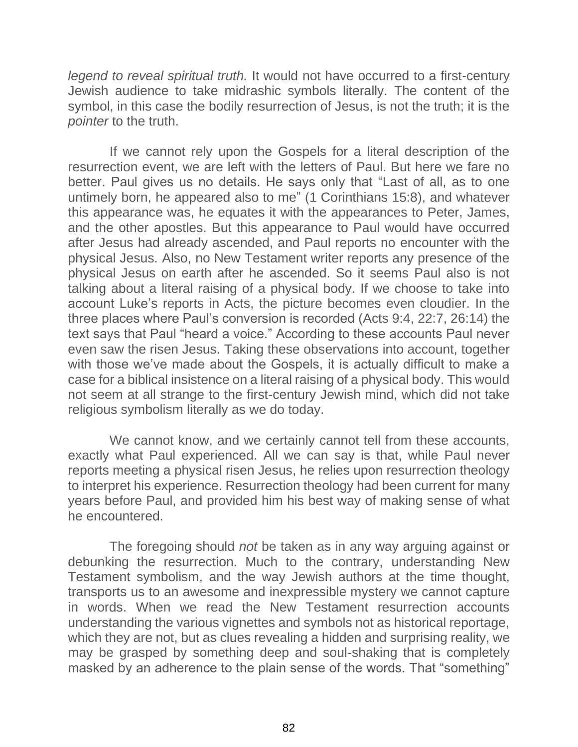*legend to reveal spiritual truth.* It would not have occurred to a first-century Jewish audience to take midrashic symbols literally. The content of the symbol, in this case the bodily resurrection of Jesus, is not the truth; it is the *pointer* to the truth.

If we cannot rely upon the Gospels for a literal description of the resurrection event, we are left with the letters of Paul. But here we fare no better. Paul gives us no details. He says only that "Last of all, as to one untimely born, he appeared also to me" (1 Corinthians 15:8), and whatever this appearance was, he equates it with the appearances to Peter, James, and the other apostles. But this appearance to Paul would have occurred after Jesus had already ascended, and Paul reports no encounter with the physical Jesus. Also, no New Testament writer reports any presence of the physical Jesus on earth after he ascended. So it seems Paul also is not talking about a literal raising of a physical body. If we choose to take into account Luke's reports in Acts, the picture becomes even cloudier. In the three places where Paul's conversion is recorded (Acts 9:4, 22:7, 26:14) the text says that Paul "heard a voice." According to these accounts Paul never even saw the risen Jesus. Taking these observations into account, together with those we've made about the Gospels, it is actually difficult to make a case for a biblical insistence on a literal raising of a physical body. This would not seem at all strange to the first-century Jewish mind, which did not take religious symbolism literally as we do today.

We cannot know, and we certainly cannot tell from these accounts, exactly what Paul experienced. All we can say is that, while Paul never reports meeting a physical risen Jesus, he relies upon resurrection theology to interpret his experience. Resurrection theology had been current for many years before Paul, and provided him his best way of making sense of what he encountered.

The foregoing should *not* be taken as in any way arguing against or debunking the resurrection. Much to the contrary, understanding New Testament symbolism, and the way Jewish authors at the time thought, transports us to an awesome and inexpressible mystery we cannot capture in words. When we read the New Testament resurrection accounts understanding the various vignettes and symbols not as historical reportage, which they are not, but as clues revealing a hidden and surprising reality, we may be grasped by something deep and soul-shaking that is completely masked by an adherence to the plain sense of the words. That "something"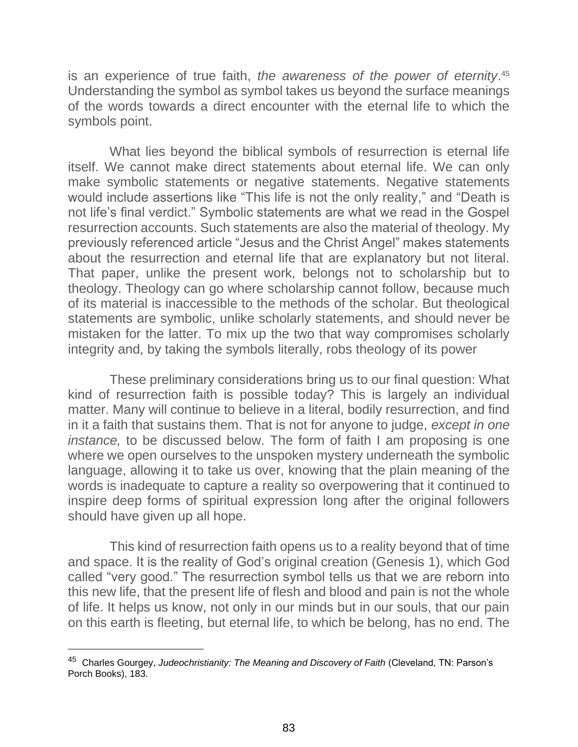is an experience of true faith, *the awareness of the power of eternity*. 45 Understanding the symbol as symbol takes us beyond the surface meanings of the words towards a direct encounter with the eternal life to which the symbols point.

What lies beyond the biblical symbols of resurrection is eternal life itself. We cannot make direct statements about eternal life. We can only make symbolic statements or negative statements. Negative statements would include assertions like "This life is not the only reality," and "Death is not life's final verdict." Symbolic statements are what we read in the Gospel resurrection accounts. Such statements are also the material of theology. My previously referenced article "Jesus and the Christ Angel" makes statements about the resurrection and eternal life that are explanatory but not literal. That paper, unlike the present work, belongs not to scholarship but to theology. Theology can go where scholarship cannot follow, because much of its material is inaccessible to the methods of the scholar. But theological statements are symbolic, unlike scholarly statements, and should never be mistaken for the latter. To mix up the two that way compromises scholarly integrity and, by taking the symbols literally, robs theology of its power

These preliminary considerations bring us to our final question: What kind of resurrection faith is possible today? This is largely an individual matter. Many will continue to believe in a literal, bodily resurrection, and find in it a faith that sustains them. That is not for anyone to judge, *except in one instance,* to be discussed below. The form of faith I am proposing is one where we open ourselves to the unspoken mystery underneath the symbolic language, allowing it to take us over, knowing that the plain meaning of the words is inadequate to capture a reality so overpowering that it continued to inspire deep forms of spiritual expression long after the original followers should have given up all hope.

This kind of resurrection faith opens us to a reality beyond that of time and space. It is the reality of God's original creation (Genesis 1), which God called "very good." The resurrection symbol tells us that we are reborn into this new life, that the present life of flesh and blood and pain is not the whole of life. It helps us know, not only in our minds but in our souls, that our pain on this earth is fleeting, but eternal life, to which be belong, has no end. The

<sup>45</sup> Charles Gourgey, *Judeochristianity: The Meaning and Discovery of Faith* (Cleveland, TN: Parson's Porch Books), 183.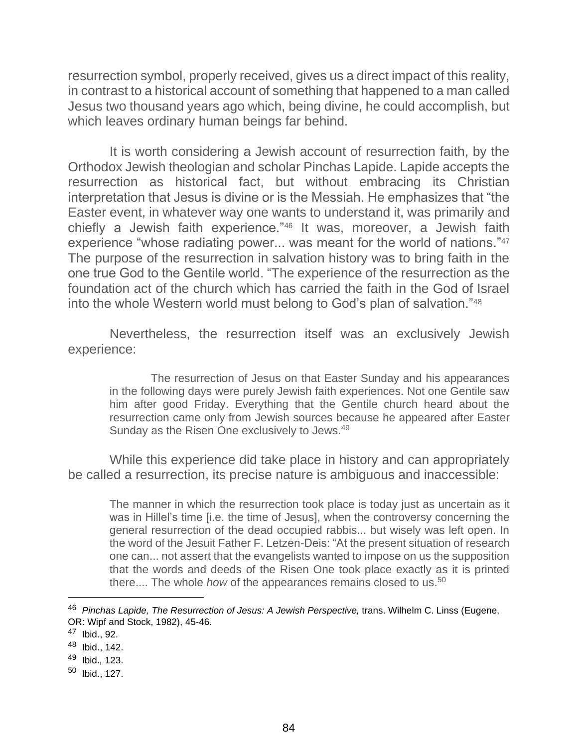resurrection symbol, properly received, gives us a direct impact of this reality, in contrast to a historical account of something that happened to a man called Jesus two thousand years ago which, being divine, he could accomplish, but which leaves ordinary human beings far behind.

It is worth considering a Jewish account of resurrection faith, by the Orthodox Jewish theologian and scholar Pinchas Lapide. Lapide accepts the resurrection as historical fact, but without embracing its Christian interpretation that Jesus is divine or is the Messiah. He emphasizes that "the Easter event, in whatever way one wants to understand it, was primarily and chiefly a Jewish faith experience."<sup>46</sup> It was, moreover, a Jewish faith experience "whose radiating power... was meant for the world of nations."<sup>47</sup> The purpose of the resurrection in salvation history was to bring faith in the one true God to the Gentile world. "The experience of the resurrection as the foundation act of the church which has carried the faith in the God of Israel into the whole Western world must belong to God's plan of salvation."<sup>48</sup>

Nevertheless, the resurrection itself was an exclusively Jewish experience:

The resurrection of Jesus on that Easter Sunday and his appearances in the following days were purely Jewish faith experiences. Not one Gentile saw him after good Friday. Everything that the Gentile church heard about the resurrection came only from Jewish sources because he appeared after Easter Sunday as the Risen One exclusively to Jews.<sup>49</sup>

While this experience did take place in history and can appropriately be called a resurrection, its precise nature is ambiguous and inaccessible:

The manner in which the resurrection took place is today just as uncertain as it was in Hillel's time [i.e. the time of Jesus], when the controversy concerning the general resurrection of the dead occupied rabbis... but wisely was left open. In the word of the Jesuit Father F. Letzen-Deis: "At the present situation of research one can... not assert that the evangelists wanted to impose on us the supposition that the words and deeds of the Risen One took place exactly as it is printed there.... The whole *how* of the appearances remains closed to us.<sup>50</sup>

<sup>46</sup> *Pinchas Lapide, The Resurrection of Jesus: A Jewish Perspective,* trans. Wilhelm C. Linss (Eugene, OR: Wipf and Stock, 1982), 45-46.

<sup>47</sup> Ibid., 92.

 $48$  Ibid., 142.

<sup>49</sup> Ibid.*,* 123.

<sup>50</sup> Ibid., 127.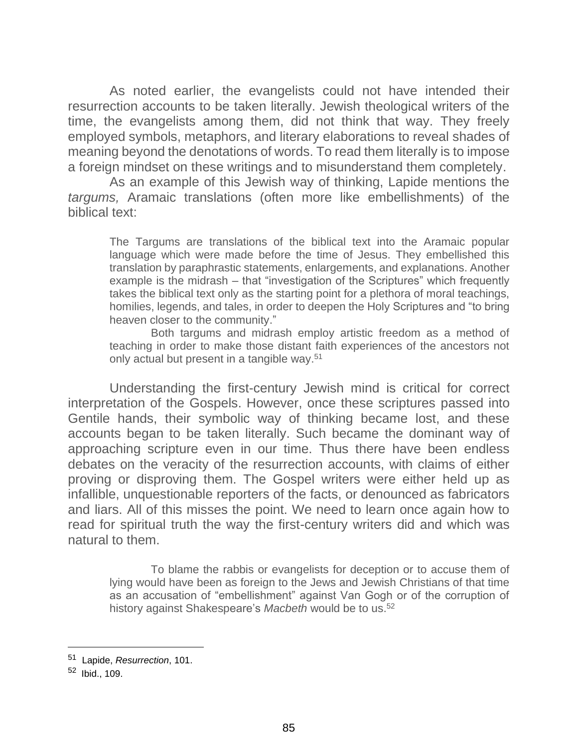As noted earlier, the evangelists could not have intended their resurrection accounts to be taken literally. Jewish theological writers of the time, the evangelists among them, did not think that way. They freely employed symbols, metaphors, and literary elaborations to reveal shades of meaning beyond the denotations of words. To read them literally is to impose a foreign mindset on these writings and to misunderstand them completely.

As an example of this Jewish way of thinking, Lapide mentions the *targums,* Aramaic translations (often more like embellishments) of the biblical text:

The Targums are translations of the biblical text into the Aramaic popular language which were made before the time of Jesus. They embellished this translation by paraphrastic statements, enlargements, and explanations. Another example is the midrash – that "investigation of the Scriptures" which frequently takes the biblical text only as the starting point for a plethora of moral teachings, homilies, legends, and tales, in order to deepen the Holy Scriptures and "to bring heaven closer to the community."

Both targums and midrash employ artistic freedom as a method of teaching in order to make those distant faith experiences of the ancestors not only actual but present in a tangible way.<sup>51</sup>

Understanding the first-century Jewish mind is critical for correct interpretation of the Gospels. However, once these scriptures passed into Gentile hands, their symbolic way of thinking became lost, and these accounts began to be taken literally. Such became the dominant way of approaching scripture even in our time. Thus there have been endless debates on the veracity of the resurrection accounts, with claims of either proving or disproving them. The Gospel writers were either held up as infallible, unquestionable reporters of the facts, or denounced as fabricators and liars. All of this misses the point. We need to learn once again how to read for spiritual truth the way the first-century writers did and which was natural to them.

To blame the rabbis or evangelists for deception or to accuse them of lying would have been as foreign to the Jews and Jewish Christians of that time as an accusation of "embellishment" against Van Gogh or of the corruption of history against Shakespeare's *Macbeth* would be to us.<sup>52</sup>

<sup>51</sup> Lapide, *Resurrection*, 101.

<sup>52</sup> Ibid., 109.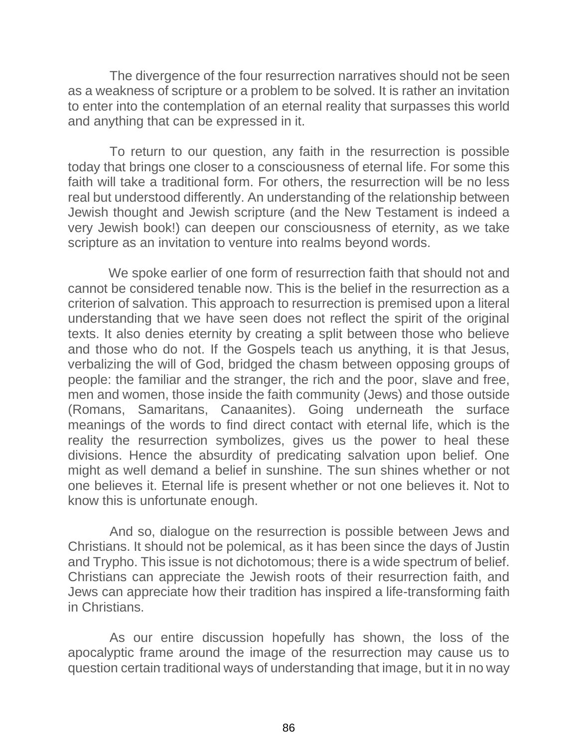The divergence of the four resurrection narratives should not be seen as a weakness of scripture or a problem to be solved. It is rather an invitation to enter into the contemplation of an eternal reality that surpasses this world and anything that can be expressed in it.

To return to our question, any faith in the resurrection is possible today that brings one closer to a consciousness of eternal life. For some this faith will take a traditional form. For others, the resurrection will be no less real but understood differently. An understanding of the relationship between Jewish thought and Jewish scripture (and the New Testament is indeed a very Jewish book!) can deepen our consciousness of eternity, as we take scripture as an invitation to venture into realms beyond words.

We spoke earlier of one form of resurrection faith that should not and cannot be considered tenable now. This is the belief in the resurrection as a criterion of salvation. This approach to resurrection is premised upon a literal understanding that we have seen does not reflect the spirit of the original texts. It also denies eternity by creating a split between those who believe and those who do not. If the Gospels teach us anything, it is that Jesus, verbalizing the will of God, bridged the chasm between opposing groups of people: the familiar and the stranger, the rich and the poor, slave and free, men and women, those inside the faith community (Jews) and those outside (Romans, Samaritans, Canaanites). Going underneath the surface meanings of the words to find direct contact with eternal life, which is the reality the resurrection symbolizes, gives us the power to heal these divisions. Hence the absurdity of predicating salvation upon belief. One might as well demand a belief in sunshine. The sun shines whether or not one believes it. Eternal life is present whether or not one believes it. Not to know this is unfortunate enough.

And so, dialogue on the resurrection is possible between Jews and Christians. It should not be polemical, as it has been since the days of Justin and Trypho. This issue is not dichotomous; there is a wide spectrum of belief. Christians can appreciate the Jewish roots of their resurrection faith, and Jews can appreciate how their tradition has inspired a life-transforming faith in Christians.

As our entire discussion hopefully has shown, the loss of the apocalyptic frame around the image of the resurrection may cause us to question certain traditional ways of understanding that image, but it in no way